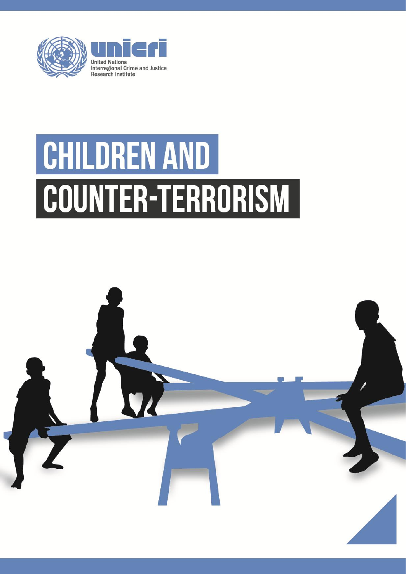

# CHILDREN AND COUNTER-TERRORISM

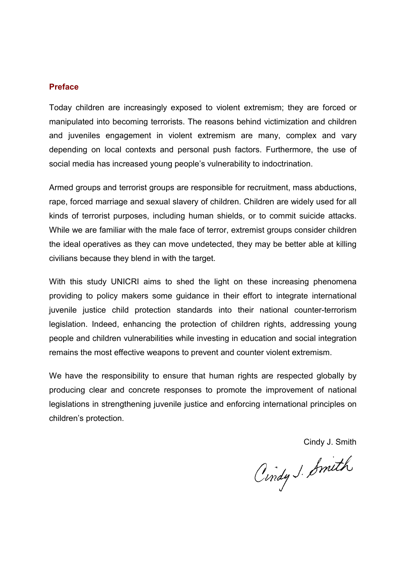#### **Preface**

Today children are increasingly exposed to violent extremism; they are forced or manipulated into becoming terrorists. The reasons behind victimization and children and juveniles engagement in violent extremism are many, complex and vary depending on local contexts and personal push factors. Furthermore, the use of social media has increased young people's vulnerability to indoctrination.

Armed groups and terrorist groups are responsible for recruitment, mass abductions, rape, forced marriage and sexual slavery of children. Children are widely used for all kinds of terrorist purposes, including human shields, or to commit suicide attacks. While we are familiar with the male face of terror, extremist groups consider children the ideal operatives as they can move undetected, they may be better able at killing civilians because they blend in with the target.

With this study UNICRI aims to shed the light on these increasing phenomena providing to policy makers some guidance in their effort to integrate international juvenile justice child protection standards into their national counter-terrorism legislation. Indeed, enhancing the protection of children rights, addressing young people and children vulnerabilities while investing in education and social integration remains the most effective weapons to prevent and counter violent extremism.

We have the responsibility to ensure that human rights are respected globally by producing clear and concrete responses to promote the improvement of national legislations in strengthening juvenile justice and enforcing international principles on children's protection.

Cindy J. Smith

Cindy J. Smith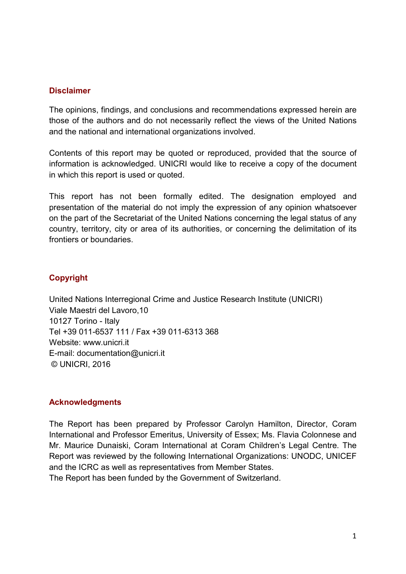#### **Disclaimer**

The opinions, findings, and conclusions and recommendations expressed herein are those of the authors and do not necessarily reflect the views of the United Nations and the national and international organizations involved.

Contents of this report may be quoted or reproduced, provided that the source of information is acknowledged. UNICRI would like to receive a copy of the document in which this report is used or quoted.

This report has not been formally edited. The designation employed and presentation of the material do not imply the expression of any opinion whatsoever on the part of the Secretariat of the United Nations concerning the legal status of any country, territory, city or area of its authorities, or concerning the delimitation of its frontiers or boundaries.

# **Copyright**

United Nations Interregional Crime and Justice Research Institute (UNICRI) Viale Maestri del Lavoro,10 10127 Torino - Italy Tel +39 011-6537 111 / Fax +39 011-6313 368 Website: www.unicri.it E-mail: documentation@unicri.it © UNICRI, 2016

# **Acknowledgments**

The Report has been prepared by Professor Carolyn Hamilton, Director, Coram International and Professor Emeritus, University of Essex; Ms. Flavia Colonnese and Mr. Maurice Dunaiski, Coram International at Coram Children's Legal Centre. The Report was reviewed by the following International Organizations: UNODC, UNICEF and the ICRC as well as representatives from Member States.

The Report has been funded by the Government of Switzerland.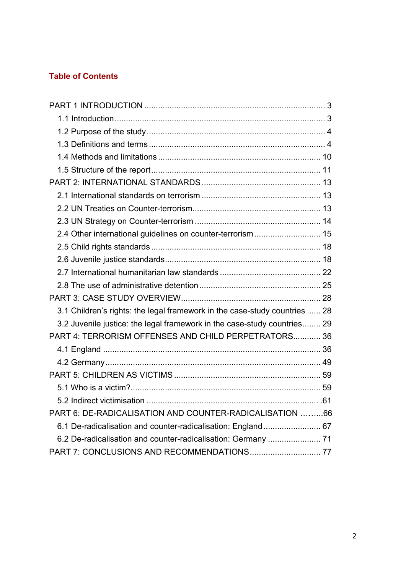# **Table of Contents**

| 2.4 Other international guidelines on counter-terrorism 15                 |  |
|----------------------------------------------------------------------------|--|
|                                                                            |  |
|                                                                            |  |
|                                                                            |  |
|                                                                            |  |
|                                                                            |  |
| 3.1 Children's rights: the legal framework in the case-study countries  28 |  |
| 3.2 Juvenile justice: the legal framework in the case-study countries 29   |  |
| PART 4: TERRORISM OFFENSES AND CHILD PERPETRATORS 36                       |  |
|                                                                            |  |
|                                                                            |  |
|                                                                            |  |
|                                                                            |  |
|                                                                            |  |
| PART 6: DE-RADICALISATION AND COUNTER-RADICALISATION 66                    |  |
| 6.1 De-radicalisation and counter-radicalisation: England 67               |  |
| 6.2 De-radicalisation and counter-radicalisation: Germany  71              |  |
| PART 7: CONCLUSIONS AND RECOMMENDATIONS 77                                 |  |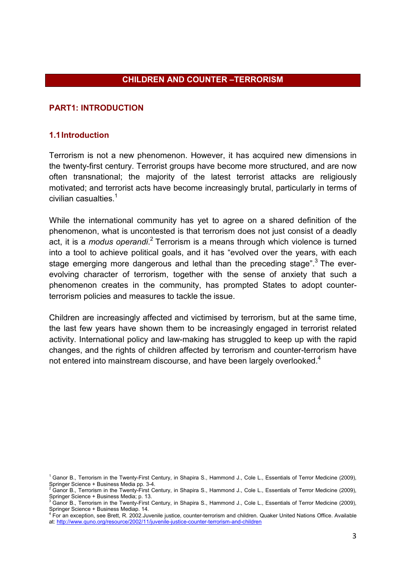### **CHILDREN AND COUNTER –TERRORISM**

#### **PART1: INTRODUCTION**

#### **1.1Introduction**

Terrorism is not a new phenomenon. However, it has acquired new dimensions in the twenty-first century. Terrorist groups have become more structured, and are now often transnational; the majority of the latest terrorist attacks are religiously motivated; and terrorist acts have become increasingly brutal, particularly in terms of civilian casualties. $1$ 

While the international community has yet to agree on a shared definition of the phenomenon, what is uncontested is that terrorism does not just consist of a deadly act, it is a *modus operandi*.<sup>2</sup> Terrorism is a means through which violence is turned into a tool to achieve political goals, and it has "evolved over the years, with each stage emerging more dangerous and lethal than the preceding stage".<sup>3</sup> The everevolving character of terrorism, together with the sense of anxiety that such a phenomenon creates in the community, has prompted States to adopt counterterrorism policies and measures to tackle the issue.

Children are increasingly affected and victimised by terrorism, but at the same time, the last few years have shown them to be increasingly engaged in terrorist related activity. International policy and law-making has struggled to keep up with the rapid changes, and the rights of children affected by terrorism and counter-terrorism have not entered into mainstream discourse, and have been largely overlooked.<sup>4</sup>

<sup>1</sup> Ganor B., Terrorism in the Twenty-First Century, in Shapira S., Hammond J., Cole L., Essentials of Terror Medicine (2009),

Springer Science + Business Media pp. 3-4.<br><sup>2</sup> Ganor B., Terrorism in the Twenty-First Century, in Shapira S., Hammond J., Cole L., Essentials of Terror Medicine (2009), Springer Science + Business Media; p. 13.<br>3 Caper B . Terrerism in the Twenty First.

Ganor B., Terrorism in the Twenty-First Century, in Shapira S., Hammond J., Cole L., Essentials of Terror Medicine (2009),

Springer Science + Business Mediap. 14.<br><sup>4</sup> For an exception, see Brett, R. 2002.Juvenile justice, counter-terrorism and children. Quaker United Nations Office. Available at: http://www.quno.org/resource/2002/11/juvenile-justice-counter-terrorism-and-children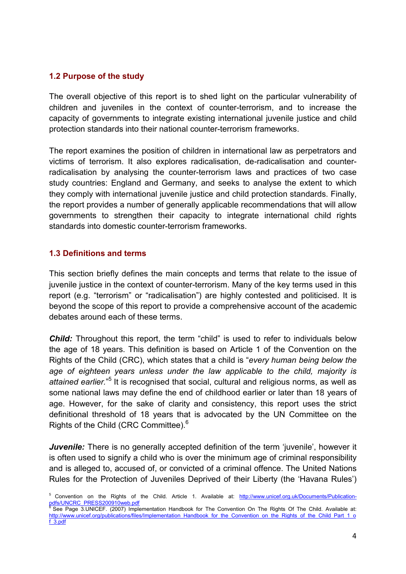### **1.2 Purpose of the study**

The overall objective of this report is to shed light on the particular vulnerability of children and juveniles in the context of counter-terrorism, and to increase the capacity of governments to integrate existing international juvenile justice and child protection standards into their national counter-terrorism frameworks.

The report examines the position of children in international law as perpetrators and victims of terrorism. It also explores radicalisation, de-radicalisation and counterradicalisation by analysing the counter-terrorism laws and practices of two case study countries: England and Germany, and seeks to analyse the extent to which they comply with international juvenile justice and child protection standards. Finally, the report provides a number of generally applicable recommendations that will allow governments to strengthen their capacity to integrate international child rights standards into domestic counter-terrorism frameworks.

## **1.3 Definitions and terms**

This section briefly defines the main concepts and terms that relate to the issue of juvenile justice in the context of counter-terrorism. Many of the key terms used in this report (e.g. "terrorism" or "radicalisation") are highly contested and politicised. It is beyond the scope of this report to provide a comprehensive account of the academic debates around each of these terms.

**Child:** Throughout this report, the term "child" is used to refer to individuals below the age of 18 years. This definition is based on Article 1 of the Convention on the Rights of the Child (CRC), which states that a child is "*every human being below the age of eighteen years unless under the law applicable to the child, majority is*  attained earlier."<sup>5</sup> It is recognised that social, cultural and religious norms, as well as some national laws may define the end of childhood earlier or later than 18 years of age. However, for the sake of clarity and consistency, this report uses the strict definitional threshold of 18 years that is advocated by the UN Committee on the Rights of the Child (CRC Committee).<sup>6</sup>

*Juvenile:* There is no generally accepted definition of the term 'juvenile', however it is often used to signify a child who is over the minimum age of criminal responsibility and is alleged to, accused of, or convicted of a criminal offence. The United Nations Rules for the Protection of Juveniles Deprived of their Liberty (the 'Havana Rules')

<sup>5</sup> Convention on the Rights of the Child. Article 1. Available at: http://www.unicef.org.uk/Documents/Publicationpdfs/UNCRC\_PRESS200910web.pdf<br>
6 See Base 3 UNICEE (2007) Impli

See Page 3.UNICEF. (2007) Implementation Handbook for The Convention On The Rights Of The Child. Available at: http://www.unicef.org/publications/files/Implementation\_Handbook\_for\_the\_Convention\_on\_the\_Rights\_of\_the\_Child\_Part\_1\_o f\_3.pdf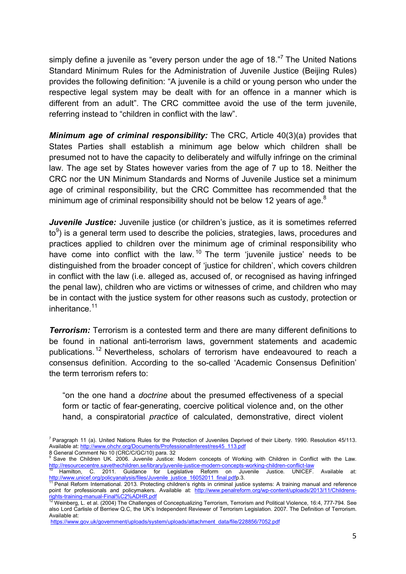simply define a juvenile as "every person under the age of 18."<sup>7</sup> The United Nations Standard Minimum Rules for the Administration of Juvenile Justice (Beijing Rules) provides the following definition: "A juvenile is a child or young person who under the respective legal system may be dealt with for an offence in a manner which is different from an adult". The CRC committee avoid the use of the term juvenile, referring instead to "children in conflict with the law".

*Minimum age of criminal responsibility:* The CRC, Article 40(3)(a) provides that States Parties shall establish a minimum age below which children shall be presumed not to have the capacity to deliberately and wilfully infringe on the criminal law. The age set by States however varies from the age of 7 up to 18. Neither the CRC nor the UN Minimum Standards and Norms of Juvenile Justice set a minimum age of criminal responsibility, but the CRC Committee has recommended that the minimum age of criminal responsibility should not be below 12 years of age. $^8$ 

*Juvenile Justice:* Juvenile justice (or children's justice, as it is sometimes referred to<sup>9</sup>) is a general term used to describe the policies, strategies, laws, procedures and practices applied to children over the minimum age of criminal responsibility who have come into conflict with the law.<sup>10</sup> The term 'juvenile justice' needs to be distinguished from the broader concept of 'justice for children', which covers children in conflict with the law (i.e. alleged as, accused of, or recognised as having infringed the penal law), children who are victims or witnesses of crime, and children who may be in contact with the justice system for other reasons such as custody, protection or inheritance. $11$ 

*Terrorism:* Terrorism is a contested term and there are many different definitions to be found in national anti-terrorism laws, government statements and academic publications.<sup>12</sup> Nevertheless, scholars of terrorism have endeavoured to reach a consensus definition. According to the so-called 'Academic Consensus Definition' the term terrorism refers to:

"on the one hand a *doctrine* about the presumed effectiveness of a special form or tactic of fear-generating, coercive political violence and, on the other hand, a conspiratorial *practice* of calculated, demonstrative, direct violent

<sup>&</sup>lt;sup>7</sup> Paragraph 11 (a). United Nations Rules for the Protection of Juveniles Deprived of their Liberty. 1990. Resolution 45/113. Available at: http://www.ohchr.org/Documents/ProfessionalInterest/res45\_113.pdf<br>8 General Comment No 10 (CRC/C/GC/10) para. 32

Save the Children UK. 2006. Juvenile Justice: Modern concepts of Working with Children in Conflict with the Law. http://resourcecentre.savethechildren.se/library/juvenile-justice-modern-concepts-working-children-conflict-law<br><sup>10</sup> Hamilton, C. 2011. Guidance for Legislative Reform on Juvenile Justice. UNICEF. Available at:

http://www.unicef.org/policyanalysis/files/Juvenile\_justice\_16052011\_final.pdfp.3.<br><sup>11</sup> Penal Reform International. 2013. Protecting children's rights in criminal justice systems: A training manual and reference

point for professionals and policymakers. Available at: http://www.penalreform.org/wp-content/uploads/2013/11/Childrens-<br>rights-training-manual-Final%C2%ADHR.pdf<br> $\frac{12 \text{ Moibhore}}{12 \text{ Moibhore}}$ 

Weinberg, L. et al. (2004) The Challenges of Conceptualizing Terrorism, Terrorism and Political Violence, 16:4, 777-794. See also Lord Carlisle of Berriew Q.C, the UK's Independent Reviewer of Terrorism Legislation. 2007. The Definition of Terrorism. Available at:

https://www.gov.uk/government/uploads/system/uploads/attachment\_data/file/228856/7052.pdf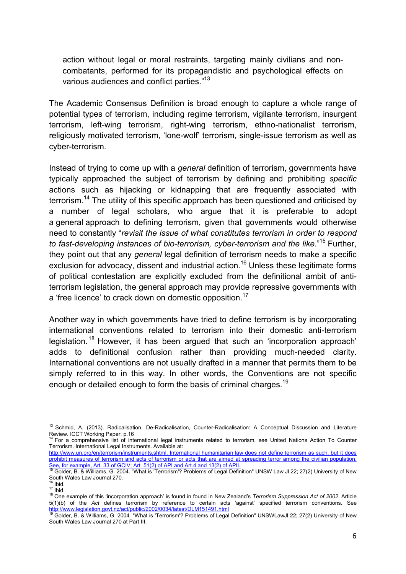action without legal or moral restraints, targeting mainly civilians and noncombatants, performed for its propagandistic and psychological effects on various audiences and conflict parties."<sup>13</sup>

The Academic Consensus Definition is broad enough to capture a whole range of potential types of terrorism, including regime terrorism, vigilante terrorism, insurgent terrorism, left-wing terrorism, right-wing terrorism, ethno-nationalist terrorism, religiously motivated terrorism, 'lone-wolf' terrorism, single-issue terrorism as well as cyber-terrorism.

Instead of trying to come up with a *general* definition of terrorism, governments have typically approached the subject of terrorism by defining and prohibiting *specific* actions such as hijacking or kidnapping that are frequently associated with terrorism.<sup>14</sup> The utility of this specific approach has been questioned and criticised by a number of legal scholars, who argue that it is preferable to adopt a general approach to defining terrorism, given that governments would otherwise need to constantly "*revisit the issue of what constitutes terrorism in order to respond*  to fast-developing instances of bio-terrorism, cyber-terrorism and the like."<sup>15</sup> Further, they point out that any *general* legal definition of terrorism needs to make a specific exclusion for advocacy, dissent and industrial action.<sup>16</sup> Unless these legitimate forms of political contestation are explicitly excluded from the definitional ambit of antiterrorism legislation, the general approach may provide repressive governments with a 'free licence' to crack down on domestic opposition.<sup>17</sup>

Another way in which governments have tried to define terrorism is by incorporating international conventions related to terrorism into their domestic anti-terrorism legislation.<sup>18</sup> However, it has been argued that such an 'incorporation approach' adds to definitional confusion rather than providing much-needed clarity. International conventions are not usually drafted in a manner that permits them to be simply referred to in this way. In other words, the Conventions are not specific enough or detailed enough to form the basis of criminal charges.<sup>19</sup>

<sup>&</sup>lt;sup>13</sup> Schmid, A. (2013). Radicalisation, De-Radicalisation, Counter-Radicalisation: A Conceptual Discussion and Literature Review. ICCT Working Paper. p.16<br><sup>14</sup> For a comprehensive list of international legal instruments related to terrorism, see United Nations Action To Counter

Terrorism. International Legal Instruments. Available at:

http://www.un.org/en/terrorism/instruments.shtml. International humanitarian law does not define terrorism as such, but it does prohibit measures of terrorism and acts of terrorism or acts that are aimed at spreading terror among the civilian population. See, for example, Art. 33 of GCIV; Art. 51(2) of API and Art.4 and 13(2) of APII.<br>15 Golder, B. & Williams, G. 2004. "What is 'Terrorism'? Problems of Legal Definition" UNSW Law Jl 22; 27(2) University of New

South Wales Law Journal 270.<br><sup>16</sup> Ibid

<sup>17</sup> Ibid.<br><sup>17</sup> Ibid.<br><sup>18</sup> One example of this 'incorporation approach' is found in found in New Zealand's *Terrorism Suppression Act of 2002*. Article 5(1)(b) of the *Act* defines terrorism by reference to certain acts 'against' specified terrorism conventions. See

<sup>&</sup>lt;u>http://www.legislation.govt.nz/act/public/2002/0034/latest/DLM151491.html</u><br><sup>19</sup> Golder, B. & Williams, G. 2004. "What is 'Terrorism'? Problems of Legal Definition" UNSWLawJl 22; 27(2) University of New South Wales Law Journal 270 at Part III.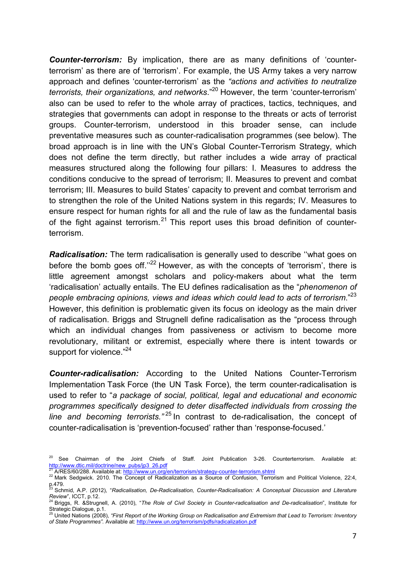*Counter-terrorism:* By implication, there are as many definitions of 'counterterrorism' as there are of 'terrorism'. For example, the US Army takes a very narrow approach and defines 'counter-terrorism' as the *"actions and activities to neutralize terrorists, their organizations, and networks*."20 However, the term 'counter-terrorism' also can be used to refer to the whole array of practices, tactics, techniques, and strategies that governments can adopt in response to the threats or acts of terrorist groups. Counter-terrorism, understood in this broader sense, can include preventative measures such as counter-radicalisation programmes (see below). The broad approach is in line with the UN's Global Counter-Terrorism Strategy, which does not define the term directly, but rather includes a wide array of practical measures structured along the following four pillars: I. Measures to address the conditions conducive to the spread of terrorism; II. Measures to prevent and combat terrorism; III. Measures to build States' capacity to prevent and combat terrorism and to strengthen the role of the United Nations system in this regards; IV. Measures to ensure respect for human rights for all and the rule of law as the fundamental basis of the fight against terrorism.<sup>21</sup> This report uses this broad definition of counterterrorism.

*Radicalisation:* The term radicalisation is generally used to describe "what goes on before the bomb goes off. $122$  However, as with the concepts of 'terrorism', there is little agreement amongst scholars and policy-makers about what the term 'radicalisation' actually entails. The EU defines radicalisation as the "*phenomenon of people embracing opinions, views and ideas which could lead to acts of terrorism*."23 However, this definition is problematic given its focus on ideology as the main driver of radicalisation. Briggs and Strugnell define radicalisation as the "process through which an individual changes from passiveness or activism to become more revolutionary, militant or extremist, especially where there is intent towards or support for violence."<sup>24</sup>

*Counter-radicalisation:* According to the United Nations Counter-Terrorism Implementation Task Force (the UN Task Force), the term counter-radicalisation is used to refer to "*a package of social, political, legal and educational and economic programmes specifically designed to deter disaffected individuals from crossing the line and becoming terrorists.*<sup>25</sup> In contrast to de-radicalisation, the concept of counter-radicalisation is 'prevention-focused' rather than 'response-focused.'

<sup>&</sup>lt;sup>20</sup> See Chairman of the Joint Chiefs of Staff. Joint Publication 3-26. Counterterrorism. Available at: لا المعادة المستعدد المستعدد المعادة المستعدد المعادة المستعدد المعادة المستعدد http://www.dtic.mil/doctrine/new\_pubs/jp3\_26.pdf<br><sup>21</sup> A/RES/60/288. Available at: http://www.un.org/en/terrorism/strategy-counter-terrorism.s

<sup>22</sup> Mark Sedgwick. 2010. The Concept of Radicalization as a Source of Confusion, Terrorism and Political Violence, 22:4,

p.479. 23 Schmid, A.P. (2012), "*Radicalisation, De-Radicalisation, Counter-Radicalisation: A Conceptual Discussion and Literature Review*", ICCT, p.12. 24 Briggs, R. &Strugnell, A. (2010), "*The Role of Civil Society in Counter-radicalisation and De-radicalisation*", Institute for

Strategic Dialogue, p.1.<br><sup>25</sup> United Nations (2008), *"First Report of the Working Group on Radicalisation and Extremism that Lead to Terrorism: Inventory* 

*of State Programmes".* Available at: http://www.un.org/terrorism/pdfs/radicalization.pdf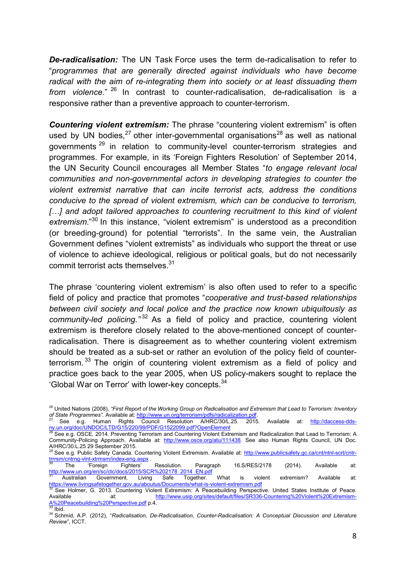*De-radicalisation:* The UN Task Force uses the term de-radicalisation to refer to "*programmes that are generally directed against individuals who have become radical with the aim of re-integrating them into society or at least dissuading them from violence.*" 26 In contrast to counter-radicalisation, de-radicalisation is a responsive rather than a preventive approach to counter-terrorism.

*Countering violent extremism:* The phrase "countering violent extremism" is often used by UN bodies,  $27$  other inter-governmental organisations  $28$  as well as national governments 29 in relation to community-level counter-terrorism strategies and programmes. For example, in its 'Foreign Fighters Resolution' of September 2014, the UN Security Council encourages all Member States "*to engage relevant local communities and non-governmental actors in developing strategies to counter the violent extremist narrative that can incite terrorist acts, address the conditions conducive to the spread of violent extremism, which can be conducive to terrorism,*  [...] and adopt tailored approaches to countering recruitment to this kind of violent *extremism*."30 In this instance, "violent extremism" is understood as a precondition (or breeding-ground) for potential "terrorists". In the same vein, the Australian Government defines "violent extremists" as individuals who support the threat or use of violence to achieve ideological, religious or political goals, but do not necessarily commit terrorist acts themselves.<sup>31</sup>

The phrase 'countering violent extremism' is also often used to refer to a specific field of policy and practice that promotes "*cooperative and trust-based relationships between civil society and local police and the practice now known ubiquitously as community-led policing."* 32 As a field of policy and practice, countering violent extremism is therefore closely related to the above-mentioned concept of counterradicalisation. There is disagreement as to whether countering violent extremism should be treated as a sub-set or rather an evolution of the policy field of counterterrorism.<sup>33</sup> The origin of countering violent extremism as a field of policy and practice goes back to the year 2005, when US policy-makers sought to replace the 'Global War on Terror' with lower-key concepts.34

<sup>&</sup>lt;sup>26</sup> United Nations (2008), *"First Report of the Working Group on Radicalisation and Extremism that Lead to Terrorism: Inventory of State Programmes". Available at: http://www.un.org/terrorism/pdfs/radicalization.pdf.* 

See e.g. Human Rights Council Resolution A/HRC/30/L.25. 2015. Available at: http://daccess-ddsny.un.org/doc/UNDOC/LTD/G15/220/99/PDF/G1522099.pdf?OpenElement<br><sup>28</sup> See e.g. OSCE. 2014. Preventing Terrorism and Countering Violent Extremism and Radicalization that Lead to Terrorism: A

Community-Policing Approach. Available at: http://www.osce.org/atu/111438. See also Human Rights Council, UN Doc. A/HRC/30.L.25 29 September 2015.

<sup>29</sup> See e.g. Public Safety Canada. Countering Violent Extremism. Available at: http://www.publicsafety.gc.ca/cnt/ntnl-scrt/cntrtrrrsm/cntrng-vlnt-xtrmsm/index-eng.aspx .<br><sup>30</sup> The 'Foreign Fighters' Resolution. Paragraph 16.S/RES/2178 (2014). Available at:

http://www.un.org/en/sc/ctc/docs/2015/SCR%202178\_2014\_EN.pdf<br><sup>31</sup> Australian Government. Living Safe Together. What is violent extremism? Available at:

https://www.livingsafetogether.gov.au/aboutus/Documents/what-is-violent-extremism.pdf<br>
32 See Holmer, G. 2013. Countering Violent Extremism: A Peacebuilding Perspective. United States Institute of Peace.<br>
Available at: htt Available at: http://www.usip.org/sites/default/f<br>  $\frac{A\%20Peacebuilding\%20Perspective.pdf}{33}$  p.4.

<sup>&</sup>lt;sup>34</sup> Schmid, A.P. (2012), "Radicalisation, De-Radicalisation, Counter-Radicalisation: A Conceptual Discussion and Literature *Review*", ICCT.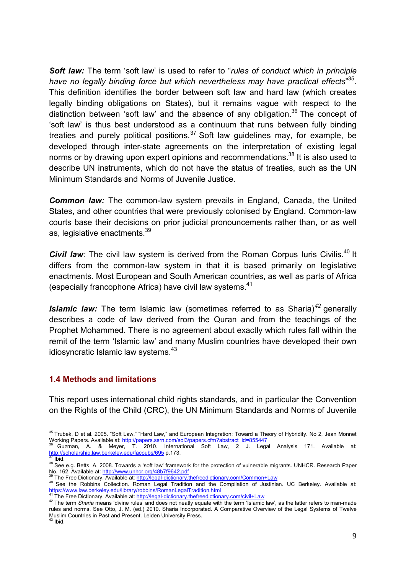*Soft law:* The term 'soft law' is used to refer to "*rules of conduct which in principle have no legally binding force but which nevertheless may have practical effects*" 35. This definition identifies the border between soft law and hard law (which creates legally binding obligations on States), but it remains vague with respect to the distinction between 'soft law' and the absence of any obligation.<sup>36</sup> The concept of 'soft law' is thus best understood as a continuum that runs between fully binding treaties and purely political positions.<sup>37</sup> Soft law quidelines may, for example, be developed through inter-state agreements on the interpretation of existing legal norms or by drawing upon expert opinions and recommendations.<sup>38</sup> It is also used to describe UN instruments, which do not have the status of treaties, such as the UN Minimum Standards and Norms of Juvenile Justice.

*Common law:* The common-law system prevails in England, Canada, the United States, and other countries that were previously colonised by England. Common-law courts base their decisions on prior judicial pronouncements rather than, or as well as, legislative enactments.<sup>39</sup>

**Civil law**: The civil law system is derived from the Roman Corpus Iuris Civilis.<sup>40</sup> It differs from the common-law system in that it is based primarily on legislative enactments. Most European and South American countries, as well as parts of Africa (especially francophone Africa) have civil law systems.<sup>41</sup>

*Islamic law:* The term Islamic law (sometimes referred to as Sharia) *<sup>42</sup>* generally describes a code of law derived from the Quran and from the teachings of the Prophet Mohammed. There is no agreement about exactly which rules fall within the remit of the term 'Islamic law' and many Muslim countries have developed their own idiosyncratic Islamic law systems. $43$ 

#### **1.4 Methods and limitations**

This report uses international child rights standards, and in particular the Convention on the Rights of the Child (CRC), the UN Minimum Standards and Norms of Juvenile

<sup>&</sup>lt;sup>35</sup> Trubek, D et al. 2005. "Soft Law," "Hard Law," and European Integration: Toward a Theory of Hybridity. No 2, Jean Monnet<br>Working Papers. Available at: http://papers.ssm.com/sol3/papers.cfm?abstract\_id=855447

Working Papers. A. & Meyer, T. 2010. International Soft Law, 2 J. Legal Analysis 171. Available at:<br>http://scholarship.law.berkeley.edu/facpubs/695 p.173.<br><sup>37</sup> Ibid.

<sup>&</sup>lt;sup>38</sup> See e.g. Betts, A. 2008. Towards a 'soft law' framework for the protection of vulnerable migrants. UNHCR. Research Paper No. 162. Available at: http://www.unhcr.org/48b7f9642.pdf<br><sup>39</sup> The Free Dictionary. Available at: http://wegal-dictionary.thefreedictionary.com/Common+Law<br><sup>40</sup> See the Robbins Collection. Roman Legal Tradition and the Comp

https://www.law.berkeley.edu/library/robbins/RomanLegalTradition.html<br><sup>41</sup> The Free Dictionary. Available at: http://legal-dictionary.thefreedictionary.com/civil+Law

<sup>&</sup>lt;sup>42</sup> The term Sharia means 'divine rules' and does not neatly equate with the term 'Islamic law', as the latter refers to man-made rules and norms. See Otto, J. M. (ed.) 2010. Sharia Incorporated. A Comparative Overview of the Legal Systems of Twelve Muslim Countries in Past and Present. Leiden University Press.<br><sup>43</sup> Ibid.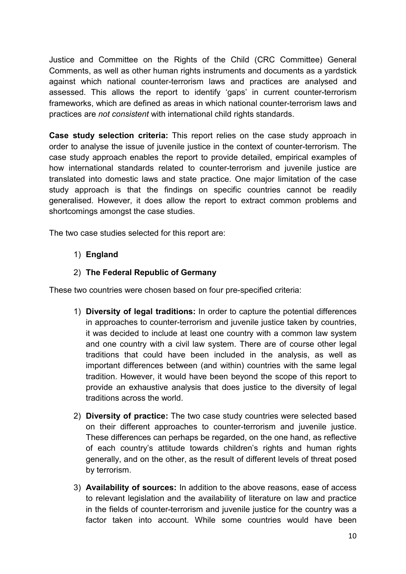Justice and Committee on the Rights of the Child (CRC Committee) General Comments, as well as other human rights instruments and documents as a yardstick against which national counter-terrorism laws and practices are analysed and assessed. This allows the report to identify 'gaps' in current counter-terrorism frameworks, which are defined as areas in which national counter-terrorism laws and practices are *not consistent* with international child rights standards.

**Case study selection criteria:** This report relies on the case study approach in order to analyse the issue of juvenile justice in the context of counter-terrorism. The case study approach enables the report to provide detailed, empirical examples of how international standards related to counter-terrorism and juvenile justice are translated into domestic laws and state practice. One major limitation of the case study approach is that the findings on specific countries cannot be readily generalised. However, it does allow the report to extract common problems and shortcomings amongst the case studies.

The two case studies selected for this report are:

# 1) **England**

# 2) **The Federal Republic of Germany**

These two countries were chosen based on four pre-specified criteria:

- 1) **Diversity of legal traditions:** In order to capture the potential differences in approaches to counter-terrorism and juvenile justice taken by countries, it was decided to include at least one country with a common law system and one country with a civil law system. There are of course other legal traditions that could have been included in the analysis, as well as important differences between (and within) countries with the same legal tradition. However, it would have been beyond the scope of this report to provide an exhaustive analysis that does justice to the diversity of legal traditions across the world.
- 2) **Diversity of practice:** The two case study countries were selected based on their different approaches to counter-terrorism and juvenile justice. These differences can perhaps be regarded, on the one hand, as reflective of each country's attitude towards children's rights and human rights generally, and on the other, as the result of different levels of threat posed by terrorism.
- 3) **Availability of sources:** In addition to the above reasons, ease of access to relevant legislation and the availability of literature on law and practice in the fields of counter-terrorism and juvenile justice for the country was a factor taken into account. While some countries would have been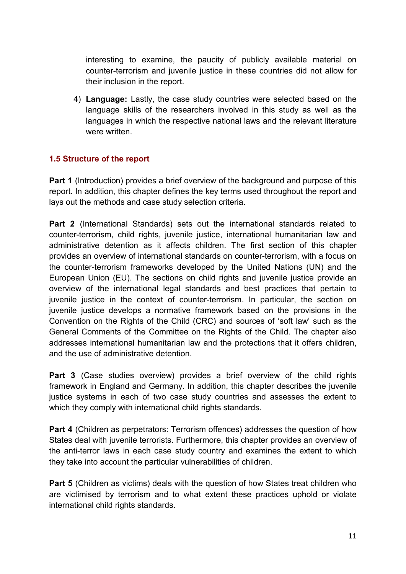interesting to examine, the paucity of publicly available material on counter-terrorism and juvenile justice in these countries did not allow for their inclusion in the report.

4) **Language:** Lastly, the case study countries were selected based on the language skills of the researchers involved in this study as well as the languages in which the respective national laws and the relevant literature were written.

# **1.5 Structure of the report**

**Part 1** (Introduction) provides a brief overview of the background and purpose of this report. In addition, this chapter defines the key terms used throughout the report and lays out the methods and case study selection criteria.

**Part 2** (International Standards) sets out the international standards related to counter-terrorism, child rights, juvenile justice, international humanitarian law and administrative detention as it affects children. The first section of this chapter provides an overview of international standards on counter-terrorism, with a focus on the counter-terrorism frameworks developed by the United Nations (UN) and the European Union (EU). The sections on child rights and juvenile justice provide an overview of the international legal standards and best practices that pertain to juvenile justice in the context of counter-terrorism. In particular, the section on juvenile justice develops a normative framework based on the provisions in the Convention on the Rights of the Child (CRC) and sources of 'soft law' such as the General Comments of the Committee on the Rights of the Child. The chapter also addresses international humanitarian law and the protections that it offers children, and the use of administrative detention.

**Part 3** (Case studies overview) provides a brief overview of the child rights framework in England and Germany. In addition, this chapter describes the juvenile justice systems in each of two case study countries and assesses the extent to which they comply with international child rights standards.

**Part 4** (Children as perpetrators: Terrorism offences) addresses the question of how States deal with juvenile terrorists. Furthermore, this chapter provides an overview of the anti-terror laws in each case study country and examines the extent to which they take into account the particular vulnerabilities of children.

**Part 5** (Children as victims) deals with the question of how States treat children who are victimised by terrorism and to what extent these practices uphold or violate international child rights standards.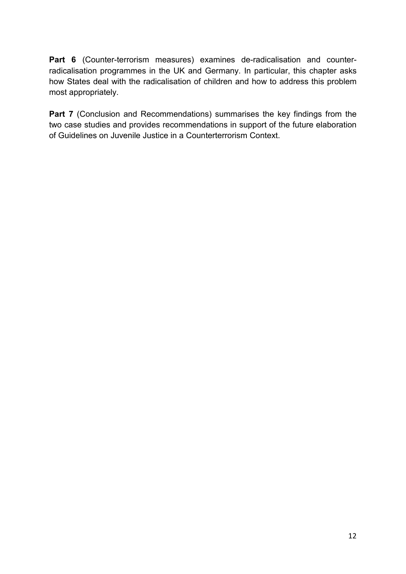**Part 6** (Counter-terrorism measures) examines de-radicalisation and counterradicalisation programmes in the UK and Germany. In particular, this chapter asks how States deal with the radicalisation of children and how to address this problem most appropriately.

Part 7 (Conclusion and Recommendations) summarises the key findings from the two case studies and provides recommendations in support of the future elaboration of Guidelines on Juvenile Justice in a Counterterrorism Context.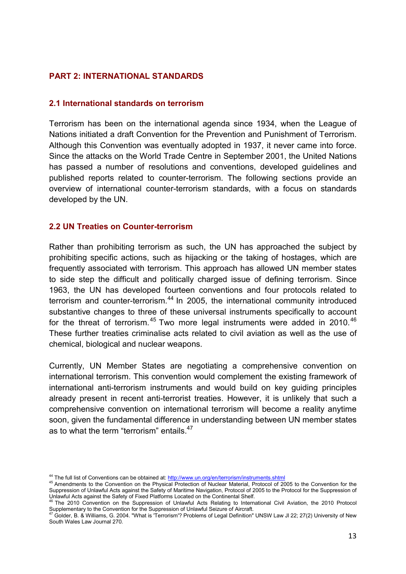## **PART 2: INTERNATIONAL STANDARDS**

#### **2.1 International standards on terrorism**

Terrorism has been on the international agenda since 1934, when the League of Nations initiated a draft Convention for the Prevention and Punishment of Terrorism. Although this Convention was eventually adopted in 1937, it never came into force. Since the attacks on the World Trade Centre in September 2001, the United Nations has passed a number of resolutions and conventions, developed guidelines and published reports related to counter-terrorism. The following sections provide an overview of international counter-terrorism standards, with a focus on standards developed by the UN.

#### **2.2 UN Treaties on Counter-terrorism**

Rather than prohibiting terrorism as such, the UN has approached the subject by prohibiting specific actions, such as hijacking or the taking of hostages, which are frequently associated with terrorism. This approach has allowed UN member states to side step the difficult and politically charged issue of defining terrorism. Since 1963, the UN has developed fourteen conventions and four protocols related to terrorism and counter-terrorism.<sup>44</sup> In 2005, the international community introduced substantive changes to three of these universal instruments specifically to account for the threat of terrorism.<sup>45</sup> Two more legal instruments were added in 2010.<sup>46</sup> These further treaties criminalise acts related to civil aviation as well as the use of chemical, biological and nuclear weapons.

Currently, UN Member States are negotiating a comprehensive convention on international terrorism. This convention would complement the existing framework of international anti-terrorism instruments and would build on key guiding principles already present in recent anti-terrorist treaties. However, it is unlikely that such a comprehensive convention on international terrorism will become a reality anytime soon, given the fundamental difference in understanding between UN member states as to what the term "terrorism" entails.<sup>47</sup>

<sup>&</sup>lt;sup>44</sup> The full list of Conventions can be obtained at: http://www.un.org/en/terrorism/instruments.shtml<br><sup>45</sup> Amendments to the Convention on the Physical Protection of Nuclear Material, Protocol of 2005 to the Convention fo Suppression of Unlawful Acts against the Safety of Maritime Navigation, Protocol of 2005 to the Protocol for the Suppression of Unlawful Acts against the Safety of Fixed Platforms Located on the Continental Shelf.

The 2010 Convention on the Suppression of Unlawful Acts Relating to International Civil Aviation, the 2010 Protocol

Supplementary to the Convention for the Suppression of Unlawful Seizure of Aircraft.<br><sup>47</sup> Golder, B. & Williams, G. 2004. "What is 'Terrorism'? Problems of Legal Definition" UNSW Law Jl 22; 27(2) University of New South Wales Law Journal 270.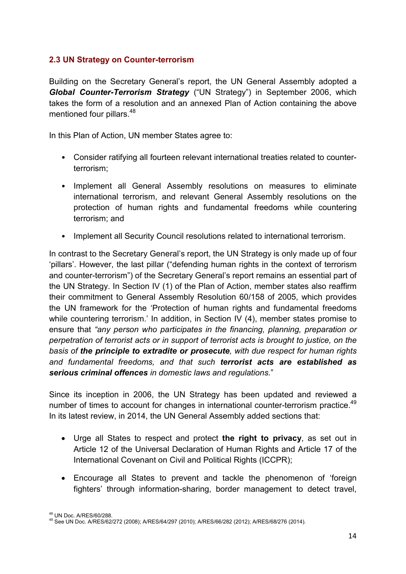# **2.3 UN Strategy on Counter-terrorism**

Building on the Secretary General's report, the UN General Assembly adopted a *Global Counter-Terrorism Strategy* ("UN Strategy") in September 2006, which takes the form of a resolution and an annexed Plan of Action containing the above mentioned four pillars.<sup>48</sup>

In this Plan of Action, UN member States agree to:

- Consider ratifying all fourteen relevant international treaties related to counterterrorism;
- Implement all General Assembly resolutions on measures to eliminate international terrorism, and relevant General Assembly resolutions on the protection of human rights and fundamental freedoms while countering terrorism; and
- Implement all Security Council resolutions related to international terrorism.

In contrast to the Secretary General's report, the UN Strategy is only made up of four 'pillars'. However, the last pillar ("defending human rights in the context of terrorism and counter-terrorism") of the Secretary General's report remains an essential part of the UN Strategy. In Section IV (1) of the Plan of Action, member states also reaffirm their commitment to General Assembly Resolution 60/158 of 2005, which provides the UN framework for the 'Protection of human rights and fundamental freedoms while countering terrorism.' In addition, in Section IV (4), member states promise to ensure that *"any person who participates in the financing, planning, preparation or perpetration of terrorist acts or in support of terrorist acts is brought to justice, on the basis of the principle to extradite or prosecute, with due respect for human rights and fundamental freedoms, and that such terrorist acts are established as serious criminal offences in domestic laws and regulations.*"

Since its inception in 2006, the UN Strategy has been updated and reviewed a number of times to account for changes in international counter-terrorism practice.<sup>49</sup> In its latest review, in 2014, the UN General Assembly added sections that:

- Urge all States to respect and protect **the right to privacy**, as set out in Article 12 of the Universal Declaration of Human Rights and Article 17 of the International Covenant on Civil and Political Rights (ICCPR);
- Encourage all States to prevent and tackle the phenomenon of 'foreign fighters' through information-sharing, border management to detect travel,

<sup>&</sup>lt;sup>48</sup> UN Doc. A/RES/60/288.<br><sup>49</sup> See UN Doc. A/RES/62/272 (2008); A/RES/64/297 (2010); A/RES/66/282 (2012); A/RES/68/276 (2014).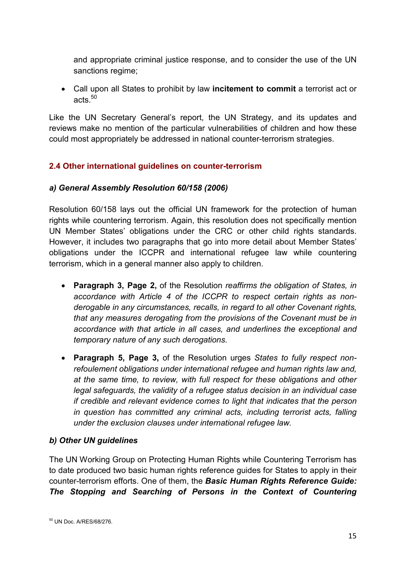and appropriate criminal justice response, and to consider the use of the UN sanctions regime;

 Call upon all States to prohibit by law **incitement to commit** a terrorist act or acts. $50$ 

Like the UN Secretary General's report, the UN Strategy, and its updates and reviews make no mention of the particular vulnerabilities of children and how these could most appropriately be addressed in national counter-terrorism strategies.

# **2.4 Other international guidelines on counter-terrorism**

## *a) General Assembly Resolution 60/158 (2006)*

Resolution 60/158 lays out the official UN framework for the protection of human rights while countering terrorism. Again, this resolution does not specifically mention UN Member States' obligations under the CRC or other child rights standards. However, it includes two paragraphs that go into more detail about Member States' obligations under the ICCPR and international refugee law while countering terrorism, which in a general manner also apply to children.

- **Paragraph 3, Page 2,** of the Resolution *reaffirms the obligation of States, in accordance with Article 4 of the ICCPR to respect certain rights as nonderogable in any circumstances, recalls, in regard to all other Covenant rights, that any measures derogating from the provisions of the Covenant must be in accordance with that article in all cases, and underlines the exceptional and temporary nature of any such derogations.*
- **Paragraph 5, Page 3,** of the Resolution urges *States to fully respect nonrefoulement obligations under international refugee and human rights law and, at the same time, to review, with full respect for these obligations and other legal safeguards, the validity of a refugee status decision in an individual case if credible and relevant evidence comes to light that indicates that the person in question has committed any criminal acts, including terrorist acts, falling under the exclusion clauses under international refugee law.*

# *b) Other UN guidelines*

The UN Working Group on Protecting Human Rights while Countering Terrorism has to date produced two basic human rights reference guides for States to apply in their counter-terrorism efforts. One of them, the *Basic Human Rights Reference Guide: The Stopping and Searching of Persons in the Context of Countering*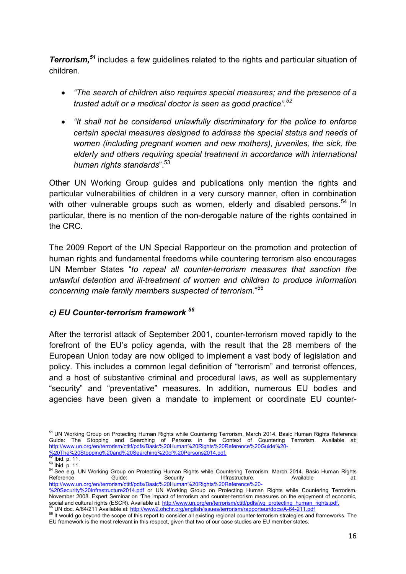*Terrorism,51* includes a few guidelines related to the rights and particular situation of children.

- *"The search of children also requires special measures; and the presence of a trusted adult or a medical doctor is seen as good practice".<sup>52</sup>*
- *"It shall not be considered unlawfully discriminatory for the police to enforce certain special measures designed to address the special status and needs of women (including pregnant women and new mothers), juveniles, the sick, the elderly and others requiring special treatment in accordance with international human rights standards*".53

Other UN Working Group guides and publications only mention the rights and particular vulnerabilities of children in a very cursory manner, often in combination with other vulnerable groups such as women, elderly and disabled persons.<sup>54</sup> In particular, there is no mention of the non-derogable nature of the rights contained in the CRC.

The 2009 Report of the UN Special Rapporteur on the promotion and protection of human rights and fundamental freedoms while countering terrorism also encourages UN Member States "*to repeal all counter-terrorism measures that sanction the unlawful detention and ill-treatment of women and children to produce information concerning male family members suspected of terrorism*."<sup>55</sup>

# *c) EU Counter-terrorism framework <sup>56</sup>*

After the terrorist attack of September 2001, counter-terrorism moved rapidly to the forefront of the EU's policy agenda, with the result that the 28 members of the European Union today are now obliged to implement a vast body of legislation and policy. This includes a common legal definition of "terrorism" and terrorist offences, and a host of substantive criminal and procedural laws, as well as supplementary "security" and "preventative" measures. In addition, numerous EU bodies and agencies have been given a mandate to implement or coordinate EU counter-

<sup>55</sup> UN doc. A/64/211 Available at: http://www2.ohchr.org/english/issues/terrorism/rapporteur/docs/A-64-211.pdf<br><sup>56</sup> It would go beyond the scope of this report to consider all existing regional counter-terrorism strategie

<sup>51</sup> UN Working Group on Protecting Human Rights while Countering Terrorism. March 2014. Basic Human Rights Reference Guide: The Stopping and Searching of Persons in the Context of Countering Terrorism. Available at: http://www.un.org/en/terrorism/ctitf/pdfs/Basic%20Human%20Rights%20Reference%20Guide%20-

<sup>%20</sup>The%20Stopping%20and%20Searching%20of%20Persons2014.pdf.<br>
52 Ibid. p. 11.<br>
53 Ibid. p. 11.<br>
54 See e.g. UN Working Group on Protecting Human Rights while Countering Terrorism. March 2014. Basic Human Rights<br>
Reference G Reference Guide: Security Infrastructure. Available at: http://www.un.org/en/terrorism/ctitf/pdfs/Basic%20Human%20Rights%20Reference%20-

<sup>%20</sup>Security%20Infrastructure2014.pdf or UN Working Group on Protecting Human Rights while Countering Terrorism. November 2008. Expert Seminar on 'The impact of terrorism and counter-terrorism measures on the enjoyment of economic, social and cultural rights (ESCR). Available at: http://www.un.org/en/terrorism/ctitf/pdfs/wg\_protectin

EU framework is the most relevant in this respect, given that two of our case studies are EU member states.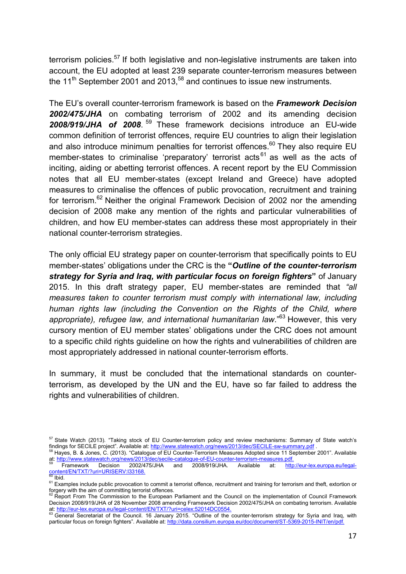terrorism policies.<sup>57</sup> If both legislative and non-legislative instruments are taken into account, the EU adopted at least 239 separate counter-terrorism measures between the  $11<sup>th</sup>$  September 2001 and 2013,<sup>58</sup> and continues to issue new instruments.

The EU's overall counter-terrorism framework is based on the *Framework Decision 2002/475/JHA* on combating terrorism of 2002 and its amending decision *2008/919/JHA of 2008*. 59 These framework decisions introduce an EU-wide common definition of terrorist offences, require EU countries to align their legislation and also introduce minimum penalties for terrorist offences.<sup>60</sup> They also require EU member-states to criminalise 'preparatory' terrorist acts<sup>61</sup> as well as the acts of inciting, aiding or abetting terrorist offences. A recent report by the EU Commission notes that all EU member-states (except Ireland and Greece) have adopted measures to criminalise the offences of public provocation, recruitment and training for terrorism.<sup>62</sup> Neither the original Framework Decision of 2002 nor the amending decision of 2008 make any mention of the rights and particular vulnerabilities of children, and how EU member-states can address these most appropriately in their national counter-terrorism strategies.

The only official EU strategy paper on counter-terrorism that specifically points to EU member-states' obligations under the CRC is the **"***Outline of the counter-terrorism strategy for Syria and Iraq, with particular focus on foreign fighters***"** of January 2015. In this draft strategy paper, EU member-states are reminded that *"all measures taken to counter terrorism must comply with international law, including human rights law (including the Convention on the Rights of the Child, where appropriate), refugee law, and international humanitarian law*."63 However, this very cursory mention of EU member states' obligations under the CRC does not amount to a specific child rights guideline on how the rights and vulnerabilities of children are most appropriately addressed in national counter-terrorism efforts.

In summary, it must be concluded that the international standards on counterterrorism, as developed by the UN and the EU, have so far failed to address the rights and vulnerabilities of children.

forgery with the aim of committing terrorist offences.<br><sup>62</sup> Report From The Commission to the European Parliament and the Council on the implementation of Council Framework Decision 2008/919/JHA of 28 November 2008 amending Framework Decision 2002/475/JHA on combating terrorism. Available at: http://eur-lex.europa.eu/legal-content/EN/TXT/?uri=celex:52014DC0554. If the counter-terrorism strategy for Syria and Iraq, with<br><sup>63</sup> General Secretariat of the Council. 16 January 2015. "Outline of the counter-terrori

<sup>&</sup>lt;sup>57</sup> State Watch (2013). "Taking stock of EU Counter-terrorism policy and review mechanisms: Summary of State watch's findings for SECILE project". Available at: http://www.statewatch.org/news/2013/dec/SECILE-sw-summary.pd

Hayes, B. & Jones, C. (2013). "Catalogue of EU Counter-Terrorism Measures Adopted since 11 September 2001". Available

at: http://www.statewatch.org/news/2013/dec/secile-catalogue-of-EU-counter-terrorism-measures.pdf.<br>
<sup>59</sup> Framework Decision 2002/475/JHA and 2008/919/JHA. Available at: http://eur-lex.europa.eu/legal-<br>
<u>Solitich.</u><br>
59 Ibid

<sup>&</sup>lt;sup>61</sup> Examples include public provocation to commit a terrorist offence, recruitment and training for terrorism and theft, extortion or

particular focus on foreign fighters". Available at: http://data.consilium.europa.eu/doc/document/ST-5369-2015-INIT/en/pdf.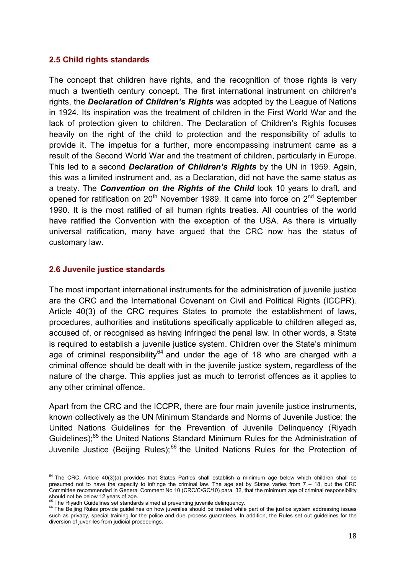#### **2.5 Child rights standards**

The concept that children have rights, and the recognition of those rights is very much a twentieth century concept. The first international instrument on children's rights, the *Declaration of Children's Rights* was adopted by the League of Nations in 1924. Its inspiration was the treatment of children in the First World War and the lack of protection given to children. The Declaration of Children's Rights focuses heavily on the right of the child to protection and the responsibility of adults to provide it. The impetus for a further, more encompassing instrument came as a result of the Second World War and the treatment of children, particularly in Europe. This led to a second *Declaration of Children's Rights* by the UN in 1959. Again, this was a limited instrument and, as a Declaration, did not have the same status as a treaty. The *Convention on the Rights of the Child* took 10 years to draft, and opened for ratification on  $20<sup>th</sup>$  November 1989. It came into force on  $2<sup>nd</sup>$  September 1990. It is the most ratified of all human rights treaties. All countries of the world have ratified the Convention with the exception of the USA. As there is virtually universal ratification, many have argued that the CRC now has the status of customary law.

#### **2.6 Juvenile justice standards**

The most important international instruments for the administration of juvenile justice are the CRC and the International Covenant on Civil and Political Rights (ICCPR). Article 40(3) of the CRC requires States to promote the establishment of laws, procedures, authorities and institutions specifically applicable to children alleged as, accused of, or recognised as having infringed the penal law. In other words, a State is required to establish a juvenile justice system. Children over the State's minimum age of criminal responsibility<sup>64</sup> and under the age of 18 who are charged with a criminal offence should be dealt with in the juvenile justice system, regardless of the nature of the charge. This applies just as much to terrorist offences as it applies to any other criminal offence.

Apart from the CRC and the ICCPR, there are four main juvenile justice instruments, known collectively as the UN Minimum Standards and Norms of Juvenile Justice: the United Nations Guidelines for the Prevention of Juvenile Delinquency (Riyadh Guidelines);<sup>65</sup> the United Nations Standard Minimum Rules for the Administration of Juvenile Justice (Beijing Rules);<sup>66</sup> the United Nations Rules for the Protection of

<sup>&</sup>lt;sup>64</sup> The CRC, Article 40(3)(a) provides that States Parties shall establish a minimum age below which children shall be presumed not to have the capacity to infringe the criminal law. The age set by States varies from 7 – 18, but the CRC Committee recommended in General Comment No 10 (CRC/C/GC/10) para. 32, that the minimum age of criminal responsibility should not be below 12 years of age.<br>
<sup>65</sup> The Riyadh Guidelines set standards aimed at preventing juvenile delinquency.<br>
<sup>66</sup> The Beijing Rules provide guidelines on how juveniles should be treated while part of the justi

such as privacy, special training for the police and due process guarantees. In addition, the Rules set out guidelines for the diversion of juveniles from judicial proceedings.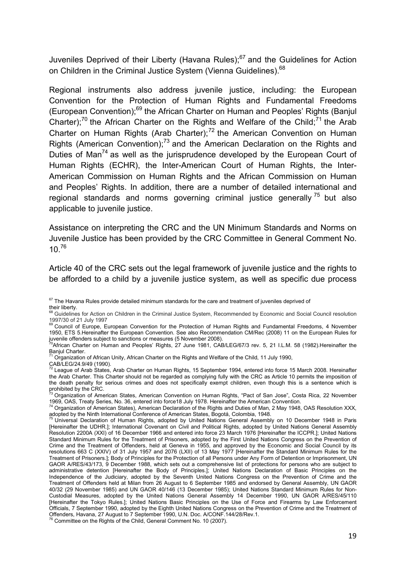Juveniles Deprived of their Liberty (Havana Rules); $67$  and the Guidelines for Action on Children in the Criminal Justice System (Vienna Guidelines).<sup>68</sup>

Regional instruments also address juvenile justice, including: the European Convention for the Protection of Human Rights and Fundamental Freedoms (European Convention);69 the African Charter on Human and Peoples' Rights (Banjul Charter);<sup>70</sup> the African Charter on the Rights and Welfare of the Child;<sup>71</sup> the Arab Charter on Human Rights (Arab Charter); $<sup>72</sup>$  the American Convention on Human</sup> Rights (American Convention);<sup>73</sup> and the American Declaration on the Rights and Duties of Man<sup>74</sup> as well as the jurisprudence developed by the European Court of Human Rights (ECHR), the Inter-American Court of Human Rights, the Inter-American Commission on Human Rights and the African Commission on Human and Peoples' Rights. In addition, there are a number of detailed international and regional standards and norms governing criminal justice generally<sup>75</sup> but also applicable to juvenile justice.

Assistance on interpreting the CRC and the UN Minimum Standards and Norms on Juvenile Justice has been provided by the CRC Committee in General Comment No. 10 $76$ 

Article 40 of the CRC sets out the legal framework of juvenile justice and the rights to be afforded to a child by a juvenile justice system, as well as specific due process

 $67$  The Havana Rules provide detailed minimum standards for the care and treatment of juveniles deprived of their liberty.

<sup>68</sup> Guidelines for Action on Children in the Criminal Justice System, Recommended by Economic and Social Council resolution 1997/30 of 21 July 1997

<sup>69</sup> Council of Europe, European Convention for the Protection of Human Rights and Fundamental Freedoms, 4 November 1950, ETS 5.Hereinafter the European Convention. See also Recommendation CM/Rec (2008) 11 on the European Rules for juvenile offenders subject to sanctions or measures (5 November 2008).

<sup>&</sup>lt;sup>0</sup>African Charter on Human and Peoples' Rights, 27 June 1981, CAB/LEG/67/3 rev. 5, 21 I.L.M. 58 (1982).Hereinafter the Banjul Charter.

<sup>71</sup> Organization of African Unity, African Charter on the Rights and Welfare of the Child, 11 July 1990,

CAB/LEG/24.9/49 (1990).<br><sup>72</sup> League of Arab States, Arab Charter on Human Rights, 15 September 1994, entered into force 15 March 2008. Hereinafter the Arab Charter. This Charter should not be regarded as complying fully with the CRC as Article 10 permits the imposition of the death penalty for serious crimes and does not specifically exempt children, even though this is a sentence which is

prohibited by the CRC.<br><sup>73</sup> Organization of American States, American Convention on Human Rights, "Pact of San Jose", Costa Rica, 22 November 1969, OAS, Treaty Series, No. 36, entered into force 18 July 1978. Hereinafter the American Convention.<br><sup>74</sup> Organization of American States), American Declaration of the Rights and Duties of Man, 2 May 1948, OAS Resolutio

adopted by the Ninth International Conference of American States, Bogotá, Colombia, 1948. 75 Universal Declaration of Human Rights, adopted by United Nations General Assembly on 10 December 1948 in Paris

<sup>[</sup>Hereinafter the UDHR.]; International Covenant on Civil and Political Rights, adopted by United Nations General Assembly Resolution 2200A (XXI) of 16 December 1966 and entered into force 23 March 1976 [Hereinafter the ICCPR.]; United Nations Standard Minimum Rules for the Treatment of Prisoners, adopted by the First United Nations Congress on the Prevention of Crime and the Treatment of Offenders, held at Geneva in 1955, and approved by the Economic and Social Council by its resolutions 663 C (XXIV) of 31 July 1957 and 2076 (LXII) of 13 May 1977 [Hereinafter the Standard Minimum Rules for the Treatment of Prisoners.]; Body of Principles for the Protection of all Persons under Any Form of Detention or Imprisonment, UN GAOR A/RES/43/173, 9 December 1988, which sets out a comprehensive list of protections for persons who are subject to administrative detention [Hereinafter the Body of Principles.]; United Nations Declaration of Basic Principles on the Independence of the Judiciary, adopted by the Seventh United Nations Congress on the Prevention of Crime and the Treatment of Offenders held at Milan from 26 August to 6 September 1985 and endorsed by General Assembly, UN GAOR 40/32 (29 November 1985) and UN GAOR 40/146 (13 December 1985); United Nations Standard Minimum Rules for Non-Custodial Measures, adopted by the United Nations General Assembly 14 December 1990, UN GAOR A/RES/45/110 [Hereinafter the Tokyo Rules.]; United Nations Basic Principles on the Use of Force and Firearms by Law Enforcement Officials, 7 September 1990, adopted by the Eighth United Nations Congress on the Prevention of Crime and the Treatment of Offenders, Havana, 27 August to 7 September 1990, U.N. Doc. A/CONF.144/28/Rev.1. 76 Committee on the Rights of the Child, General Comment No. 10 (2007).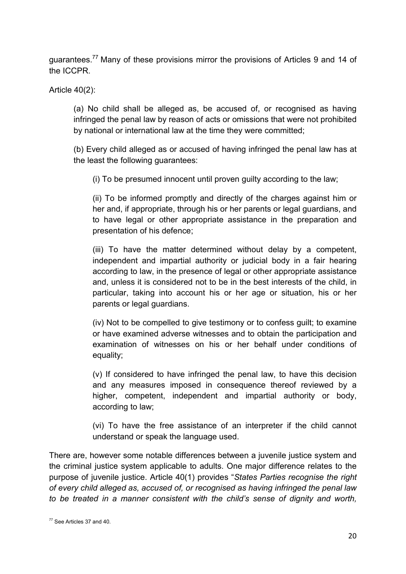guarantees.77 Many of these provisions mirror the provisions of Articles 9 and 14 of the ICCPR.

Article 40(2):

(a) No child shall be alleged as, be accused of, or recognised as having infringed the penal law by reason of acts or omissions that were not prohibited by national or international law at the time they were committed;

(b) Every child alleged as or accused of having infringed the penal law has at the least the following guarantees:

(i) To be presumed innocent until proven guilty according to the law;

(ii) To be informed promptly and directly of the charges against him or her and, if appropriate, through his or her parents or legal guardians, and to have legal or other appropriate assistance in the preparation and presentation of his defence;

(iii) To have the matter determined without delay by a competent, independent and impartial authority or judicial body in a fair hearing according to law, in the presence of legal or other appropriate assistance and, unless it is considered not to be in the best interests of the child, in particular, taking into account his or her age or situation, his or her parents or legal guardians.

(iv) Not to be compelled to give testimony or to confess guilt; to examine or have examined adverse witnesses and to obtain the participation and examination of witnesses on his or her behalf under conditions of equality;

(v) If considered to have infringed the penal law, to have this decision and any measures imposed in consequence thereof reviewed by a higher, competent, independent and impartial authority or body, according to law;

(vi) To have the free assistance of an interpreter if the child cannot understand or speak the language used.

There are, however some notable differences between a juvenile justice system and the criminal justice system applicable to adults. One major difference relates to the purpose of juvenile justice. Article 40(1) provides "*States Parties recognise the right of every child alleged as, accused of, or recognised as having infringed the penal law to be treated in a manner consistent with the child's sense of dignity and worth,* 

<sup>77</sup> See Articles 37 and 40.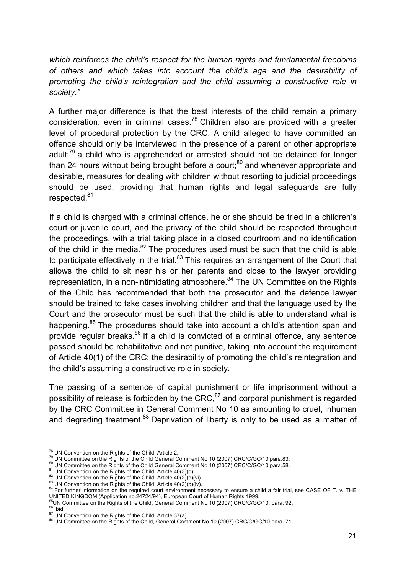*which reinforces the child's respect for the human rights and fundamental freedoms of others and which takes into account the child's age and the desirability of promoting the child's reintegration and the child assuming a constructive role in society."*

A further major difference is that the best interests of the child remain a primary consideration, even in criminal cases.<sup>78</sup> Children also are provided with a greater level of procedural protection by the CRC. A child alleged to have committed an offence should only be interviewed in the presence of a parent or other appropriate adult;<sup>79</sup> a child who is apprehended or arrested should not be detained for longer than 24 hours without being brought before a court; $^{80}$  and whenever appropriate and desirable, measures for dealing with children without resorting to judicial proceedings should be used, providing that human rights and legal safeguards are fully respected.<sup>81</sup>

If a child is charged with a criminal offence, he or she should be tried in a children's court or juvenile court, and the privacy of the child should be respected throughout the proceedings, with a trial taking place in a closed courtroom and no identification of the child in the media. $82$  The procedures used must be such that the child is able to participate effectively in the trial.<sup>83</sup> This requires an arrangement of the Court that allows the child to sit near his or her parents and close to the lawyer providing representation, in a non-intimidating atmosphere.<sup>84</sup> The UN Committee on the Rights of the Child has recommended that both the prosecutor and the defence lawyer should be trained to take cases involving children and that the language used by the Court and the prosecutor must be such that the child is able to understand what is happening.<sup>85</sup> The procedures should take into account a child's attention span and provide regular breaks.<sup>86</sup> If a child is convicted of a criminal offence, any sentence passed should be rehabilitative and not punitive, taking into account the requirement of Article 40(1) of the CRC: the desirability of promoting the child's reintegration and the child's assuming a constructive role in society.

The passing of a sentence of capital punishment or life imprisonment without a possibility of release is forbidden by the CRC, $87$  and corporal punishment is regarded by the CRC Committee in General Comment No 10 as amounting to cruel, inhuman and degrading treatment.<sup>88</sup> Deprivation of liberty is only to be used as a matter of

<sup>&</sup>lt;sup>78</sup> UN Convention on the Rights of the Child, Article 2.<br><sup>79</sup> UN Committee on the Rights of the Child General Comment No 10 (2007) CRC/C/GC/10 para.83.<br><sup>80</sup> UN Committee on the Rights of the Child General Comment No 10 (

<sup>&</sup>lt;sup>85</sup> UN Committee on the Rights of the Child, General Comment No 10 (2007) CRC/C/GC/10, para. 92,<br><sup>86</sup> Ibid.<br><sup>87</sup> UN Convention on the Rights of the Child, Article 37(a).<br><sup>87</sup> UN Convention on the Rights of the Child, Arti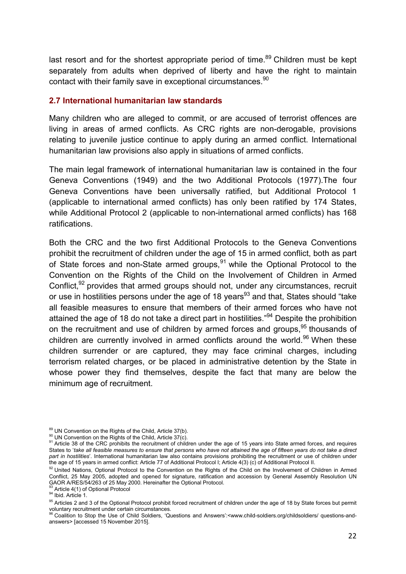last resort and for the shortest appropriate period of time.<sup>89</sup> Children must be kept separately from adults when deprived of liberty and have the right to maintain contact with their family save in exceptional circumstances.<sup>90</sup>

#### **2.7 International humanitarian law standards**

Many children who are alleged to commit, or are accused of terrorist offences are living in areas of armed conflicts. As CRC rights are non-derogable, provisions relating to juvenile justice continue to apply during an armed conflict. International humanitarian law provisions also apply in situations of armed conflicts.

The main legal framework of international humanitarian law is contained in the four Geneva Conventions (1949) and the two Additional Protocols (1977).The four Geneva Conventions have been universally ratified, but Additional Protocol 1 (applicable to international armed conflicts) has only been ratified by 174 States, while Additional Protocol 2 (applicable to non-international armed conflicts) has 168 ratifications.

Both the CRC and the two first Additional Protocols to the Geneva Conventions prohibit the recruitment of children under the age of 15 in armed conflict, both as part of State forces and non-State armed groups, $91$  while the Optional Protocol to the Convention on the Rights of the Child on the Involvement of Children in Armed Conflict,<sup>92</sup> provides that armed groups should not, under any circumstances, recruit or use in hostilities persons under the age of 18 years<sup>93</sup> and that, States should "take" all feasible measures to ensure that members of their armed forces who have not attained the age of 18 do not take a direct part in hostilities.<sup>"94</sup> Despite the prohibition on the recruitment and use of children by armed forces and groups,<sup>95</sup> thousands of children are currently involved in armed conflicts around the world.<sup>96</sup> When these children surrender or are captured, they may face criminal charges, including terrorism related charges, or be placed in administrative detention by the State in whose power they find themselves, despite the fact that many are below the minimum age of recruitment.

<sup>&</sup>lt;sup>89</sup> UN Convention on the Rights of the Child, Article 37(b).<br><sup>90</sup> UN Convention on the Rights of the Child, Article 37(c).<br><sup>91</sup> Article 38 of the CRC prohibits the recruitment of children under the age of 15 years into St States to '*take all feasible measures to ensure that persons who have not attained the age of fifteen years do not take a direct part in hostilities*'. International humanitarian law also contains provisions prohibiting the recruitment or use of children under the age of 15 years in armed conflict: Article 77 of Additional Protocol I; Article 4(3) (c) of Additional Protocol II.

<sup>92</sup> United Nations, Optional Protocol to the Convention on the Rights of the Child on the Involvement of Children in Armed Conflict, 25 May 2005, adopted and opened for signature, ratification and accession by General Assembly Resolution UN GAOR A/RES/54/263 of 25 May 2000. Hereinafter the Optional Protocol.<br><sup>93</sup> Article 4(1) of Optional Protocol<br><sup>94</sup> Ibid. Article 1.

<sup>&</sup>lt;sup>95</sup> Articles 2 and 3 of the Optional Protocol prohibit forced recruitment of children under the age of 18 by State forces but permit voluntary recruitment under certain circumstances.<br>
<sup>96</sup> Coalition to Stop the Use of Child Soldiers, 'Questions and Answers':<www.child-soldiers.org/childsoldiers/ questions-and-

answers> [accessed 15 November 2015].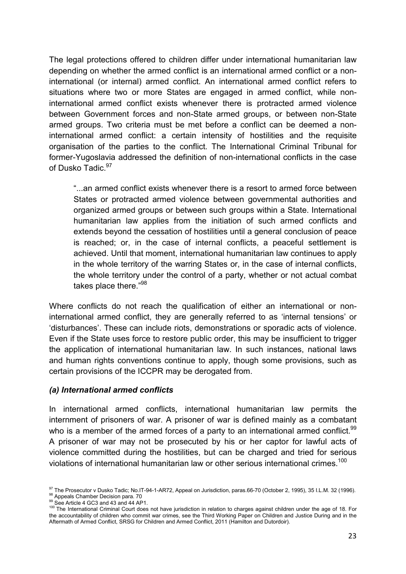The legal protections offered to children differ under international humanitarian law depending on whether the armed conflict is an international armed conflict or a noninternational (or internal) armed conflict. An international armed conflict refers to situations where two or more States are engaged in armed conflict, while noninternational armed conflict exists whenever there is protracted armed violence between Government forces and non-State armed groups, or between non-State armed groups. Two criteria must be met before a conflict can be deemed a noninternational armed conflict: a certain intensity of hostilities and the requisite organisation of the parties to the conflict. The International Criminal Tribunal for former-Yugoslavia addressed the definition of non-international conflicts in the case of Dusko Tadic. 97

"...an armed conflict exists whenever there is a resort to armed force between States or protracted armed violence between governmental authorities and organized armed groups or between such groups within a State. International humanitarian law applies from the initiation of such armed conflicts and extends beyond the cessation of hostilities until a general conclusion of peace is reached; or, in the case of internal conflicts, a peaceful settlement is achieved. Until that moment, international humanitarian law continues to apply in the whole territory of the warring States or, in the case of internal conflicts, the whole territory under the control of a party, whether or not actual combat takes place there."98

Where conflicts do not reach the qualification of either an international or noninternational armed conflict, they are generally referred to as 'internal tensions' or 'disturbances'. These can include riots, demonstrations or sporadic acts of violence. Even if the State uses force to restore public order, this may be insufficient to trigger the application of international humanitarian law. In such instances, national laws and human rights conventions continue to apply, though some provisions, such as certain provisions of the ICCPR may be derogated from.

#### *(a) International armed conflicts*

In international armed conflicts, international humanitarian law permits the internment of prisoners of war. A prisoner of war is defined mainly as a combatant who is a member of the armed forces of a party to an international armed conflict.<sup>99</sup> A prisoner of war may not be prosecuted by his or her captor for lawful acts of violence committed during the hostilities, but can be charged and tried for serious violations of international humanitarian law or other serious international crimes.<sup>100</sup>

<sup>&</sup>lt;sup>97</sup> The Prosecutor v Dusko Tadic; No.IT-94-1-AR72, Appeal on Jurisdiction, paras.66-70 (October 2, 1995), 35 I.L.M. 32 (1996).<br><sup>98</sup> Appeals Chamber Decision para. 70<br><sup>99</sup> See Article 4 GC3 and 43 and 44 AP1.<br><sup>100</sup> The In

the accountability of children who commit war crimes, see the Third Working Paper on Children and Justice During and in the Aftermath of Armed Conflict, SRSG for Children and Armed Conflict, 2011 (Hamilton and Dutordoir).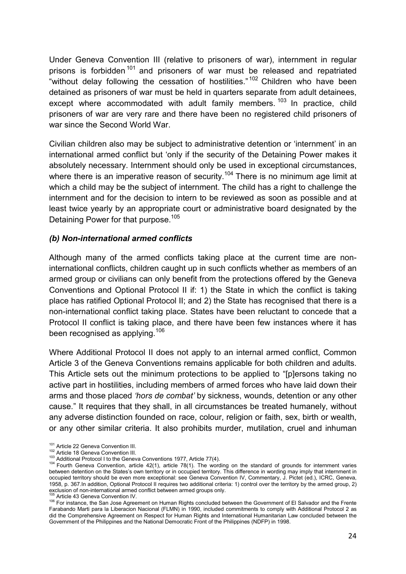Under Geneva Convention III (relative to prisoners of war), internment in regular prisons is forbidden<sup>101</sup> and prisoners of war must be released and repatriated "without delay following the cessation of hostilities."<sup>102</sup> Children who have been detained as prisoners of war must be held in quarters separate from adult detainees, except where accommodated with adult family members.  $103$  In practice, child prisoners of war are very rare and there have been no registered child prisoners of war since the Second World War.

Civilian children also may be subject to administrative detention or 'internment' in an international armed conflict but 'only if the security of the Detaining Power makes it absolutely necessary. Internment should only be used in exceptional circumstances, where there is an imperative reason of security.<sup>104</sup> There is no minimum age limit at which a child may be the subject of internment. The child has a right to challenge the internment and for the decision to intern to be reviewed as soon as possible and at least twice yearly by an appropriate court or administrative board designated by the Detaining Power for that purpose.<sup>105</sup>

## *(b) Non-international armed conflicts*

Although many of the armed conflicts taking place at the current time are noninternational conflicts, children caught up in such conflicts whether as members of an armed group or civilians can only benefit from the protections offered by the Geneva Conventions and Optional Protocol II if: 1) the State in which the conflict is taking place has ratified Optional Protocol II; and 2) the State has recognised that there is a non-international conflict taking place. States have been reluctant to concede that a Protocol II conflict is taking place, and there have been few instances where it has been recognised as applying.<sup>106</sup>

Where Additional Protocol II does not apply to an internal armed conflict, Common Article 3 of the Geneva Conventions remains applicable for both children and adults. This Article sets out the minimum protections to be applied to "[p]ersons taking no active part in hostilities, including members of armed forces who have laid down their arms and those placed *'hors de combat'* by sickness, wounds, detention or any other cause." It requires that they shall, in all circumstances be treated humanely, without any adverse distinction founded on race, colour, religion or faith, sex, birth or wealth, or any other similar criteria. It also prohibits murder, mutilation, cruel and inhuman

<sup>&</sup>lt;sup>101</sup> Article 22 Geneva Convention III.<br><sup>102</sup> Article 18 Geneva Convention III.<br><sup>103</sup> Additional Protocol I to the Geneva Conventions 1977, Article 77(4).<br><sup>104</sup> Fourth Geneva Convention, article 42(1), article 78(1). The w between detention on the States's own territory or in occupied territory. This difference in wording may imply that internment in occupied territory should be even more exceptional: see Geneva Convention IV, Commentary, J. Pictet (ed.), ICRC, Geneva, 1958, p. 367.In addition, Optional Protocol II requires two additional criteria: 1) control over the territory by the armed group, 2) exclusion of non-international armed conflict between armed groups only.

<sup>&</sup>lt;sup>105</sup> Article 43 Geneva Convention IV.<br><sup>106</sup> For instance, the San Jose Agreement on Human Rights concluded between the Government of El Salvador and the Frente Farabando Marti para la Liberacion Nacional (FLMN) in 1990, included commitments to comply with Additional Protocol 2 as did the Comprehensive Agreement on Respect for Human Rights and International Humanitarian Law concluded between the Government of the Philippines and the National Democratic Front of the Philippines (NDFP) in 1998.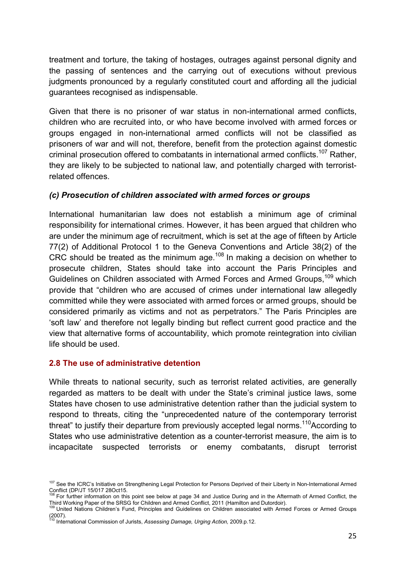treatment and torture, the taking of hostages, outrages against personal dignity and the passing of sentences and the carrying out of executions without previous judgments pronounced by a regularly constituted court and affording all the judicial guarantees recognised as indispensable.

Given that there is no prisoner of war status in non-international armed conflicts, children who are recruited into, or who have become involved with armed forces or groups engaged in non-international armed conflicts will not be classified as prisoners of war and will not, therefore, benefit from the protection against domestic criminal prosecution offered to combatants in international armed conflicts.<sup>107</sup> Rather, they are likely to be subjected to national law, and potentially charged with terroristrelated offences.

#### *(c) Prosecution of children associated with armed forces or groups*

International humanitarian law does not establish a minimum age of criminal responsibility for international crimes. However, it has been argued that children who are under the minimum age of recruitment, which is set at the age of fifteen by Article 77(2) of Additional Protocol 1 to the Geneva Conventions and Article 38(2) of the CRC should be treated as the minimum age.<sup>108</sup> In making a decision on whether to prosecute children, States should take into account the Paris Principles and Guidelines on Children associated with Armed Forces and Armed Groups.<sup>109</sup> which provide that "children who are accused of crimes under international law allegedly committed while they were associated with armed forces or armed groups, should be considered primarily as victims and not as perpetrators." The Paris Principles are 'soft law' and therefore not legally binding but reflect current good practice and the view that alternative forms of accountability, which promote reintegration into civilian life should be used.

#### **2.8 The use of administrative detention**

While threats to national security, such as terrorist related activities, are generally regarded as matters to be dealt with under the State's criminal justice laws, some States have chosen to use administrative detention rather than the judicial system to respond to threats, citing the "unprecedented nature of the contemporary terrorist threat" to justify their departure from previously accepted legal norms.<sup>110</sup>According to States who use administrative detention as a counter-terrorist measure, the aim is to incapacitate suspected terrorists or enemy combatants, disrupt terrorist

<sup>&</sup>lt;sup>107</sup> See the ICRC's Initiative on Strengthening Legal Protection for Persons Deprived of their Liberty in Non-International Armed<br>Conflict (DP/JT 15/017 28Oct15.

To Fig. The Information on this point see below at page 34 and Justice During and in the Aftermath of Armed Conflict, the Third Working Paper of the SRSG for Children and Armed Conflict, 2011 (Hamilton and Dutordoir).

<sup>&</sup>lt;sup>109</sup> United Nations Children's Fund, Principles and Guidelines on Children associated with Armed Forces or Armed Groups  $(2007)$ .

<sup>110</sup> International Commission of Jurists, *Assessing Damage, Urging Action,* 2009.p.12.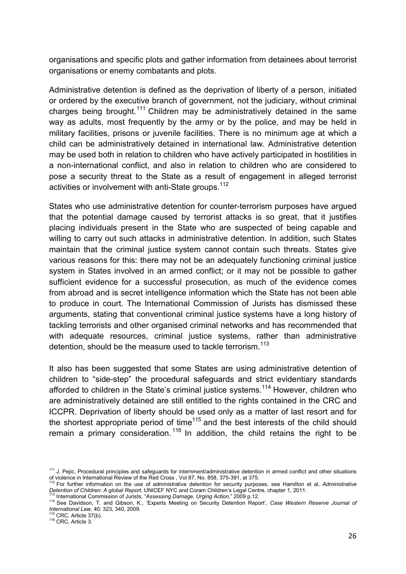organisations and specific plots and gather information from detainees about terrorist organisations or enemy combatants and plots.

Administrative detention is defined as the deprivation of liberty of a person, initiated or ordered by the executive branch of government, not the judiciary, without criminal charges being brought.<sup>111</sup> Children may be administratively detained in the same way as adults, most frequently by the army or by the police, and may be held in military facilities, prisons or juvenile facilities. There is no minimum age at which a child can be administratively detained in international law. Administrative detention may be used both in relation to children who have actively participated in hostilities in a non-international conflict, and also in relation to children who are considered to pose a security threat to the State as a result of engagement in alleged terrorist activities or involvement with anti-State groups.<sup>112</sup>

States who use administrative detention for counter-terrorism purposes have argued that the potential damage caused by terrorist attacks is so great, that it justifies placing individuals present in the State who are suspected of being capable and willing to carry out such attacks in administrative detention. In addition, such States maintain that the criminal justice system cannot contain such threats. States give various reasons for this: there may not be an adequately functioning criminal justice system in States involved in an armed conflict; or it may not be possible to gather sufficient evidence for a successful prosecution, as much of the evidence comes from abroad and is secret intelligence information which the State has not been able to produce in court. The International Commission of Jurists has dismissed these arguments, stating that conventional criminal justice systems have a long history of tackling terrorists and other organised criminal networks and has recommended that with adequate resources, criminal justice systems, rather than administrative detention, should be the measure used to tackle terrorism.<sup>113</sup>

It also has been suggested that some States are using administrative detention of children to "side-step" the procedural safeguards and strict evidentiary standards afforded to children in the State's criminal justice systems.<sup>114</sup> However, children who are administratively detained are still entitled to the rights contained in the CRC and ICCPR. Deprivation of liberty should be used only as a matter of last resort and for the shortest appropriate period of time<sup> $115$ </sup> and the best interests of the child should remain a primary consideration.<sup>116</sup> In addition, the child retains the right to be

<sup>&</sup>lt;sup>111</sup> J. Pejic, Procedural principles and safeguards for internment/administrative detention in armed conflict and other situations of violence in International Review of the Red Cross , Vol 87, No. 858, 375-391, at 375. 112 For further information on the use of administrative detention for security purposes, see Hamilton et al, *Administrative* 

Detention of Children: A global Report, UNICEF NYC and Coram Children's Legal Centre, chapter 1, 2011.<br><sup>113</sup> International Commission of Jurists, "Assessing Damage, Urging Action," 2009 p.12.<br><sup>114</sup> See Davidson, T. and Gib

*International Law*, 40: 323, 340, 2009.<br><sup>115</sup> CRC, Article 37(b).<br><sup>116</sup> CRC, Article 3.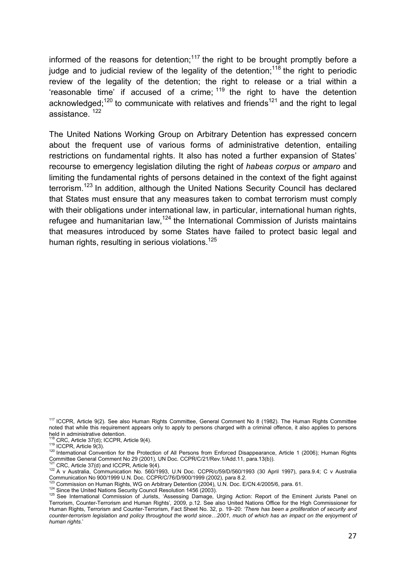informed of the reasons for detention;<sup>117</sup> the right to be brought promptly before a judge and to judicial review of the legality of the detention;<sup>118</sup> the right to periodic review of the legality of the detention; the right to release or a trial within a 'reasonable time' if accused of a crime;  $119$  the right to have the detention acknowledged;<sup>120</sup> to communicate with relatives and friends<sup>121</sup> and the right to legal assistance. 122

The United Nations Working Group on Arbitrary Detention has expressed concern about the frequent use of various forms of administrative detention, entailing restrictions on fundamental rights. It also has noted a further expansion of States' recourse to emergency legislation diluting the right of *habeas corpus* or *amparo* and limiting the fundamental rights of persons detained in the context of the fight against terrorism.<sup>123</sup> In addition, although the United Nations Security Council has declared that States must ensure that any measures taken to combat terrorism must comply with their obligations under international law, in particular, international human rights, refugee and humanitarian law,<sup>124</sup> the International Commission of Jurists maintains that measures introduced by some States have failed to protect basic legal and human rights, resulting in serious violations.<sup>125</sup>

<sup>117</sup> ICCPR, Article 9(2). See also Human Rights Committee, General Comment No 8 (1982). The Human Rights Committee noted that while this requirement appears only to apply to persons charged with a criminal offence, it also applies to persons held in administrative detention.<br><sup>118</sup> CRC, Article 37(d); ICCPR, Article 9(4).

<sup>119</sup> ICCPR, Article 9(3).<br><sup>119</sup> ICCPR, Article 9(3).<br><sup>120</sup> International Convention for the Protection of All Persons from Enforced Disappearance, Article 1 (2006); Human Rights Committee General Comment No 29 (2001), UN Doc. CCPR/C/21/Rev.1/Add.11, para.13(b)).<br><sup>121</sup> CRC, Article 37(d) and ICCPR, Article 9(4).

 $122$  A v Australia, Communication No. 560/1993, U.N Doc. CCPR/c/59/D/560/1993 (30 April 1997), para.9.4; C v Australia

Communication No 900/1999 U.N. Doc. CCPR/C/76/D/900/1999 (2002), para 8.2.<br><sup>123</sup> Commission on Human Rights, WG on Arbitrary Detention (2004), U.N. Doc. E/CN.4/2005/6, para. 61.

<sup>124</sup> Since the United Nations Security Council Resolution 1456 (2003).<br><sup>125</sup> See International Commission of Jurists, 'Assessing Damage, Urging Action: Report of the Eminent Jurists Panel on Terrorism, Counter-Terrorism and Human Rights'*,* 2009, p.12. See also United Nations Office for the High Commissioner for Human Rights, Terrorism and Counter-Terrorism, Fact Sheet No. 32, p. 19–20: *'There has been a proliferation of security and*  counter-terrorism legislation and policy throughout the world since...2001, much of which has an impact on the enjoyment of *human rights*.'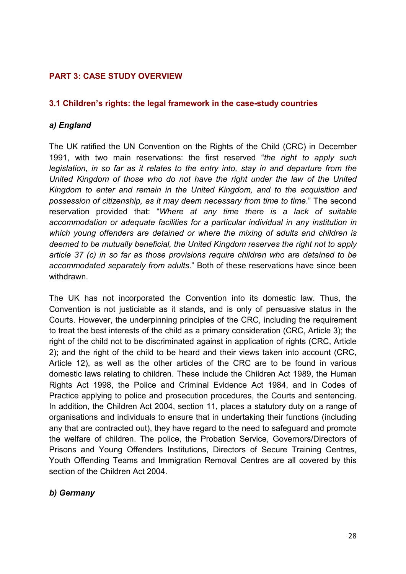# **PART 3: CASE STUDY OVERVIEW**

## **3.1 Children's rights: the legal framework in the case-study countries**

## *a) England*

The UK ratified the UN Convention on the Rights of the Child (CRC) in December 1991, with two main reservations: the first reserved "*the right to apply such legislation, in so far as it relates to the entry into, stay in and departure from the United Kingdom of those who do not have the right under the law of the United Kingdom to enter and remain in the United Kingdom, and to the acquisition and possession of citizenship, as it may deem necessary from time to time*." The second reservation provided that: "*Where at any time there is a lack of suitable accommodation or adequate facilities for a particular individual in any institution in which young offenders are detained or where the mixing of adults and children is deemed to be mutually beneficial, the United Kingdom reserves the right not to apply article 37 (c) in so far as those provisions require children who are detained to be accommodated separately from adults*." Both of these reservations have since been withdrawn.

The UK has not incorporated the Convention into its domestic law. Thus, the Convention is not justiciable as it stands, and is only of persuasive status in the Courts. However, the underpinning principles of the CRC, including the requirement to treat the best interests of the child as a primary consideration (CRC, Article 3); the right of the child not to be discriminated against in application of rights (CRC, Article 2); and the right of the child to be heard and their views taken into account (CRC, Article 12), as well as the other articles of the CRC are to be found in various domestic laws relating to children. These include the Children Act 1989, the Human Rights Act 1998, the Police and Criminal Evidence Act 1984, and in Codes of Practice applying to police and prosecution procedures, the Courts and sentencing. In addition, the Children Act 2004, section 11, places a statutory duty on a range of organisations and individuals to ensure that in undertaking their functions (including any that are contracted out), they have regard to the need to safeguard and promote the welfare of children. The police, the Probation Service, Governors/Directors of Prisons and Young Offenders Institutions, Directors of Secure Training Centres, Youth Offending Teams and Immigration Removal Centres are all covered by this section of the Children Act 2004.

# *b) Germany*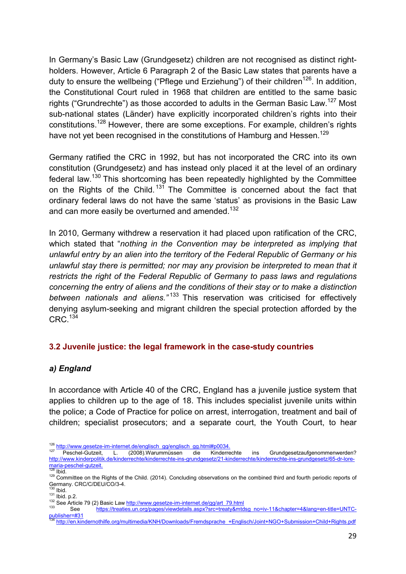In Germany's Basic Law (Grundgesetz) children are not recognised as distinct rightholders. However, Article 6 Paragraph 2 of the Basic Law states that parents have a duty to ensure the wellbeing ("Pflege und Erziehung") of their children<sup>126</sup>. In addition, the Constitutional Court ruled in 1968 that children are entitled to the same basic rights ("Grundrechte") as those accorded to adults in the German Basic Law.<sup>127</sup> Most sub-national states (Länder) have explicitly incorporated children's rights into their constitutions.128 However, there are some exceptions. For example, children's rights have not yet been recognised in the constitutions of Hamburg and Hessen.<sup>129</sup>

Germany ratified the CRC in 1992, but has not incorporated the CRC into its own constitution (Grundgesetz) and has instead only placed it at the level of an ordinary federal law.<sup>130</sup> This shortcoming has been repeatedly highlighted by the Committee on the Rights of the Child.<sup>131</sup> The Committee is concerned about the fact that ordinary federal laws do not have the same 'status' as provisions in the Basic Law and can more easily be overturned and amended.<sup>132</sup>

In 2010, Germany withdrew a reservation it had placed upon ratification of the CRC, which stated that "*nothing in the Convention may be interpreted as implying that unlawful entry by an alien into the territory of the Federal Republic of Germany or his unlawful stay there is permitted; nor may any provision be interpreted to mean that it restricts the right of the Federal Republic of Germany to pass laws and regulations concerning the entry of aliens and the conditions of their stay or to make a distinction between nationals and aliens."* <sup>133</sup> This reservation was criticised for effectively denying asylum-seeking and migrant children the special protection afforded by the CRC.<sup>134</sup>

# **3.2 Juvenile justice: the legal framework in the case-study countries**

# *a) England*

In accordance with Article 40 of the CRC, England has a juvenile justice system that applies to children up to the age of 18. This includes specialist juvenile units within the police; a Code of Practice for police on arrest, interrogation, treatment and bail of children; specialist prosecutors; and a separate court, the Youth Court, to hear

- 126 http://www.gesetze-im-internet.de/englisch\_gg/englisch\_gg.html#p0034.<br>127 Peschel-Gutzeit, L. (2008).Warummüssen die Kinderrechte ins Grundgesetzaufgenommenwerden? http://www.kinderpolitik.de/kinderrechte/kinderrechte-ins-grundgesetz/21-kinderrechte/kinderrechte-ins-grundgesetz/65-dr-lore-<br>maria-peschel-gutzeit.
- 

<sup>&</sup>lt;sup>128</sup> Ibid.<br><sup>129</sup> Committee on the Rights of the Child. (2014). Concluding observations on the combined third and fourth periodic reports of<br>Germany. CRC/C/DEU/CO/3-4.

<sup>&</sup>lt;sup>130</sup> Ibid.<br><sup>131</sup> Ibid. p.2.<br><sup>131</sup> Ibid. p.2.<br><sup>132</sup> See Article 79 (2) Basic Law <u>http://www.gesetze-im-internet.de/gg/art\_79.html</u><br><sup>132</sup> See https://treaties.un.org/pages/viewdetails.aspx?src=treaty&mtdsg\_no=iv-11&chapter ee<br><u>publisher=#3</u>1<br>تنظیم

<sup>134</sup> http://en.kindernothilfe.org/multimedia/KNH/Downloads/Fremdsprache\_+Englisch/Joint+NGO+Submission+Child+Rights.pdf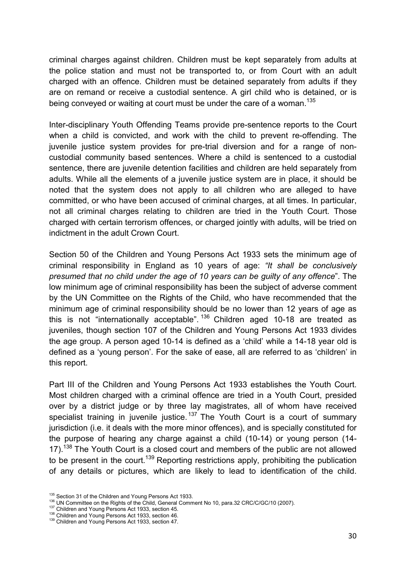criminal charges against children. Children must be kept separately from adults at the police station and must not be transported to, or from Court with an adult charged with an offence. Children must be detained separately from adults if they are on remand or receive a custodial sentence. A girl child who is detained, or is being conveved or waiting at court must be under the care of a woman.<sup>135</sup>

Inter-disciplinary Youth Offending Teams provide pre-sentence reports to the Court when a child is convicted, and work with the child to prevent re-offending. The juvenile justice system provides for pre-trial diversion and for a range of noncustodial community based sentences. Where a child is sentenced to a custodial sentence, there are juvenile detention facilities and children are held separately from adults. While all the elements of a juvenile justice system are in place, it should be noted that the system does not apply to all children who are alleged to have committed, or who have been accused of criminal charges, at all times. In particular, not all criminal charges relating to children are tried in the Youth Court. Those charged with certain terrorism offences, or charged jointly with adults, will be tried on indictment in the adult Crown Court.

Section 50 of the Children and Young Persons Act 1933 sets the minimum age of criminal responsibility in England as 10 years of age: *"It shall be conclusively presumed that no child under the age of 10 years can be guilty of any offence*". The low minimum age of criminal responsibility has been the subject of adverse comment by the UN Committee on the Rights of the Child, who have recommended that the minimum age of criminal responsibility should be no lower than 12 years of age as this is not "internationally acceptable".<sup>136</sup> Children aged 10-18 are treated as juveniles, though section 107 of the Children and Young Persons Act 1933 divides the age group. A person aged 10-14 is defined as a 'child' while a 14-18 year old is defined as a 'young person'. For the sake of ease, all are referred to as 'children' in this report.

Part III of the Children and Young Persons Act 1933 establishes the Youth Court. Most children charged with a criminal offence are tried in a Youth Court, presided over by a district judge or by three lay magistrates, all of whom have received specialist training in juvenile justice.<sup>137</sup> The Youth Court is a court of summary jurisdiction (i.e. it deals with the more minor offences), and is specially constituted for the purpose of hearing any charge against a child (10-14) or young person (14- 17).<sup>138</sup> The Youth Court is a closed court and members of the public are not allowed to be present in the court.<sup>139</sup> Reporting restrictions apply, prohibiting the publication of any details or pictures, which are likely to lead to identification of the child.

<sup>&</sup>lt;sup>136</sup> Section 31 of the Children and Young Persons Act 1933.<br><sup>136</sup> UN Committee on the Rights of the Child, General Comment No 10, para.32 CRC/C/GC/10 (2007).<br><sup>137</sup> Children and Young Persons Act 1933, section 45.<br><sup>138</sup> C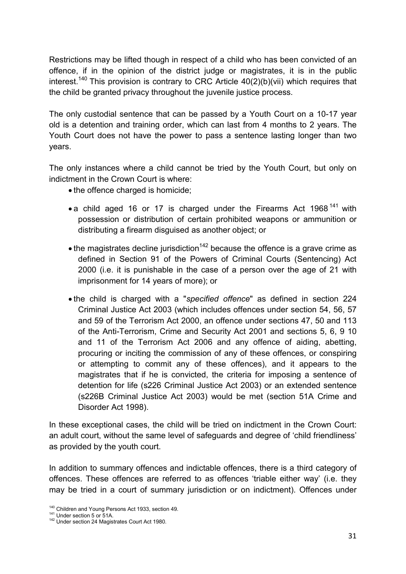Restrictions may be lifted though in respect of a child who has been convicted of an offence, if in the opinion of the district judge or magistrates, it is in the public interest.<sup>140</sup> This provision is contrary to CRC Article  $40(2)(b)(vi)$  which requires that the child be granted privacy throughout the juvenile justice process.

The only custodial sentence that can be passed by a Youth Court on a 10-17 year old is a detention and training order, which can last from 4 months to 2 years. The Youth Court does not have the power to pass a sentence lasting longer than two years.

The only instances where a child cannot be tried by the Youth Court, but only on indictment in the Crown Court is where:

- the offence charged is homicide;
- a child aged 16 or 17 is charged under the Firearms Act 1968<sup>141</sup> with possession or distribution of certain prohibited weapons or ammunition or distributing a firearm disguised as another object; or
- $\bullet$  the magistrates decline jurisdiction<sup>142</sup> because the offence is a grave crime as defined in Section 91 of the Powers of Criminal Courts (Sentencing) Act 2000 (i.e. it is punishable in the case of a person over the age of 21 with imprisonment for 14 years of more); or
- the child is charged with a "*specified offence*" as defined in section 224 Criminal Justice Act 2003 (which includes offences under section 54, 56, 57 and 59 of the Terrorism Act 2000, an offence under sections 47, 50 and 113 of the Anti-Terrorism, Crime and Security Act 2001 and sections 5, 6, 9 10 and 11 of the Terrorism Act 2006 and any offence of aiding, abetting, procuring or inciting the commission of any of these offences, or conspiring or attempting to commit any of these offences), and it appears to the magistrates that if he is convicted, the criteria for imposing a sentence of detention for life (s226 Criminal Justice Act 2003) or an extended sentence (s226B Criminal Justice Act 2003) would be met (section 51A Crime and Disorder Act 1998).

In these exceptional cases, the child will be tried on indictment in the Crown Court: an adult court, without the same level of safeguards and degree of 'child friendliness' as provided by the youth court.

In addition to summary offences and indictable offences, there is a third category of offences. These offences are referred to as offences 'triable either way' (i.e. they may be tried in a court of summary jurisdiction or on indictment). Offences under

<sup>&</sup>lt;sup>140</sup> Children and Young Persons Act 1933, section 49.<br><sup>141</sup> Under section 5 or 51A.<br><sup>142</sup> Under section 24 Magistrates Court Act 1980.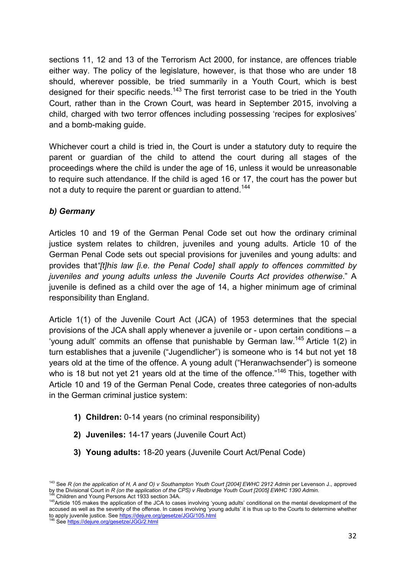sections 11, 12 and 13 of the Terrorism Act 2000, for instance, are offences triable either way. The policy of the legislature, however, is that those who are under 18 should, wherever possible, be tried summarily in a Youth Court, which is best designed for their specific needs.<sup>143</sup> The first terrorist case to be tried in the Youth Court, rather than in the Crown Court, was heard in September 2015, involving a child, charged with two terror offences including possessing 'recipes for explosives' and a bomb-making guide.

Whichever court a child is tried in, the Court is under a statutory duty to require the parent or guardian of the child to attend the court during all stages of the proceedings where the child is under the age of 16, unless it would be unreasonable to require such attendance. If the child is aged 16 or 17, the court has the power but not a duty to require the parent or quardian to attend.<sup>144</sup>

# *b) Germany*

Articles 10 and 19 of the German Penal Code set out how the ordinary criminal justice system relates to children, juveniles and young adults. Article 10 of the German Penal Code sets out special provisions for juveniles and young adults: and provides that*"[t]his law [i.e. the Penal Code] shall apply to offences committed by juveniles and young adults unless the Juvenile Courts Act provides otherwise*." A juvenile is defined as a child over the age of 14, a higher minimum age of criminal responsibility than England.

Article 1(1) of the Juvenile Court Act (JCA) of 1953 determines that the special provisions of the JCA shall apply whenever a juvenile or - upon certain conditions – a 'young adult' commits an offense that punishable by German law.<sup>145</sup> Article 1(2) in turn establishes that a juvenile ("Jugendlicher") is someone who is 14 but not yet 18 years old at the time of the offence. A young adult ("Heranwachsender") is someone who is 18 but not yet 21 years old at the time of the offence."<sup>146</sup> This, together with Article 10 and 19 of the German Penal Code, creates three categories of non-adults in the German criminal justice system:

- **1) Children:** 0-14 years (no criminal responsibility)
- **2) Juveniles:** 14-17 years (Juvenile Court Act)
- **3) Young adults:** 18-20 years (Juvenile Court Act/Penal Code)

<sup>&</sup>lt;sup>143</sup> See R (on the application of H, A and O) v Southampton Youth Court [2004] EWHC 2912 Admin per Levenson J., approved by the Divisional Court in R (on the application of the CPS) v Redbridge Youth Court [2005] EWHC 13

<sup>&</sup>lt;sup>144</sup> Children and Young Persons Act 1933 section 34A.<br><sup>145</sup> Article 105 makes the application of the JCA to cases involving 'young adults' conditional on the mental development of the accused as well as the severity of the offense. In cases involving 'young adults' it is thus up to the Courts to determine whether to apply juvenile justice. See https://dejure.org/gesetze/JGG/105.html 146 See https://dejure.org/gesetze/JGG/2.html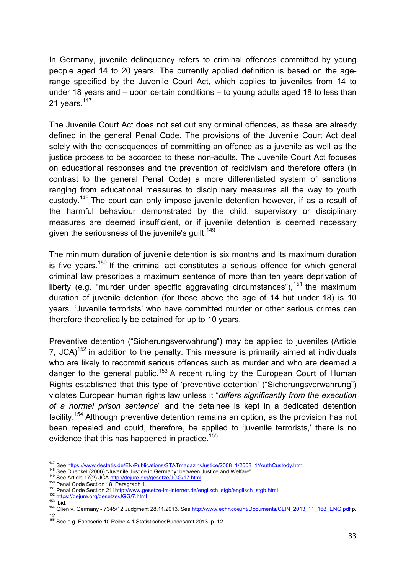In Germany, juvenile delinquency refers to criminal offences committed by young people aged 14 to 20 years. The currently applied definition is based on the agerange specified by the Juvenile Court Act, which applies to juveniles from 14 to under 18 years and – upon certain conditions – to young adults aged 18 to less than 21 years.<sup>147</sup>

The Juvenile Court Act does not set out any criminal offences, as these are already defined in the general Penal Code. The provisions of the Juvenile Court Act deal solely with the consequences of committing an offence as a juvenile as well as the justice process to be accorded to these non-adults. The Juvenile Court Act focuses on educational responses and the prevention of recidivism and therefore offers (in contrast to the general Penal Code) a more differentiated system of sanctions ranging from educational measures to disciplinary measures all the way to youth custody.148 The court can only impose juvenile detention however, if as a result of the harmful behaviour demonstrated by the child, supervisory or disciplinary measures are deemed insufficient, or if juvenile detention is deemed necessary given the seriousness of the juvenile's guilt.<sup>149</sup>

The minimum duration of juvenile detention is six months and its maximum duration is five vears.<sup>150</sup> If the criminal act constitutes a serious offence for which general criminal law prescribes a maximum sentence of more than ten years deprivation of liberty (e.g. "murder under specific aggravating circumstances"),  $151$  the maximum duration of juvenile detention (for those above the age of 14 but under 18) is 10 years. 'Juvenile terrorists' who have committed murder or other serious crimes can therefore theoretically be detained for up to 10 years.

Preventive detention ("Sicherungsverwahrung") may be applied to juveniles (Article 7,  $JCA$ <sup>152</sup> in addition to the penalty. This measure is primarily aimed at individuals who are likely to recommit serious offences such as murder and who are deemed a danger to the general public.<sup>153</sup> A recent ruling by the European Court of Human Rights established that this type of 'preventive detention' ("Sicherungsverwahrung") violates European human rights law unless it "*differs significantly from the execution of a normal prison sentence*" and the detainee is kept in a dedicated detention facility.154 Although preventive detention remains an option, as the provision has not been repealed and could, therefore, be applied to 'juvenile terrorists,' there is no evidence that this has happened in practice.<sup>155</sup>

<sup>&</sup>lt;sup>147</sup> See https://www.destatis.de/EN/Publications/STATmagazin/Justice/2008 1/2008 1YouthCustody.html<br><sup>148</sup> See Duenkel (2006) "Juvenile Justice in Germany: between Justice and Welfare".<br><sup>149</sup> See Article 17(2) JCA http://d 12. 155 See e.g. Fachserie 10 Reihe 4.1 StatistischesBundesamt 2013. p. 12.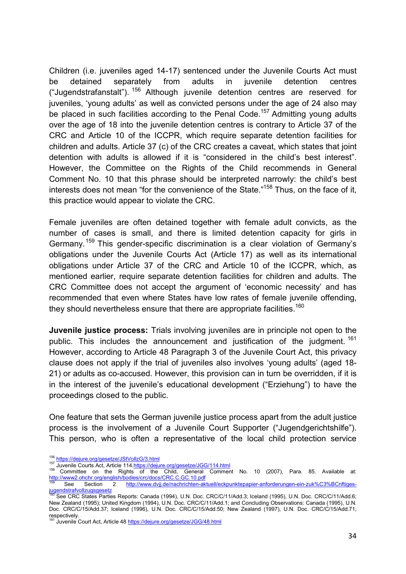Children (i.e. juveniles aged 14-17) sentenced under the Juvenile Courts Act must be detained separately from adults in juvenile detention centres ("Jugendstrafanstalt").  $156$  Although juvenile detention centres are reserved for juveniles, 'young adults' as well as convicted persons under the age of 24 also may be placed in such facilities according to the Penal Code.<sup>157</sup> Admitting young adults over the age of 18 into the juvenile detention centres is contrary to Article 37 of the CRC and Article 10 of the ICCPR, which require separate detention facilities for children and adults. Article 37 (c) of the CRC creates a caveat, which states that joint detention with adults is allowed if it is "considered in the child's best interest". However, the Committee on the Rights of the Child recommends in General Comment No. 10 that this phrase should be interpreted narrowly: the child's best interests does not mean "for the convenience of the State."<sup>158</sup> Thus, on the face of it, this practice would appear to violate the CRC.

Female juveniles are often detained together with female adult convicts, as the number of cases is small, and there is limited detention capacity for girls in Germany.<sup>159</sup> This gender-specific discrimination is a clear violation of Germany's obligations under the Juvenile Courts Act (Article 17) as well as its international obligations under Article 37 of the CRC and Article 10 of the ICCPR, which, as mentioned earlier, require separate detention facilities for children and adults. The CRC Committee does not accept the argument of 'economic necessity' and has recommended that even where States have low rates of female juvenile offending, they should nevertheless ensure that there are appropriate facilities.<sup>160</sup>

**Juvenile justice process:** Trials involving juveniles are in principle not open to the public. This includes the announcement and justification of the judgment.<sup>161</sup> However, according to Article 48 Paragraph 3 of the Juvenile Court Act, this privacy clause does not apply if the trial of juveniles also involves 'young adults' (aged 18- 21) or adults as co-accused. However, this provision can in turn be overridden, if it is in the interest of the juvenile's educational development ("Erziehung") to have the proceedings closed to the public.

One feature that sets the German juvenile justice process apart from the adult justice process is the involvement of a Juvenile Court Supporter ("Jugendgerichtshilfe"). This person, who is often a representative of the local child protection service

<sup>156</sup> https://dejure.org/gesetze/JStVollzG/3.html<br>157 Juvenile Courts Act, Article 114.https://dejure.org/gesetze/JGG/114.html<br><sup>158</sup> Committee on the Rights of the Child, General Comment No. 10 (2007), Para. 85. Available at http://www2.ohchr.org/english/bodies/crc/docs/CRC.C.GC.10.pdf<br>
169 See Section 2 http://www.dvji.de/nachrichten-ak

http://www.dvjj.de/nachrichten-aktuell/eckpunktepapier-anforderungen-ein-zuk%C3%BCnftigesjugendstrafvollzugsgesetz<br><sup>160</sup> See CRC States Parties Reports: Canada (1994), U.N. Doc. CRC/C/11/Add.3; Iceland (1995), U.N. Doc. CRC/C/11/Add.6;

New Zealand (1995); United Kingdom (1994), U.N. Doc. CRC/C/11/Add.1; and Concluding Observations: Canada (1995), U.N. Doc. CRC/C/15/Add.37; Iceland (1996), U.N. Doc. CRC/C/15/Add.50; New Zealand (1997), U.N. Doc. CRC/C/15/Add.71, respectively.

Juvenile Court Act, Article 48 https://dejure.org/gesetze/JGG/48.html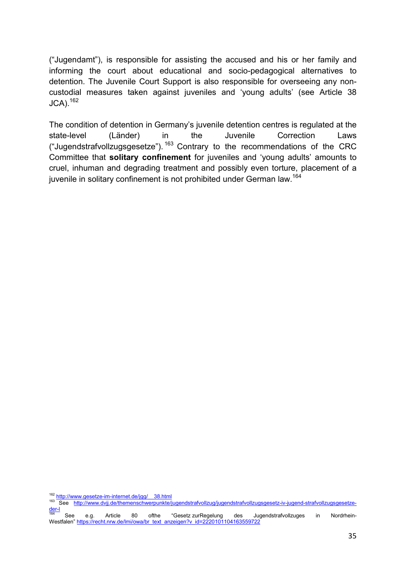("Jugendamt"), is responsible for assisting the accused and his or her family and informing the court about educational and socio-pedagogical alternatives to detention. The Juvenile Court Support is also responsible for overseeing any noncustodial measures taken against juveniles and 'young adults' (see Article 38  $JCA$ ).  $162$ 

The condition of detention in Germany's juvenile detention centres is regulated at the state-level (Länder) in the Juvenile Correction Laws ("Jugendstrafvollzugsgesetze").  $163$  Contrary to the recommendations of the CRC Committee that **solitary confinement** for juveniles and 'young adults' amounts to cruel, inhuman and degrading treatment and possibly even torture, placement of a juvenile in solitary confinement is not prohibited under German law.<sup>164</sup>

162 http://www.gesetze-im-internet.de/jgg/ 38.html 163 See http://www.gesetze-im-internet.de/jgg/ 38.html 163 See http://www.dvjj.de/themenschwerpunkte/jugendstrafvollzug/jugendstrafvollzugsgesetz-iv-jugend-strafvollzugsge der-l<br><sup>164</sup> See e.g. Article 80 ofthe "Gesetz zurRegelung des Jugendstrafvollzuges in Nordrhein-

Westfalen" https://recht.nrw.de/lmi/owa/br\_text\_anzeigen?v\_id=2220101104163559722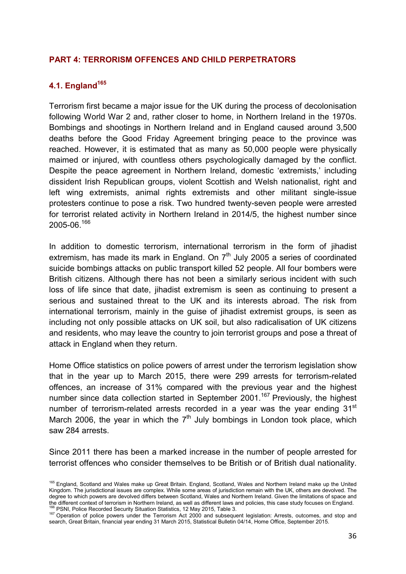#### **PART 4: TERRORISM OFFENCES AND CHILD PERPETRATORS**

# **4.1. England165**

Terrorism first became a major issue for the UK during the process of decolonisation following World War 2 and, rather closer to home, in Northern Ireland in the 1970s. Bombings and shootings in Northern Ireland and in England caused around 3,500 deaths before the Good Friday Agreement bringing peace to the province was reached. However, it is estimated that as many as 50,000 people were physically maimed or injured, with countless others psychologically damaged by the conflict. Despite the peace agreement in Northern Ireland, domestic 'extremists,' including dissident Irish Republican groups, violent Scottish and Welsh nationalist, right and left wing extremists, animal rights extremists and other militant single-issue protesters continue to pose a risk. Two hundred twenty-seven people were arrested for terrorist related activity in Northern Ireland in 2014/5, the highest number since 2005-06.166

In addition to domestic terrorism, international terrorism in the form of jihadist extremism, has made its mark in England. On  $7<sup>th</sup>$  July 2005 a series of coordinated suicide bombings attacks on public transport killed 52 people. All four bombers were British citizens. Although there has not been a similarly serious incident with such loss of life since that date, jihadist extremism is seen as continuing to present a serious and sustained threat to the UK and its interests abroad. The risk from international terrorism, mainly in the guise of jihadist extremist groups, is seen as including not only possible attacks on UK soil, but also radicalisation of UK citizens and residents, who may leave the country to join terrorist groups and pose a threat of attack in England when they return.

Home Office statistics on police powers of arrest under the terrorism legislation show that in the year up to March 2015, there were 299 arrests for terrorism-related offences, an increase of 31% compared with the previous year and the highest number since data collection started in September 2001.<sup>167</sup> Previously, the highest number of terrorism-related arrests recorded in a vear was the vear ending  $31<sup>st</sup>$ March 2006, the year in which the  $7<sup>th</sup>$  July bombings in London took place, which saw 284 arrests.

Since 2011 there has been a marked increase in the number of people arrested for terrorist offences who consider themselves to be British or of British dual nationality.

<sup>&</sup>lt;sup>165</sup> England, Scotland and Wales make up Great Britain. England, Scotland, Wales and Northern Ireland make up the United Kingdom. The jurisdictional issues are complex. While some areas of jurisdiction remain with the UK, others are devolved. The degree to which powers are devolved differs between Scotland, Wales and Northern Ireland. Given the limitations of space and the different context of terrorism in Northern Ireland, as well as different laws and policies, t

<sup>&</sup>lt;sup>166</sup> PSNI, Police Recorded Security Situation Statistics, 12 May 2015, Table 3.<br><sup>167</sup> Operation of police powers under the Terrorism Act 2000 and subsequent legislation: Arrests, outcomes, and stop and search, Great Britain, financial year ending 31 March 2015, Statistical Bulletin 04/14, Home Office, September 2015.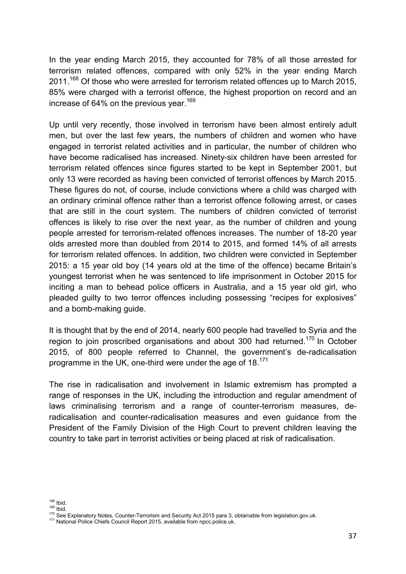In the year ending March 2015, they accounted for 78% of all those arrested for terrorism related offences, compared with only 52% in the year ending March 2011.<sup>168</sup> Of those who were arrested for terrorism related offences up to March 2015, 85% were charged with a terrorist offence, the highest proportion on record and an increase of 64% on the previous year.<sup>169</sup>

Up until very recently, those involved in terrorism have been almost entirely adult men, but over the last few years, the numbers of children and women who have engaged in terrorist related activities and in particular, the number of children who have become radicalised has increased. Ninety-six children have been arrested for terrorism related offences since figures started to be kept in September 2001, but only 13 were recorded as having been convicted of terrorist offences by March 2015. These figures do not, of course, include convictions where a child was charged with an ordinary criminal offence rather than a terrorist offence following arrest, or cases that are still in the court system. The numbers of children convicted of terrorist offences is likely to rise over the next year, as the number of children and young people arrested for terrorism-related offences increases. The number of 18-20 year olds arrested more than doubled from 2014 to 2015, and formed 14% of all arrests for terrorism related offences. In addition, two children were convicted in September 2015: a 15 year old boy (14 years old at the time of the offence) became Britain's youngest terrorist when he was sentenced to life imprisonment in October 2015 for inciting a man to behead police officers in Australia, and a 15 year old girl, who pleaded guilty to two terror offences including possessing "recipes for explosives" and a bomb-making guide.

It is thought that by the end of 2014, nearly 600 people had travelled to Syria and the region to join proscribed organisations and about 300 had returned.<sup>170</sup> In October 2015, of 800 people referred to Channel, the government's de-radicalisation programme in the UK, one-third were under the age of  $18^{171}$ 

The rise in radicalisation and involvement in Islamic extremism has prompted a range of responses in the UK, including the introduction and regular amendment of laws criminalising terrorism and a range of counter-terrorism measures, deradicalisation and counter-radicalisation measures and even guidance from the President of the Family Division of the High Court to prevent children leaving the country to take part in terrorist activities or being placed at risk of radicalisation.

<sup>168</sup> Ibid.<br><sup>169</sup> Ibid.<br><sup>170</sup> See Explanatory Notes, Counter-Terrorism and Security Act 2015 para 3, obtainable from legislation.gov.uk.<br><sup>171</sup> National Police Chiefs Council Report 2015, available from npcc.police.uk.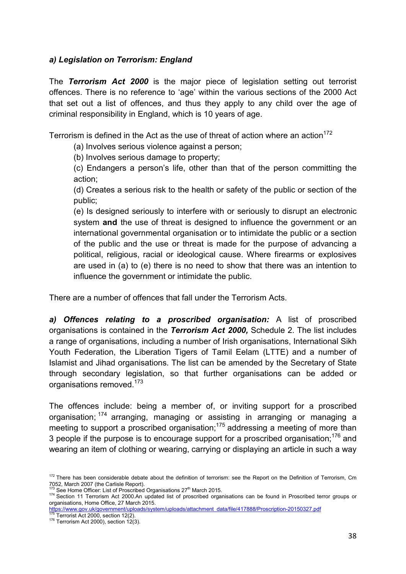# *a) Legislation on Terrorism: England*

The *Terrorism Act 2000* is the major piece of legislation setting out terrorist offences. There is no reference to 'age' within the various sections of the 2000 Act that set out a list of offences, and thus they apply to any child over the age of criminal responsibility in England, which is 10 years of age.

Terrorism is defined in the Act as the use of threat of action where an action<sup>172</sup>

(a) Involves serious violence against a person;

(b) Involves serious damage to property;

(c) Endangers a person's life, other than that of the person committing the action;

(d) Creates a serious risk to the health or safety of the public or section of the public;

(e) Is designed seriously to interfere with or seriously to disrupt an electronic system **and** the use of threat is designed to influence the government or an international governmental organisation or to intimidate the public or a section of the public and the use or threat is made for the purpose of advancing a political, religious, racial or ideological cause. Where firearms or explosives are used in (a) to (e) there is no need to show that there was an intention to influence the government or intimidate the public.

There are a number of offences that fall under the Terrorism Acts.

*a) Offences relating to a proscribed organisation:* A list of proscribed organisations is contained in the *Terrorism Act 2000,* Schedule 2. The list includes a range of organisations, including a number of Irish organisations, International Sikh Youth Federation, the Liberation Tigers of Tamil Eelam (LTTE) and a number of Islamist and Jihad organisations. The list can be amended by the Secretary of State through secondary legislation, so that further organisations can be added or organisations removed.<sup>173</sup>

The offences include: being a member of, or inviting support for a proscribed organisation; 174 arranging, managing or assisting in arranging or managing a meeting to support a proscribed organisation;<sup>175</sup> addressing a meeting of more than 3 people if the purpose is to encourage support for a proscribed organisation;  $176$  and wearing an item of clothing or wearing, carrying or displaying an article in such a way

<sup>172</sup> There has been considerable debate about the definition of terrorism: see the Report on the Definition of Terrorism, Cm 7052, March 2007 (the Carlisle Report).<br><sup>173</sup> See Home Officer: List of Proscribed Organisations 27<sup>th</sup> March 2015

<sup>&</sup>lt;sup>174</sup> Section 11 Terrorism Act 2000.An updated list of proscribed organisations can be found in Proscribed terror groups or organisations, Home Office, 27 March 2015.

https://www.gov.uk/government/uploads/system/uploads/attachment\_data/file/417888/Proscription-20150327.pdf<br><sup>175</sup> Terrorist Act 2000, section 12(2).<br><sup>176</sup> Terrorism Act 2000), section 12(3).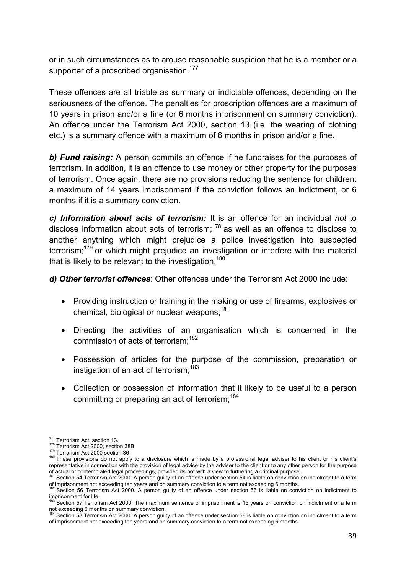or in such circumstances as to arouse reasonable suspicion that he is a member or a supporter of a proscribed organisation.<sup>177</sup>

These offences are all triable as summary or indictable offences, depending on the seriousness of the offence. The penalties for proscription offences are a maximum of 10 years in prison and/or a fine (or 6 months imprisonment on summary conviction). An offence under the Terrorism Act 2000, section 13 (i.e. the wearing of clothing etc.) is a summary offence with a maximum of 6 months in prison and/or a fine.

*b) Fund raising:* A person commits an offence if he fundraises for the purposes of terrorism. In addition, it is an offence to use money or other property for the purposes of terrorism. Once again, there are no provisions reducing the sentence for children: a maximum of 14 years imprisonment if the conviction follows an indictment, or 6 months if it is a summary conviction.

*c) Information about acts of terrorism:* It is an offence for an individual *not* to disclose information about acts of terrorism; $178$  as well as an offence to disclose to another anything which might prejudice a police investigation into suspected terrorism;<sup>179</sup> or which might prejudice an investigation or interfere with the material that is likely to be relevant to the investigation.<sup>180</sup>

*d) Other terrorist offences*: Other offences under the Terrorism Act 2000 include:

- Providing instruction or training in the making or use of firearms, explosives or chemical, biological or nuclear weapons: 181
- Directing the activities of an organisation which is concerned in the commission of acts of terrorism: <sup>182</sup>
- Possession of articles for the purpose of the commission, preparation or instigation of an act of terrorism:  $183$
- Collection or possession of information that it likely to be useful to a person committing or preparing an act of terrorism:<sup>184</sup>

<sup>177</sup> Terrorism Act, section 13.<br><sup>178</sup> Terrorism Act 2000, section 38B<br><sup>179</sup> Terrorism Act 2000 section 36<br><sup>179</sup> These provisions do not apply to a disclosure which is made by a professional legal adviser to his client or hi representative in connection with the provision of legal advice by the adviser to the client or to any other person for the purpose

of actual or contemplated legal proceedings, provided its not with a view to furthering a criminal purpose.<br><sup>181</sup> Section 54 Terrorism Act 2000. A person guilty of an offence under section 54 is liable on conviction on ind of imprisonment not exceeding ten years and on summary conviction to a term not exceeding 6 months.

 $^{22}$  Section 56 Terrorism Act 2000. A person guilty of an offence under section 56 is liable on conviction on indictment to imprisonment for life.

<sup>.&</sup>lt;br>Section 57 Terrorism Act 2000. The maximum sentence of imprisonment is 15 years on conviction on indictment or a term

not exceeding 6 months on summary conviction.<br><sup>184</sup> Section 58 Terrorism Act 2000. A person guilty of an offence under section 58 is liable on conviction on indictment to a term of imprisonment not exceeding ten years and on summary conviction to a term not exceeding 6 months.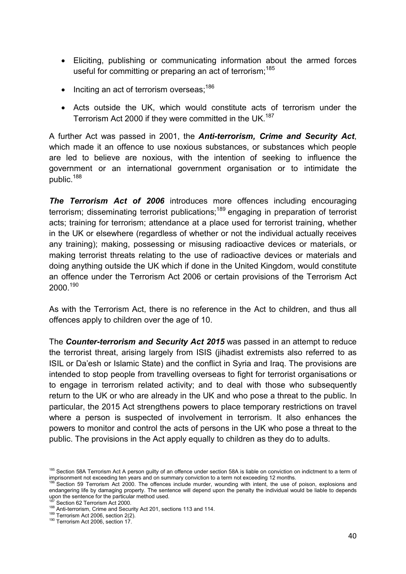- Eliciting, publishing or communicating information about the armed forces useful for committing or preparing an act of terrorism;<sup>185</sup>
- Inciting an act of terrorism overseas;<sup>186</sup>
- Acts outside the UK, which would constitute acts of terrorism under the Terrorism Act 2000 if they were committed in the UK.<sup>187</sup>

A further Act was passed in 2001, the *Anti-terrorism, Crime and Security Act*, which made it an offence to use noxious substances, or substances which people are led to believe are noxious, with the intention of seeking to influence the government or an international government organisation or to intimidate the public.<sup>188</sup>

**The Terrorism Act of 2006** introduces more offences including encouraging terrorism; disseminating terrorist publications;<sup>189</sup> engaging in preparation of terrorist acts; training for terrorism; attendance at a place used for terrorist training, whether in the UK or elsewhere (regardless of whether or not the individual actually receives any training); making, possessing or misusing radioactive devices or materials, or making terrorist threats relating to the use of radioactive devices or materials and doing anything outside the UK which if done in the United Kingdom, would constitute an offence under the Terrorism Act 2006 or certain provisions of the Terrorism Act  $2000.<sup>190</sup>$ 

As with the Terrorism Act, there is no reference in the Act to children, and thus all offences apply to children over the age of 10.

The *Counter-terrorism and Security Act 2015* was passed in an attempt to reduce the terrorist threat, arising largely from ISIS (jihadist extremists also referred to as ISIL or Da'esh or Islamic State) and the conflict in Syria and Iraq. The provisions are intended to stop people from travelling overseas to fight for terrorist organisations or to engage in terrorism related activity; and to deal with those who subsequently return to the UK or who are already in the UK and who pose a threat to the public. In particular, the 2015 Act strengthens powers to place temporary restrictions on travel where a person is suspected of involvement in terrorism. It also enhances the powers to monitor and control the acts of persons in the UK who pose a threat to the public. The provisions in the Act apply equally to children as they do to adults.

<sup>&</sup>lt;sup>185</sup> Section 58A Terrorism Act A person guilty of an offence under section 58A is liable on conviction on indictment to a term of imprisonment not exceeding ten years and on summary conviction to a term not exceeding 12 months.

<sup>&</sup>lt;sup>186</sup> Section 59 Terrorism Act 2000. The offences include murder, wounding with intent, the use of poison, explosions and endangering life by damaging property. The sentence will depend upon the penalty the individual would be liable to depends upon the sentence for the particular method used.<br><sup>187</sup> Section 62 Terrorism Act 2000.

<sup>188</sup> Anti-terrorism, Crime and Security Act 201, sections 113 and 114.<br><sup>189</sup> Terrorism Act 2006, section 2(2).<br><sup>190</sup> Terrorism Act 2006, section 17.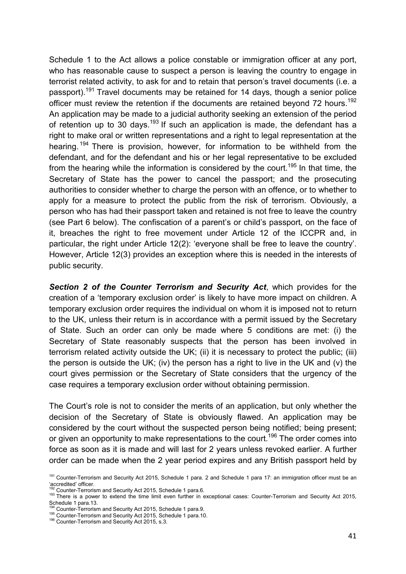Schedule 1 to the Act allows a police constable or immigration officer at any port, who has reasonable cause to suspect a person is leaving the country to engage in terrorist related activity, to ask for and to retain that person's travel documents (i.e. a passport).<sup>191</sup> Travel documents may be retained for 14 days, though a senior police officer must review the retention if the documents are retained beyond 72 hours.<sup>192</sup> An application may be made to a judicial authority seeking an extension of the period of retention up to 30 days.<sup>193</sup> If such an application is made, the defendant has a right to make oral or written representations and a right to legal representation at the hearing. <sup>194</sup> There is provision, however, for information to be withheld from the defendant, and for the defendant and his or her legal representative to be excluded from the hearing while the information is considered by the court.<sup>195</sup> In that time, the Secretary of State has the power to cancel the passport; and the prosecuting authorities to consider whether to charge the person with an offence, or to whether to apply for a measure to protect the public from the risk of terrorism. Obviously, a person who has had their passport taken and retained is not free to leave the country (see Part 6 below). The confiscation of a parent's or child's passport, on the face of it, breaches the right to free movement under Article 12 of the ICCPR and, in particular, the right under Article 12(2): 'everyone shall be free to leave the country'. However, Article 12(3) provides an exception where this is needed in the interests of public security.

*Section 2 of the Counter Terrorism and Security Act*, which provides for the creation of a 'temporary exclusion order' is likely to have more impact on children. A temporary exclusion order requires the individual on whom it is imposed not to return to the UK, unless their return is in accordance with a permit issued by the Secretary of State. Such an order can only be made where 5 conditions are met: (i) the Secretary of State reasonably suspects that the person has been involved in terrorism related activity outside the UK; (ii) it is necessary to protect the public; (iii) the person is outside the UK; (iv) the person has a right to live in the UK and (v) the court gives permission or the Secretary of State considers that the urgency of the case requires a temporary exclusion order without obtaining permission.

The Court's role is not to consider the merits of an application, but only whether the decision of the Secretary of State is obviously flawed. An application may be considered by the court without the suspected person being notified; being present; or given an opportunity to make representations to the court.<sup>196</sup> The order comes into force as soon as it is made and will last for 2 years unless revoked earlier. A further order can be made when the 2 year period expires and any British passport held by

<sup>191</sup> Counter-Terrorism and Security Act 2015, Schedule 1 para. 2 and Schedule 1 para 17: an immigration officer must be an 'accredited' officer.<br><sup>192</sup> Counter-Terrorism and Security Act 2015 Schedule 1 para 6

<sup>192</sup> Counter-Terrorism and Security Act 2015, Schedule 1 para.6. 193 There is a power to extend the time limit even further in exceptional cases: Counter-Terrorism and Security Act 2015, Schedule 1 para.13.<br><sup>194</sup> Counter-Terrorism and Security Act 2015, Schedule 1 para.9.

<sup>195</sup> Counter-Terrorism and Security Act 2015, Schedule 1 para.10. 196 Counter-Terrorism and Security Act 2015, s.3.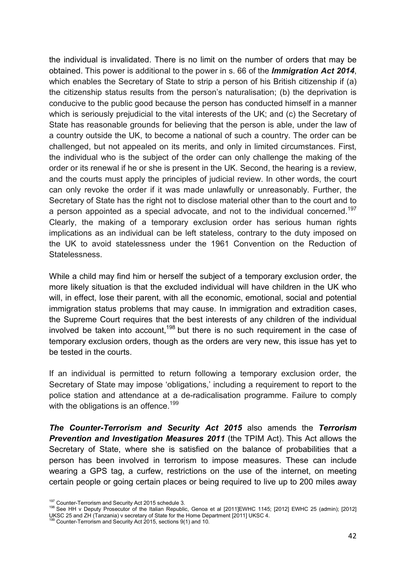the individual is invalidated. There is no limit on the number of orders that may be obtained. This power is additional to the power in s. 66 of the *Immigration Act 2014*, which enables the Secretary of State to strip a person of his British citizenship if (a) the citizenship status results from the person's naturalisation; (b) the deprivation is conducive to the public good because the person has conducted himself in a manner which is seriously prejudicial to the vital interests of the UK; and (c) the Secretary of State has reasonable grounds for believing that the person is able, under the law of a country outside the UK, to become a national of such a country. The order can be challenged, but not appealed on its merits, and only in limited circumstances. First, the individual who is the subject of the order can only challenge the making of the order or its renewal if he or she is present in the UK. Second, the hearing is a review, and the courts must apply the principles of judicial review. In other words, the court can only revoke the order if it was made unlawfully or unreasonably. Further, the Secretary of State has the right not to disclose material other than to the court and to a person appointed as a special advocate, and not to the individual concerned.<sup>197</sup> Clearly, the making of a temporary exclusion order has serious human rights implications as an individual can be left stateless, contrary to the duty imposed on the UK to avoid statelessness under the 1961 Convention on the Reduction of Statelessness.

While a child may find him or herself the subject of a temporary exclusion order, the more likely situation is that the excluded individual will have children in the UK who will, in effect, lose their parent, with all the economic, emotional, social and potential immigration status problems that may cause. In immigration and extradition cases, the Supreme Court requires that the best interests of any children of the individual involved be taken into account,<sup>198</sup> but there is no such requirement in the case of temporary exclusion orders, though as the orders are very new, this issue has yet to be tested in the courts.

If an individual is permitted to return following a temporary exclusion order, the Secretary of State may impose 'obligations,' including a requirement to report to the police station and attendance at a de-radicalisation programme. Failure to comply with the obligations is an offence.<sup>199</sup>

*The Counter-Terrorism and Security Act 2015* also amends the *Terrorism Prevention and Investigation Measures 2011* (the TPIM Act). This Act allows the Secretary of State, where she is satisfied on the balance of probabilities that a person has been involved in terrorism to impose measures. These can include wearing a GPS tag, a curfew, restrictions on the use of the internet, on meeting certain people or going certain places or being required to live up to 200 miles away

<sup>&</sup>lt;sup>197</sup> Counter-Terrorism and Security Act 2015 schedule 3.<br><sup>198</sup> See HH v Deputy Prosecutor of the Italian Republic, Genoa et al [2011]EWHC 1145; [2012] EWHC 25 (admin); [2012] UKSC 25 and ZH (Tanzania) v secretary of State for the Home Department [2011] UKSC 4. 199 Counter-Terrorism and Security Act 2015, sections 9(1) and 10.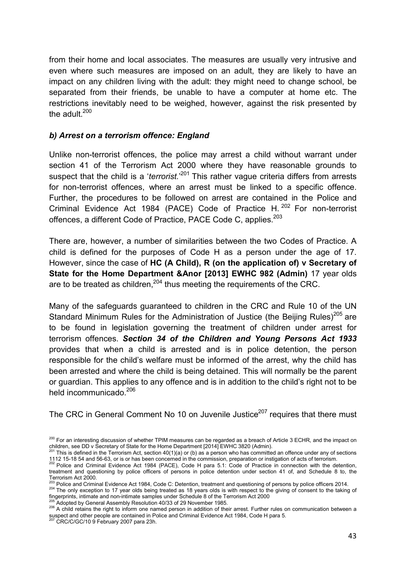from their home and local associates. The measures are usually very intrusive and even where such measures are imposed on an adult, they are likely to have an impact on any children living with the adult: they might need to change school, be separated from their friends, be unable to have a computer at home etc. The restrictions inevitably need to be weighed, however, against the risk presented by the adult.<sup>200</sup>

### *b) Arrest on a terrorism offence: England*

Unlike non-terrorist offences, the police may arrest a child without warrant under section 41 of the Terrorism Act 2000 where they have reasonable grounds to suspect that the child is a '*terrorist.*'<sup>201</sup> This rather vague criteria differs from arrests for non-terrorist offences, where an arrest must be linked to a specific offence. Further, the procedures to be followed on arrest are contained in the Police and Criminal Evidence Act 1984 (PACE) Code of Practice H.<sup>202</sup> For non-terrorist offences, a different Code of Practice, PACE Code C, applies.<sup>203</sup>

There are, however, a number of similarities between the two Codes of Practice. A child is defined for the purposes of Code H as a person under the age of 17. However, since the case of **HC (A Child), R (on the application of) v Secretary of State for the Home Department &Anor [2013] EWHC 982 (Admin)** 17 year olds are to be treated as children,  $204$  thus meeting the requirements of the CRC.

Many of the safeguards guaranteed to children in the CRC and Rule 10 of the UN Standard Minimum Rules for the Administration of Justice (the Beijing Rules)<sup>205</sup> are to be found in legislation governing the treatment of children under arrest for terrorism offences. *Section 34 of the Children and Young Persons Act 1933* provides that when a child is arrested and is in police detention, the person responsible for the child's welfare must be informed of the arrest, why the child has been arrested and where the child is being detained. This will normally be the parent or guardian. This applies to any offence and is in addition to the child's right not to be held incommunicado.<sup>206</sup>

The CRC in General Comment No 10 on Juvenile Justice<sup>207</sup> requires that there must

<sup>&</sup>lt;sup>200</sup> For an interesting discussion of whether TPIM measures can be regarded as a breach of Article 3 ECHR, and the impact on children, see DD v Secretary of State for the Home Department [2014] EWHC 3820 (Admin).

This is defined in the Terrorism Act, section  $40(1)(a)$  or (b) as a person who has committed an offence under any of sections 112 15-18 54 and 56-63, or is or has been concerned in the commission, preparation or instigation of acts of terrorism.<br><sup>202</sup> Police and Criminal Evidence Act 1984 (PACE), Code H para 5.1: Code of Practice in connection wi

treatment and questioning by police officers of persons in police detention under section 41 of, and Schedule 8 to, the Terrorism Act 2000.<br>Terrorism Act 2000.<br><sup>203</sup> Police and Criminal Evidence Act 1984, Code C: Detention, treatment and questioning of persons by police officers 2014.

<sup>204</sup> The only exception to 17 year olds being treated as 18 years olds is with respect to the giving of consent to the taking of<br>fingerprints, intimate and non-intimate samples under Schedule 8 of the Terrorism Act 2000

 $^{205}$  Adopted by General Assembly Resolution 40/33 of 29 November 1985.<br> $^{206}$  A child retains the right to inform one named person in addition of their arrest. Further rules on communication between a suspect and other people are contained in Police and Criminal Evidence Act 1984, Code H para 5.<br><sup>207</sup> CRC/C/GC/10 9 February 2007 para 23h.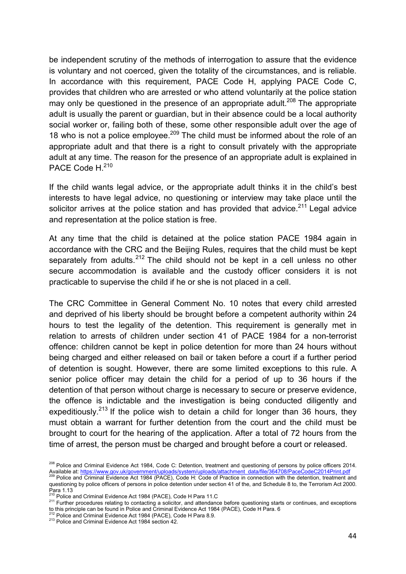be independent scrutiny of the methods of interrogation to assure that the evidence is voluntary and not coerced, given the totality of the circumstances, and is reliable. In accordance with this requirement, PACE Code H, applying PACE Code C, provides that children who are arrested or who attend voluntarily at the police station may only be questioned in the presence of an appropriate adult.<sup>208</sup> The appropriate adult is usually the parent or guardian, but in their absence could be a local authority social worker or, failing both of these, some other responsible adult over the age of 18 who is not a police employee.<sup>209</sup> The child must be informed about the role of an appropriate adult and that there is a right to consult privately with the appropriate adult at any time. The reason for the presence of an appropriate adult is explained in PACE Code H.<sup>210</sup>

If the child wants legal advice, or the appropriate adult thinks it in the child's best interests to have legal advice, no questioning or interview may take place until the solicitor arrives at the police station and has provided that advice.<sup>211</sup> Legal advice and representation at the police station is free.

At any time that the child is detained at the police station PACE 1984 again in accordance with the CRC and the Beijing Rules, requires that the child must be kept separately from adults.<sup>212</sup> The child should not be kept in a cell unless no other secure accommodation is available and the custody officer considers it is not practicable to supervise the child if he or she is not placed in a cell.

The CRC Committee in General Comment No. 10 notes that every child arrested and deprived of his liberty should be brought before a competent authority within 24 hours to test the legality of the detention. This requirement is generally met in relation to arrests of children under section 41 of PACE 1984 for a non-terrorist offence: children cannot be kept in police detention for more than 24 hours without being charged and either released on bail or taken before a court if a further period of detention is sought. However, there are some limited exceptions to this rule. A senior police officer may detain the child for a period of up to 36 hours if the detention of that person without charge is necessary to secure or preserve evidence, the offence is indictable and the investigation is being conducted diligently and expeditiously.<sup>213</sup> If the police wish to detain a child for longer than 36 hours, they must obtain a warrant for further detention from the court and the child must be brought to court for the hearing of the application. After a total of 72 hours from the time of arrest, the person must be charged and brought before a court or released.

<sup>&</sup>lt;sup>208</sup> Police and Criminal Evidence Act 1984, Code C: Detention, treatment and questioning of persons by police officers 2014. 209 Police and Criminal Evidence Act 1984 (PACE), Code H: Code of Practice in connection with the detention, treatment and 200 Police and Criminal Evidence Act 1984 (PACE), Code H: Code of Practice in connection with the d

questioning by police officers of persons in police detention under section 41 of the, and Schedule 8 to, the Terrorism Act 2000. Para 1.13<br>Para 1.13<br><sup>210</sup> Police and Criminal Evidence Act 1984 (PACE), Code H Para 11.C

<sup>211</sup> Further procedures relating to contacting a solicitor, and attendance before questioning starts or continues, and exceptions to this principle can be found in Police and Criminal Evidence Act 1984 (PACE), Code H Para. 6<br><sup>212</sup> Police and Criminal Evidence Act 1984 (PACE), Code H Para 8.9.<br><sup>213</sup> Police and Criminal Evidence Act 1984 section 42.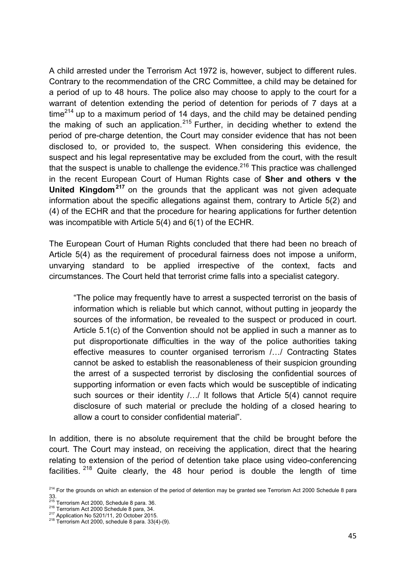A child arrested under the Terrorism Act 1972 is, however, subject to different rules. Contrary to the recommendation of the CRC Committee, a child may be detained for a period of up to 48 hours. The police also may choose to apply to the court for a warrant of detention extending the period of detention for periods of 7 days at a time<sup>214</sup> up to a maximum period of 14 days, and the child may be detained pending the making of such an application.<sup>215</sup> Further, in deciding whether to extend the period of pre-charge detention, the Court may consider evidence that has not been disclosed to, or provided to, the suspect. When considering this evidence, the suspect and his legal representative may be excluded from the court, with the result that the suspect is unable to challenge the evidence.<sup>216</sup> This practice was challenged in the recent European Court of Human Rights case of **Sher and others v the United Kingdom<sup>217</sup>** on the grounds that the applicant was not given adequate information about the specific allegations against them, contrary to Article 5(2) and (4) of the ECHR and that the procedure for hearing applications for further detention was incompatible with Article 5(4) and 6(1) of the ECHR.

The European Court of Human Rights concluded that there had been no breach of Article 5(4) as the requirement of procedural fairness does not impose a uniform, unvarying standard to be applied irrespective of the context, facts and circumstances. The Court held that terrorist crime falls into a specialist category.

"The police may frequently have to arrest a suspected terrorist on the basis of information which is reliable but which cannot, without putting in jeopardy the sources of the information, be revealed to the suspect or produced in court. Article 5.1(c) of the Convention should not be applied in such a manner as to put disproportionate difficulties in the way of the police authorities taking effective measures to counter organised terrorism /…/ Contracting States cannot be asked to establish the reasonableness of their suspicion grounding the arrest of a suspected terrorist by disclosing the confidential sources of supporting information or even facts which would be susceptible of indicating such sources or their identity  $/$ .../ It follows that Article 5(4) cannot require disclosure of such material or preclude the holding of a closed hearing to allow a court to consider confidential material".

In addition, there is no absolute requirement that the child be brought before the court. The Court may instead, on receiving the application, direct that the hearing relating to extension of the period of detention take place using video-conferencing facilities. <sup>218</sup> Quite clearly, the 48 hour period is double the length of time

<sup>&</sup>lt;sup>214</sup> For the arounds on which an extension of the period of detention may be granted see Terrorism Act 2000 Schedule 8 para 33.

<sup>&</sup>lt;sup>215</sup> Terrorism Act 2000, Schedule 8 para. 36.<br><sup>216</sup> Terrorism Act 2000 Schedule 8 para, 34.<br><sup>217</sup> Application No 5201/11, 20 October 2015.<br><sup>218</sup> Terrorism Act 2000, schedule 8 para. 33(4)-(9).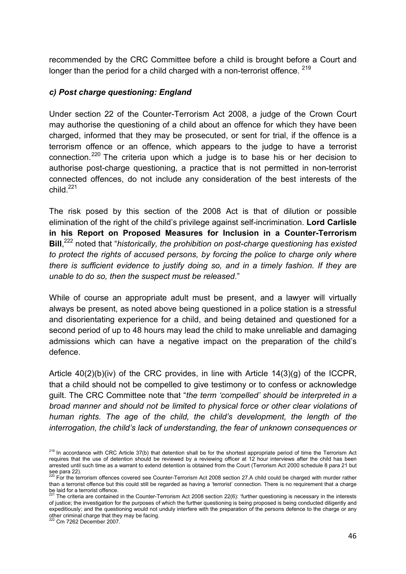recommended by the CRC Committee before a child is brought before a Court and longer than the period for a child charged with a non-terrorist offence.  $219$ 

### *c) Post charge questioning: England*

Under section 22 of the Counter-Terrorism Act 2008, a judge of the Crown Court may authorise the questioning of a child about an offence for which they have been charged, informed that they may be prosecuted, or sent for trial, if the offence is a terrorism offence or an offence, which appears to the judge to have a terrorist connection.<sup>220</sup> The criteria upon which a judge is to base his or her decision to authorise post-charge questioning, a practice that is not permitted in non-terrorist connected offences, do not include any consideration of the best interests of the  $child<sup>221</sup>$ 

The risk posed by this section of the 2008 Act is that of dilution or possible elimination of the right of the child's privilege against self-incrimination. **Lord Carlisle in his Report on Proposed Measures for Inclusion in a Counter-Terrorism Bill**, 222 noted that "*historically, the prohibition on post-charge questioning has existed*  to protect the rights of accused persons, by forcing the police to charge only where *there is sufficient evidence to justify doing so, and in a timely fashion. If they are unable to do so, then the suspect must be released*."

While of course an appropriate adult must be present, and a lawyer will virtually always be present, as noted above being questioned in a police station is a stressful and disorientating experience for a child, and being detained and questioned for a second period of up to 48 hours may lead the child to make unreliable and damaging admissions which can have a negative impact on the preparation of the child's defence.

Article 40(2)(b)(iv) of the CRC provides, in line with Article 14(3)(g) of the ICCPR, that a child should not be compelled to give testimony or to confess or acknowledge guilt. The CRC Committee note that "*the term 'compelled' should be interpreted in a broad manner and should not be limited to physical force or other clear violations of human rights. The age of the child, the child's development, the length of the interrogation, the child's lack of understanding, the fear of unknown consequences or* 

<sup>&</sup>lt;sup>219</sup> In accordance with CRC Article 37(b) that detention shall be for the shortest appropriate period of time the Terrorism Act requires that the use of detention should be reviewed by a reviewing officer at 12 hour interviews after the child has been arrested until such time as a warrant to extend detention is obtained from the Court (Terrorism Act 2000 schedule 8 para 21 but

see para 22).<br><sup>220</sup> For the terrorism offences covered see Counter-Terrorism Act 2008 section 27.A child could be charged with murder rather than a terrorist offence but this could still be regarded as having a 'terrorist' connection. There is no requirement that a charge be laid for a terrorist offence.<br><sup>221</sup> The criteria are contained in the Counter-Terrorism Act 2008 section 22(6): 'further questioning is necessary in the interests

of justice; the investigation for the purposes of which the further questioning is being proposed is being conducted diligently and expeditiously; and the questioning would not unduly interfere with the preparation of the persons defence to the charge or any other criminal charge that they may be facing. 222 Cm 7262 December 2007.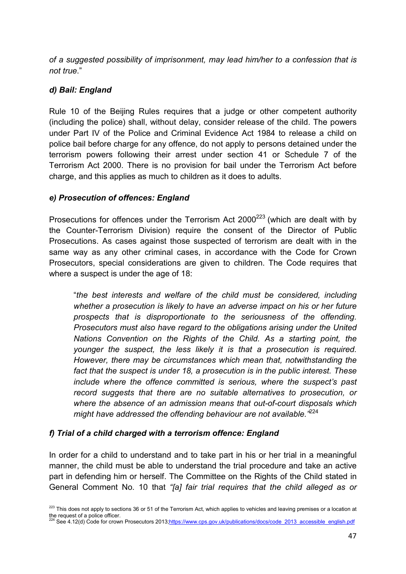*of a suggested possibility of imprisonment, may lead him/her to a confession that is not true*."

# *d) Bail: England*

Rule 10 of the Beijing Rules requires that a judge or other competent authority (including the police) shall, without delay, consider release of the child. The powers under Part IV of the Police and Criminal Evidence Act 1984 to release a child on police bail before charge for any offence, do not apply to persons detained under the terrorism powers following their arrest under section 41 or Schedule 7 of the Terrorism Act 2000. There is no provision for bail under the Terrorism Act before charge, and this applies as much to children as it does to adults.

# *e) Prosecution of offences: England*

Prosecutions for offences under the Terrorism Act  $2000^{223}$  (which are dealt with by the Counter-Terrorism Division) require the consent of the Director of Public Prosecutions. As cases against those suspected of terrorism are dealt with in the same way as any other criminal cases, in accordance with the Code for Crown Prosecutors, special considerations are given to children. The Code requires that where a suspect is under the age of 18:

"*the best interests and welfare of the child must be considered, including whether a prosecution is likely to have an adverse impact on his or her future prospects that is disproportionate to the seriousness of the offending. Prosecutors must also have regard to the obligations arising under the United Nations Convention on the Rights of the Child. As a starting point, the younger the suspect, the less likely it is that a prosecution is required. However, there may be circumstances which mean that, notwithstanding the fact that the suspect is under 18, a prosecution is in the public interest. These include where the offence committed is serious, where the suspect's past record suggests that there are no suitable alternatives to prosecution, or where the absence of an admission means that out-of-court disposals which might have addressed the offending behaviour are not available."*<sup>224</sup>

# *f) Trial of a child charged with a terrorism offence: England*

In order for a child to understand and to take part in his or her trial in a meaningful manner, the child must be able to understand the trial procedure and take an active part in defending him or herself. The Committee on the Rights of the Child stated in General Comment No. 10 that *"[a] fair trial requires that the child alleged as or* 

<sup>&</sup>lt;sup>223</sup> This does not apply to sections 36 or 51 of the Terrorism Act, which applies to vehicles and leaving premises or a location at the request of a police officer.<br><sup>224</sup> See 4.12(d) Code for crown Prosecutors 2013;<u>https://www.cps.gov.uk/publications/docs/code\_2013\_accessible\_english.pdf</u>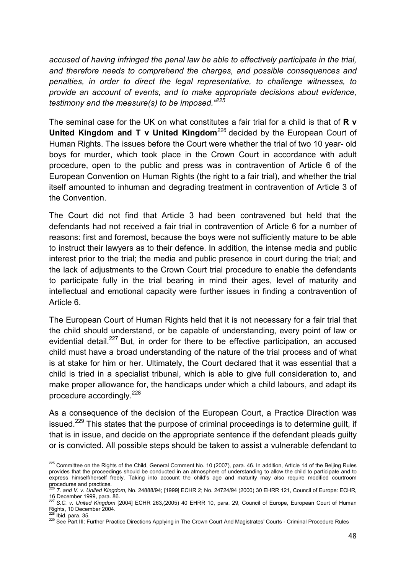*accused of having infringed the penal law be able to effectively participate in the trial, and therefore needs to comprehend the charges, and possible consequences and penalties, in order to direct the legal representative, to challenge witnesses, to provide an account of events, and to make appropriate decisions about evidence, testimony and the measure(s) to be imposed."225*

The seminal case for the UK on what constitutes a fair trial for a child is that of **R v United Kingdom and T v United Kingdom***<sup>226</sup>* decided by the European Court of Human Rights. The issues before the Court were whether the trial of two 10 year- old boys for murder, which took place in the Crown Court in accordance with adult procedure, open to the public and press was in contravention of Article 6 of the European Convention on Human Rights (the right to a fair trial), and whether the trial itself amounted to inhuman and degrading treatment in contravention of Article 3 of the Convention.

The Court did not find that Article 3 had been contravened but held that the defendants had not received a fair trial in contravention of Article 6 for a number of reasons: first and foremost, because the boys were not sufficiently mature to be able to instruct their lawyers as to their defence. In addition, the intense media and public interest prior to the trial; the media and public presence in court during the trial; and the lack of adjustments to the Crown Court trial procedure to enable the defendants to participate fully in the trial bearing in mind their ages, level of maturity and intellectual and emotional capacity were further issues in finding a contravention of Article 6.

The European Court of Human Rights held that it is not necessary for a fair trial that the child should understand, or be capable of understanding, every point of law or evidential detail.<sup>227</sup> But, in order for there to be effective participation, an accused child must have a broad understanding of the nature of the trial process and of what is at stake for him or her. Ultimately, the Court declared that it was essential that a child is tried in a specialist tribunal, which is able to give full consideration to, and make proper allowance for, the handicaps under which a child labours, and adapt its procedure accordingly.<sup>228</sup>

As a consequence of the decision of the European Court, a Practice Direction was issued.<sup>229</sup> This states that the purpose of criminal proceedings is to determine quilt, if that is in issue, and decide on the appropriate sentence if the defendant pleads guilty or is convicted. All possible steps should be taken to assist a vulnerable defendant to

<sup>225</sup> Committee on the Rights of the Child, General Comment No. 10 (2007), para. 46. In addition, Article 14 of the Beijing Rules provides that the proceedings should be conducted in an atmosphere of understanding to allow the child to participate and to express himself/herself freely. Taking into account the child's age and maturity may also require modified courtroom

procedures and practices.<br><sup>226</sup> *T. and V. v. United Kingdom*, No. 24888/94; [1999] ECHR 2; No. 24724/94 (2000) 30 EHRR 121, Council of Europe: ECHR,

<sup>16</sup> December 1999, para. 86. <sup>227</sup> *S.C. v. United Kingdom* [2004] ECHR 263,(2005) 40 EHRR 10, para. 29, Council of Europe, European Court of Human Rights, 10 December 2004.

<sup>&</sup>lt;sup>228</sup> Ibid. para. 35.<br><sup>229</sup> See Part III: Further Practice Directions Applying in The Crown Court And Magistrates' Courts - Criminal Procedure Rules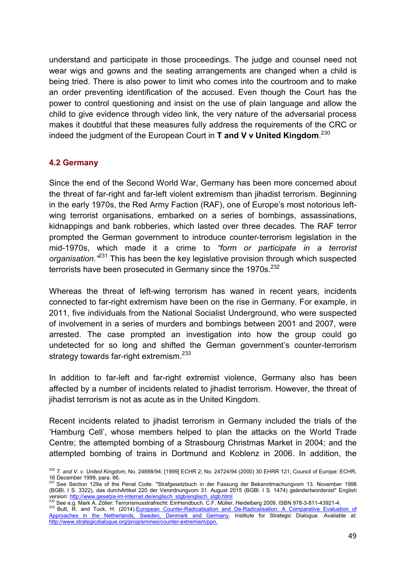understand and participate in those proceedings. The judge and counsel need not wear wigs and gowns and the seating arrangements are changed when a child is being tried. There is also power to limit who comes into the courtroom and to make an order preventing identification of the accused. Even though the Court has the power to control questioning and insist on the use of plain language and allow the child to give evidence through video link, the very nature of the adversarial process makes it doubtful that these measures fully address the requirements of the CRC or indeed the judgment of the European Court in **T and V v United Kingdom**. 230

# **4.2 Germany**

Since the end of the Second World War, Germany has been more concerned about the threat of far-right and far-left violent extremism than jihadist terrorism. Beginning in the early 1970s, the Red Army Faction (RAF), one of Europe's most notorious leftwing terrorist organisations, embarked on a series of bombings, assassinations, kidnappings and bank robberies, which lasted over three decades. The RAF terror prompted the German government to introduce counter-terrorism legislation in the mid-1970s, which made it a crime to *"form or participate in a terrorist organisation."*231 This has been the key legislative provision through which suspected terrorists have been prosecuted in Germany since the  $1970s^{232}$ 

Whereas the threat of left-wing terrorism has waned in recent years, incidents connected to far-right extremism have been on the rise in Germany. For example, in 2011, five individuals from the National Socialist Underground, who were suspected of involvement in a series of murders and bombings between 2001 and 2007, were arrested. The case prompted an investigation into how the group could go undetected for so long and shifted the German government's counter-terrorism strategy towards far-right extremism.<sup>233</sup>

In addition to far-left and far-right extremist violence, Germany also has been affected by a number of incidents related to jihadist terrorism. However, the threat of jihadist terrorism is not as acute as in the United Kingdom.

Recent incidents related to jihadist terrorism in Germany included the trials of the 'Hamburg Cell', whose members helped to plan the attacks on the World Trade Centre; the attempted bombing of a Strasbourg Christmas Market in 2004; and the attempted bombing of trains in Dortmund and Koblenz in 2006. In addition, the

<sup>230</sup> *T. and V. v. United Kingdom*, No. 24888/94; [1999] ECHR 2; No. 24724/94 (2000) 30 EHRR 121, Council of Europe: ECHR, 16 December 1999, para. 86. 231 See Section 129a of the Penal Code. "Strafgesetzbuch in der Fassung der Bekanntmachungvom 13. November 1998

<sup>(</sup>BGBI. I S. 3322), das durchArtikel 220 der Verordnungvom 31. August 2015 (BGBI. I S. 1474) geändertwordenist" English<br>version: http://www.gesetze-im-internet.de/englisch\_stgb/englisch\_stgb.html<br>232.0 cc. 15.1474) geändert

<sup>&</sup>lt;sup>232</sup> See e.g. Mark A. Zöller: Terrorismusstrafrecht: EinHandbuch. C.F. Müller, Heidelberg 2009, ISBN 978-3-811-43921-4.<br><sup>233</sup> Butt, R. and Tuck, H. (2014) European Counter-Radicalisation and De-Radicalisation: A Comparati

Approaches in the Netherlands, Sweden, Denmark and Germany. Institute for Strategic Dialogue. Available at: http://www.strategicdialogue.org/programmes/counter-extremism/ppn.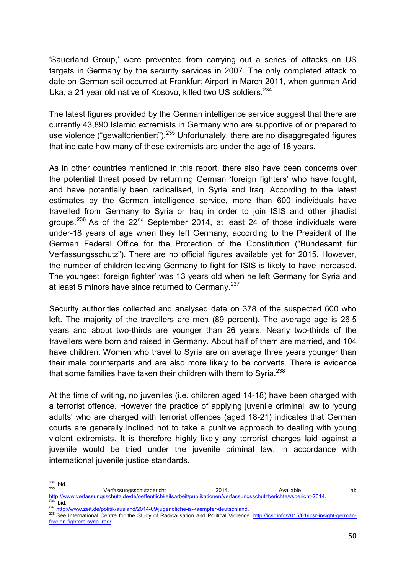'Sauerland Group,' were prevented from carrying out a series of attacks on US targets in Germany by the security services in 2007. The only completed attack to date on German soil occurred at Frankfurt Airport in March 2011, when gunman Arid Uka, a 21 year old native of Kosovo, killed two US soldiers.<sup>234</sup>

The latest figures provided by the German intelligence service suggest that there are currently 43,890 Islamic extremists in Germany who are supportive of or prepared to use violence ("gewaltorientiert").<sup>235</sup> Unfortunately, there are no disaggregated figures that indicate how many of these extremists are under the age of 18 years.

As in other countries mentioned in this report, there also have been concerns over the potential threat posed by returning German 'foreign fighters' who have fought, and have potentially been radicalised, in Syria and Iraq. According to the latest estimates by the German intelligence service, more than 600 individuals have travelled from Germany to Syria or Iraq in order to join ISIS and other jihadist groups.<sup>236</sup> As of the  $22<sup>nd</sup>$  September 2014, at least 24 of those individuals were under-18 years of age when they left Germany, according to the President of the German Federal Office for the Protection of the Constitution ("Bundesamt für Verfassungsschutz"). There are no official figures available yet for 2015. However, the number of children leaving Germany to fight for ISIS is likely to have increased. The youngest 'foreign fighter' was 13 years old when he left Germany for Syria and at least 5 minors have since returned to Germany.<sup>237</sup>

Security authorities collected and analysed data on 378 of the suspected 600 who left. The majority of the travellers are men (89 percent). The average age is 26.5 years and about two-thirds are younger than 26 years. Nearly two-thirds of the travellers were born and raised in Germany. About half of them are married, and 104 have children. Women who travel to Syria are on average three years younger than their male counterparts and are also more likely to be converts. There is evidence that some families have taken their children with them to Syria.<sup>238</sup>

At the time of writing, no juveniles (i.e. children aged 14-18) have been charged with a terrorist offence. However the practice of applying juvenile criminal law to 'young adults' who are charged with terrorist offences (aged 18-21) indicates that German courts are generally inclined not to take a punitive approach to dealing with young violent extremists. It is therefore highly likely any terrorist charges laid against a juvenile would be tried under the juvenile criminal law, in accordance with international juvenile justice standards.

<sup>&</sup>lt;sup>234</sup> Ibid. Verfassungsschutzbericht 2014. Available 235 Verfassungsschutzbericht 2014. Available at:<br>http://www.verfassungsschutz.de/de/oeffentlichkeitsarbeit/publikationen/verfassungsschutzberichte/vsbericht-2014.

<sup>&</sup>lt;sup>236</sup> Ibid.<br><sup>237</sup> http://www.zeit.de/politik/ausland/2014-09/jugendliche-is-kaempfer-deutschland.<br><sup>238</sup> See International Centre for the Study of Radicalisation and Political Violence. <u>http://icsr.info/2015/01/icsr-insigh</u> foreign-fighters-syria-iraq/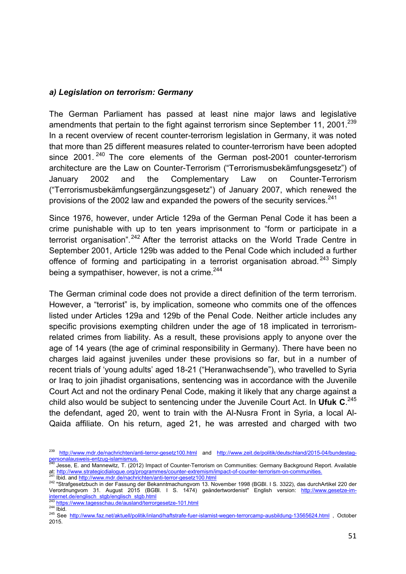#### *a) Legislation on terrorism: Germany*

The German Parliament has passed at least nine major laws and legislative amendments that pertain to the fight against terrorism since September 11, 2001.<sup>239</sup> In a recent overview of recent counter-terrorism legislation in Germany, it was noted that more than 25 different measures related to counter-terrorism have been adopted since 2001.<sup>240</sup> The core elements of the German post-2001 counter-terrorism architecture are the Law on Counter-Terrorism ("Terrorismusbekämfungsgesetz") of January 2002 and the Complementary Law on Counter-Terrorism ("Terrorismusbekämfungsergänzungsgesetz") of January 2007, which renewed the provisions of the 2002 law and expanded the powers of the security services.<sup>241</sup>

Since 1976, however, under Article 129a of the German Penal Code it has been a crime punishable with up to ten years imprisonment to "form or participate in a terrorist organisation".<sup>242</sup> After the terrorist attacks on the World Trade Centre in September 2001, Article 129b was added to the Penal Code which included a further offence of forming and participating in a terrorist organisation abroad*.* 243 Simply being a sympathiser, however, is not a crime.<sup>244</sup>

The German criminal code does not provide a direct definition of the term terrorism. However, a "terrorist" is, by implication, someone who commits one of the offences listed under Articles 129a and 129b of the Penal Code. Neither article includes any specific provisions exempting children under the age of 18 implicated in terrorismrelated crimes from liability. As a result, these provisions apply to anyone over the age of 14 years (the age of criminal responsibility in Germany). There have been no charges laid against juveniles under these provisions so far, but in a number of recent trials of 'young adults' aged 18-21 ("Heranwachsende"), who travelled to Syria or Iraq to join jihadist organisations, sentencing was in accordance with the Juvenile Court Act and not the ordinary Penal Code, making it likely that any charge against a child also would be subject to sentencing under the Juvenile Court Act. In **Ufuk C**. 245 the defendant, aged 20, went to train with the Al-Nusra Front in Syria, a local Al-Qaida affiliate. On his return, aged 21, he was arrested and charged with two

<sup>&</sup>lt;sup>239</sup> http://www.mdr.de/nachrichten/anti-terror-gesetz100.html and http://www.zeit.de/politik/deutschland/2015-04/bundestag-<br>personalausweis-entzug-islamismus.

personalausweis-entzug-islamismus.<br><sup>240</sup> Jesse, E. and Mannewitz, T. (2012) Impact of Counter-Terrorism on Communities: Germany Background Report. Available<br>at: http://www.strategicdialogue.org/programmes/counter-extremism

<sup>&</sup>lt;sup>241</sup> Ibid. and <u>http://www.mdr.de/nachrichten/anti-terror-gesetz100.html</u><br><sup>242</sup> "Strafgesetzbuch in der Fassung der Bekanntmachungvom 13. November 1998 (BGBI. I S. 3322), das durchArtikel 220 der Verordnungvom 31. August 2015 (BGBl. I S. 1474) geändertwordenist" English version: http://www.gesetze-iminternet.de/englisch\_stgb/englisch\_stgb.html<br>
243 https://www.tagesschau.de/ausland/terrorgesetze-101.html

<sup>&</sup>lt;u>nttps://www.tagesschau.de/ausland/terrorgesetze-101.html</u><br><sup>245</sup> Did. 245 Ibid. 245 See http://www.faz.net/aktuell/politik/inland/<u>haftstrafe-fuer-islamist-wegen-terrorcamp-ausbildung-13565624.html</u> , October 2015.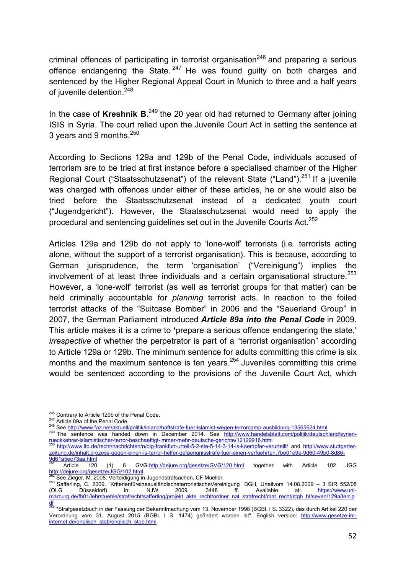criminal offences of participating in terrorist organisation<sup>246</sup> and preparing a serious offence endangering the State.  $247$  He was found guilty on both charges and sentenced by the Higher Regional Appeal Court in Munich to three and a half years of juvenile detention.<sup>248</sup>

In the case of Kreshnik B.<sup>249</sup> the 20 year old had returned to Germany after joining ISIS in Syria. The court relied upon the Juvenile Court Act in setting the sentence at 3 years and 9 months. $250$ 

According to Sections 129a and 129b of the Penal Code, individuals accused of terrorism are to be tried at first instance before a specialised chamber of the Higher Regional Court ("Staatsschutzsenat") of the relevant State ("Land").<sup>251</sup> If a juvenile was charged with offences under either of these articles, he or she would also be tried before the Staatsschutzsenat instead of a dedicated youth court ("Jugendgericht"). However, the Staatsschutzsenat would need to apply the procedural and sentencing quidelines set out in the Juvenile Courts Act.<sup>252</sup>

Articles 129a and 129b do not apply to 'lone-wolf' terrorists (i.e. terrorists acting alone, without the support of a terrorist organisation). This is because, according to German jurisprudence, the term 'organisation' ("Vereinigung") implies the involvement of at least three individuals and a certain organisational structure.<sup>253</sup> However, a 'lone-wolf' terrorist (as well as terrorist groups for that matter) can be held criminally accountable for *planning* terrorist acts. In reaction to the foiled terrorist attacks of the "Suitcase Bomber" in 2006 and the "Sauerland Group" in 2007, the German Parliament introduced *Article 89a into the Penal Code* in 2009. This article makes it is a crime to **'**prepare a serious offence endangering the state,' *irrespective* of whether the perpetrator is part of a "terrorist organisation" according to Article 129a or 129b. The minimum sentence for adults committing this crime is six months and the maximum sentence is ten years.<sup>254</sup> Juveniles committing this crime would be sentenced according to the provisions of the Juvenile Court Act, which

<sup>246</sup> Contrary to Article 129b of the Penal Code.<br><sup>247</sup> Article 89a of the Penal Code.<br><sup>248</sup> See http://www.faz.net/aktuell/politik/inland/haftstrafe-fuer-islamist-wegen-terrorcamp-ausbildung-13565624.html<br><sup>249</sup> The senten rueckkehrer-islamistischer-terror-beschaeftigt-immer-mehr-deutsche-gerichte/12129916.html <sup>250</sup> http://www.lto.de/recht/nachrichten/n/olg-frankfurt-urteil-5-2-ste-5-14-3-14-is-kaempfer-verurteilt/ and http://www.stuttgarter-

zeitung.de/inhalt.prozess-gegen-einen-is-terror-helfer-gefaengnisstrafe-fuer-einen-verfuehrten.7be01e9e-9d60-49b0-8d86- 9d61a5ec73aa.html<br><sup>251</sup> Article 120

<sup>(1) 6</sup> GVG.http://dejure.org/gesetze/GVG/120.html together with Article 102 JGG http://dejure.org/gesetze/JGG/102.html

<sup>&</sup>lt;sup>252</sup> See Zieger, M. 2008. Verteidigung in Jugendstrafsachen. CF Mueller.<br><sup>253</sup> Safferling, C. 2009. *"KriterienfüreineausländischeterroristischeVereinigung" BGH, Urteilvom 14.08.2009 – 3 StR 552/08* (OLG Düsseldorf) in: NJW 2009, 3448 ff. Available at: <u>https://www.uni-</u> marburg.de/fb01/lehrstuehle/strafrecht/safferling/projekt\_akte\_recht/ordner\_nat\_strafrecht/mat\_recht/stgb\_bt/seven/129a/terr.p

<sup>&</sup>lt;mark>df</mark><br><sup>254</sup> "Strafgesetzbuch in der Fassung der Bekanntmachung vom 13. November 1998 (BGBI. I S. 3322), das durch Artikel 220 der Verordnung vom 31. August 2015 (BGBl. I S. 1474) geändert worden ist". English version: http://www.gesetze-iminternet.de/englisch\_stgb/englisch\_stgb.html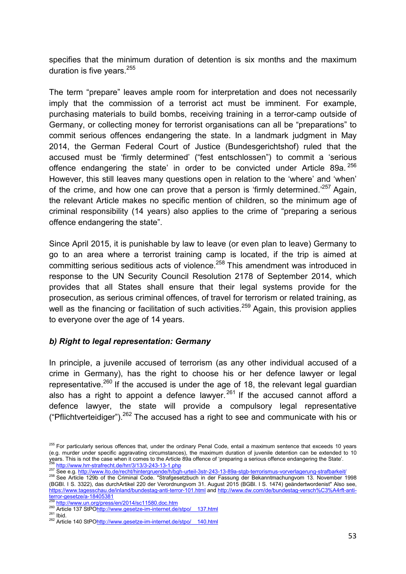specifies that the minimum duration of detention is six months and the maximum duration is five years. $255$ 

The term "prepare" leaves ample room for interpretation and does not necessarily imply that the commission of a terrorist act must be imminent. For example, purchasing materials to build bombs, receiving training in a terror-camp outside of Germany, or collecting money for terrorist organisations can all be "preparations" to commit serious offences endangering the state. In a landmark judgment in May 2014, the German Federal Court of Justice (Bundesgerichtshof) ruled that the accused must be 'firmly determined' ("fest entschlossen") to commit a 'serious offence endangering the state' in order to be convicted under Article 89a. <sup>256</sup> However, this still leaves many questions open in relation to the 'where' and 'when' of the crime, and how one can prove that a person is 'firmly determined.<sup>257</sup> Again, the relevant Article makes no specific mention of children, so the minimum age of criminal responsibility (14 years) also applies to the crime of "preparing a serious offence endangering the state".

Since April 2015, it is punishable by law to leave (or even plan to leave) Germany to go to an area where a terrorist training camp is located, if the trip is aimed at committing serious seditious acts of violence.<sup>258</sup> This amendment was introduced in response to the UN Security Council Resolution 2178 of September 2014, which provides that all States shall ensure that their legal systems provide for the prosecution, as serious criminal offences, of travel for terrorism or related training, as well as the financing or facilitation of such activities.<sup>259</sup> Again, this provision applies to everyone over the age of 14 years.

#### *b) Right to legal representation: Germany*

In principle, a juvenile accused of terrorism (as any other individual accused of a crime in Germany), has the right to choose his or her defence lawyer or legal representative.<sup>260</sup> If the accused is under the age of 18, the relevant legal guardian also has a right to appoint a defence lawyer.  $261$  If the accused cannot afford a defence lawyer, the state will provide a compulsory legal representative ("Pflichtverteidiger").<sup>262</sup> The accused has a right to see and communicate with his or

<sup>&</sup>lt;sup>255</sup> For particularly serious offences that, under the ordinary Penal Code, entail a maximum sentence that exceeds 10 years (e.g. murder under specific aggravating circumstances), the maximum duration of juvenile detention can be extended to 10 e.g. matter under specific aggravating circumstances), the maximum duration or juvenile decision can be extended to 10<br>
257 See e.g. http://www.hrr-strafrecht.de/hrr/3/13/3-243-13-1.php<br>
<sup>257</sup> See e.g. http://www.lto.de/re

<sup>(</sup>BGBl. I S. 3322), das durchArtikel 220 der Verordnungvom 31. August 2015 (BGBl. I S. 1474) geändertwordenist" Also see, https://www.tagesschau.de/inland/bundestag-anti-terror-101.html and http://www.dw.com/de/bundestag-versch%C3%A4rft-anti-<br>terror-gesetze/a-18405381

<sup>&</sup>lt;sup>259</sup> http://www.un.org/press/en/2014/sc11580.doc.htm<br><sup>260</sup> Article 137 StPO<u>http://www.gesetze-im-internet.de/stpo/ 137.html</u><br><sup>261</sup> Ibid.<br><sup>262</sup> Article 140 StPO<u>http://www.gesetze-im-internet.de/stpo/ 140.html</u>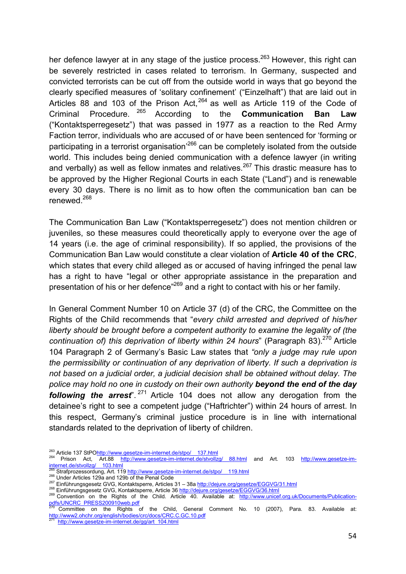her defence lawyer at in any stage of the justice process.<sup>263</sup> However, this right can be severely restricted in cases related to terrorism. In Germany, suspected and convicted terrorists can be cut off from the outside world in ways that go beyond the clearly specified measures of 'solitary confinement' ("Einzelhaft") that are laid out in Articles 88 and 103 of the Prison Act.  $264$  as well as Article 119 of the Code of Criminal Procedure. 265 According to the **Communication Ban Law** ("Kontaktsperregesetz") that was passed in 1977 as a reaction to the Red Army Faction terror, individuals who are accused of or have been sentenced for 'forming or participating in a terrorist organisation<sup>266</sup> can be completely isolated from the outside world. This includes being denied communication with a defence lawyer (in writing and verbally) as well as fellow inmates and relatives.<sup>267</sup> This drastic measure has to be approved by the Higher Regional Courts in each State ("Land") and is renewable every 30 days. There is no limit as to how often the communication ban can be renewed.<sup>268</sup>

The Communication Ban Law ("Kontaktsperregesetz") does not mention children or juveniles, so these measures could theoretically apply to everyone over the age of 14 years (i.e. the age of criminal responsibility). If so applied, the provisions of the Communication Ban Law would constitute a clear violation of **Article 40 of the CRC**, which states that every child alleged as or accused of having infringed the penal law has a right to have "legal or other appropriate assistance in the preparation and presentation of his or her defence<sup>"269</sup> and a right to contact with his or her family.

In General Comment Number 10 on Article 37 (d) of the CRC, the Committee on the Rights of the Child recommends that "*every child arrested and deprived of his/her liberty should be brought before a competent authority to examine the legality of (the continuation of) this deprivation of liberty within 24 hours*" (Paragraph 83).<sup>270</sup> Article 104 Paragraph 2 of Germany's Basic Law states that *"only a judge may rule upon the permissibility or continuation of any deprivation of liberty. If such a deprivation is not based on a judicial order, a judicial decision shall be obtained without delay. The police may hold no one in custody on their own authority beyond the end of the day following the arrest*<sup>" 271</sup> Article 104 does not allow any derogation from the detainee's right to see a competent judge ("Haftrichter") within 24 hours of arrest. In this respect, Germany's criminal justice procedure is in line with international standards related to the deprivation of liberty of children.

<sup>&</sup>lt;sup>263</sup> Article 137 StPO<u>http://www.gesetze-im-internet.de/stpo/\_\_137.html</u><br><sup>264</sup> Prison Act, Art.88 <u>http://www.gesetze-im-internet.de/stvollzg/\_\_88.html</u> and Art. 103 <u>http://www.gesetze-im-</u> internet.de/stvollzg/ 103.html<br>265 Strafprozessordung, Art. 119 http://www.gesetze-im-internet.de/stpo/ 119.html

<sup>266</sup> Under Articles 129a and 129b of the Penal Code<br>
<sup>266</sup> Under Articles 129a and 129b of the Penal Code<br>
<sup>267</sup> Einführungsgesetz GVG, Kontaktsperre, Articles 31 – 38a http://dejure.org/gesetze/EGGVG/31.html<br>
<sup>268</sup> Einführ <u>pdfs/UNCRC\_PRESS200910web.pdf</u><br><sup>270</sup> Committee on the Rights of the Child, General Comment No. 10 (2007), Para. 83. Available at:

http://www2.ohchr.org/english/bodies/crc/docs/CRC.C.GC.10.pdf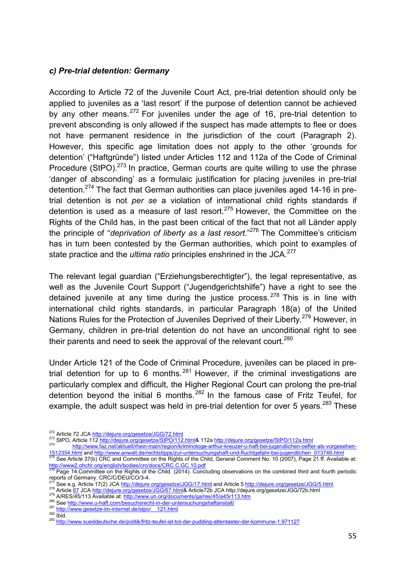### *c) Pre-trial detention: Germany*

According to Article 72 of the Juvenile Court Act, pre-trial detention should only be applied to juveniles as a 'last resort' if the purpose of detention cannot be achieved by any other means.  $272$  For juveniles under the age of 16, pre-trial detention to prevent absconding is only allowed if the suspect has made attempts to flee or does not have permanent residence in the jurisdiction of the court (Paragraph 2). However, this specific age limitation does not apply to the other 'grounds for detention' ("Haftgründe") listed under Articles 112 and 112a of the Code of Criminal Procedure (StPO). $273$  In practice, German courts are quite willing to use the phrase 'danger of absconding' as a formulaic justification for placing juveniles in pre-trial detention.274 The fact that German authorities can place juveniles aged 14-16 in pretrial detention is not *per se* a violation of international child rights standards if detention is used as a measure of last resort. $275$  However, the Committee on the Rights of the Child has, in the past been critical of the fact that not all Länder apply the principle of "*deprivation of liberty as a last resort*."276 The Committee's criticism has in turn been contested by the German authorities, which point to examples of state practice and the *ultima ratio* principles enshrined in the JCA.<sup>277</sup>

The relevant legal guardian ("Erziehungsberechtigter"), the legal representative, as well as the Juvenile Court Support ("Jugendgerichtshilfe") have a right to see the detained juvenile at any time during the justice process.  $278$  This is in line with international child rights standards, in particular Paragraph 18(a) of the United Nations Rules for the Protection of Juveniles Deprived of their Liberty.<sup>279</sup> However, in Germany, children in pre-trial detention do not have an unconditional right to see their parents and need to seek the approval of the relevant court.<sup>280</sup>

Under Article 121 of the Code of Criminal Procedure, juveniles can be placed in pretrial detention for up to 6 months.  $281$  However, if the criminal investigations are particularly complex and difficult, the Higher Regional Court can prolong the pre-trial detention beyond the initial 6 months.282 In the famous case of Fritz Teufel, for example, the adult suspect was held in pre-trial detention for over 5 years. $283$  These

<sup>&</sup>lt;sup>272</sup> Article 72 JCA <u>http://dejure.org/gesetze/JGG/72.html</u><br><sup>273</sup> StPO, Article 112 <u>http://dejure.org/gesetze/StPO/112.html</u>& 112a <u>http://dejure.org/gesetze/StPO/112a.html</u><br><sup>274</sup> StPO, Article 112 <u>http://wew.faz.net/ak</u> 1512354.html and http://www.anwalt.de/rechtstipps/zur-untersuchungshaft-und-fluchtgefahr-bei-jugendlichen 013746.html<br><sup>275</sup> See Article 37(b) CRC and Committee on the Rights of the Child, General Comment No. 10 (2007), Pag

<sup>&</sup>lt;u>http://www2.ohchr.org/english/bodies/crc/docs/CRC.C.GC.10.pdf</u><br><sup>276</sup> Page 14.Committee on the Rights of the Child. (2014). Concluding observations on the combined third and fourth periodic

reports of Germany. CRC/C/DEU/CO/3-4.<br>
<sup>277</sup> See e.g. Article 17(2) JCA http://dejure.org/gesetze/JGG/17.html and Article 5 http://dejure.org/gesetze/JGG/5.html<br>
<sup>278</sup> Article <u>67</u> JCA http://dejure.org/gesetze/JGG/67.html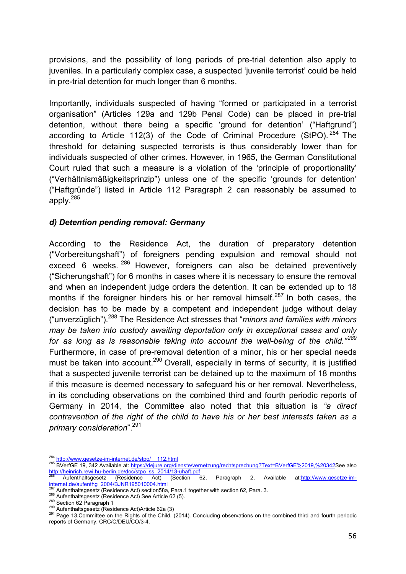provisions, and the possibility of long periods of pre-trial detention also apply to juveniles. In a particularly complex case, a suspected 'juvenile terrorist' could be held in pre-trial detention for much longer than 6 months.

Importantly, individuals suspected of having "formed or participated in a terrorist organisation" (Articles 129a and 129b Penal Code) can be placed in pre-trial detention, without there being a specific 'ground for detention' ("Haftgrund") according to Article 112(3) of the Code of Criminal Procedure (StPO).  $284$  The threshold for detaining suspected terrorists is thus considerably lower than for individuals suspected of other crimes. However, in 1965, the German Constitutional Court ruled that such a measure is a violation of the 'principle of proportionality' ("Verhältnismäßigkeitsprinzip") unless one of the specific 'grounds for detention' ("Haftgründe") listed in Article 112 Paragraph 2 can reasonably be assumed to apply.<sup>285</sup>

### *d) Detention pending removal: Germany*

According to the Residence Act, the duration of preparatory detention ("Vorbereitungshaft") of foreigners pending expulsion and removal should not exceed 6 weeks. <sup>286</sup> However, foreigners can also be detained preventively ("Sicherungshaft") for 6 months in cases where it is necessary to ensure the removal and when an independent judge orders the detention. It can be extended up to 18 months if the foreigner hinders his or her removal himself.<sup>287</sup> In both cases, the decision has to be made by a competent and independent judge without delay ("unverzüglich").288 The Residence Act stresses that "*minors and families with minors may be taken into custody awaiting deportation only in exceptional cases and only for as long as is reasonable taking into account the well-being of the child."<sup>289</sup>* Furthermore, in case of pre-removal detention of a minor, his or her special needs must be taken into account.<sup>290</sup> Overall, especially in terms of security, it is justified that a suspected juvenile terrorist can be detained up to the maximum of 18 months if this measure is deemed necessary to safeguard his or her removal. Nevertheless, in its concluding observations on the combined third and fourth periodic reports of Germany in 2014, the Committee also noted that this situation is *"a direct contravention of the right of the child to have his or her best interests taken as a primary consideration*".291

<sup>&</sup>lt;sup>284</sup> http://www.gesetze-im-internet.de/stpo/\_\_112.html<br><sup>285</sup> BVerfGE 19, 342 Available at: https://dejure.org/dienste/vernetzung/rechtsprechung?Text=BVerfGE%2019,%20342</u>See also http://heinrich.rewi.hu-berlin.de/doc/stpo\_ss\_2014/13-uhaft.pdf<br><sup>286</sup> Aufenthaltsgesetz (Residence Act) (Section 62, Paragraph 2, Available at:http://www.gesetze-im-

internet.de/aufenthg\_2004/BJNR195010004.html<br>287 Aufenthaltsgesetz (Residence Act) section58a. Para.1 together with section 62. Para. 3.

Aufenthaltsgesetz (Residence Act) See Article 62 (5).<br>
288 Aufenthaltsgesetz (Residence Act) See Article 62 (5).<br>
290 Aufenthaltsgesetz (Residence Act)Article 62a (3)<br>
291 Page 13.Committee on the Rights of the Child. (201 reports of Germany. CRC/C/DEU/CO/3-4.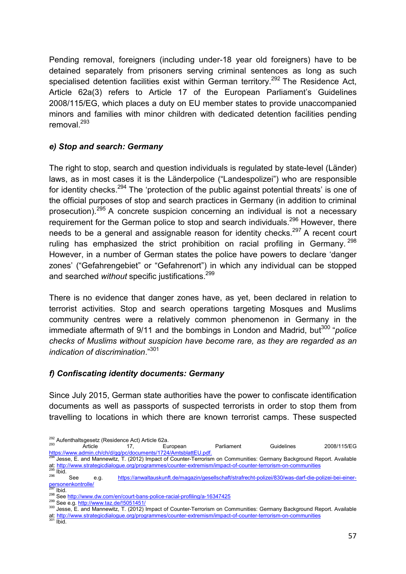Pending removal, foreigners (including under-18 year old foreigners) have to be detained separately from prisoners serving criminal sentences as long as such specialised detention facilities exist within German territory.<sup>292</sup> The Residence Act, Article 62a(3) refers to Article 17 of the European Parliament's Guidelines 2008/115/EG, which places a duty on EU member states to provide unaccompanied minors and families with minor children with dedicated detention facilities pending removal. 293

# *e) Stop and search: Germany*

The right to stop, search and question individuals is regulated by state-level (Länder) laws, as in most cases it is the Länderpolice ("Landespolizei") who are responsible for identity checks.<sup>294</sup> The 'protection of the public against potential threats' is one of the official purposes of stop and search practices in Germany (in addition to criminal prosecution).295 A concrete suspicion concerning an individual is not a necessary requirement for the German police to stop and search individuals.<sup>296</sup> However, there needs to be a general and assignable reason for identity checks.<sup>297</sup> A recent court ruling has emphasized the strict prohibition on racial profiling in Germany. <sup>298</sup> However, in a number of German states the police have powers to declare 'danger zones' ("Gefahrengebiet" or "Gefahrenort") in which any individual can be stopped and searched *without* specific justifications. 299

There is no evidence that danger zones have, as yet, been declared in relation to terrorist activities. Stop and search operations targeting Mosques and Muslims community centres were a relatively common phenomenon in Germany in the immediate aftermath of 9/11 and the bombings in London and Madrid, but<sup>300</sup> "police *checks of Muslims without suspicion have become rare, as they are regarded as an indication of discrimination*."301

# *f) Confiscating identity documents: Germany*

Since July 2015, German state authorities have the power to confiscate identification documents as well as passports of suspected terrorists in order to stop them from travelling to locations in which there are known terrorist camps. These suspected

at: http://www.strategicdialogue.org/programmes/counter-extremism/impact-of-counter-terrorism-on-communities 301 Ibid.

<sup>&</sup>lt;sup>292</sup> Aufenthaltsgesetz (Residence Act) Article 62a.<br>
293 Article 17, European Parliament Guidelines 2008/115/EG<br>
294 Article 17, European Parliament Guidelines 2008/115/EG<br>
294 Article 294 Article 2008/115/EG

Jesse, E. and Mannewitz, T. (2012) Impact of Counter-Terrorism on Communities: Germany Background Report. Available at: http://www.strategicdialogue.org/programmes/counter-extremism/impact-of-counter-terrorism-on-communities<br>
295 Ibid.<br>
296 e.g. https://anwaltauskunft.de/magazin/gesellschaft/strafrecht-polizei/830/was-darf-die-polizei-b

personenkontrolle/<br><sup>297</sup> Ibid

<sup>&</sup>lt;sup>298</sup> See http://www.dw.com/en/court-bans-police-racial-profiling/a-16347425<br><sup>299</sup> See e.g. http://www.taz.de/!5051451/<br><sup>300</sup> Jesse, E. and Mannewitz, T. (2012) Impact of Counter-Terrorism on Communities: Germany Backgroun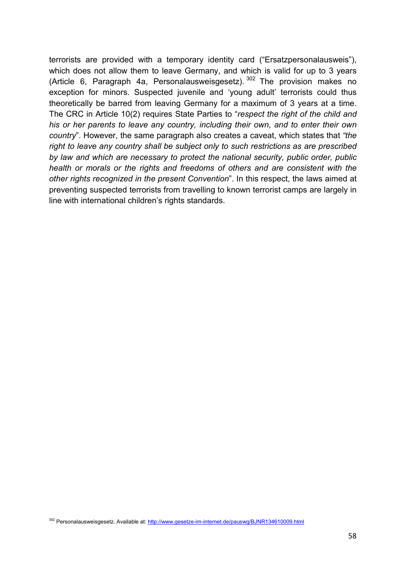terrorists are provided with a temporary identity card ("Ersatzpersonalausweis"), which does not allow them to leave Germany, and which is valid for up to 3 years (Article 6, Paragraph 4a, Personalausweisgesetz).  $302$  The provision makes no exception for minors. Suspected juvenile and 'young adult' terrorists could thus theoretically be barred from leaving Germany for a maximum of 3 years at a time. The CRC in Article 10(2) requires State Parties to "*respect the right of the child and his or her parents to leave any country, including their own, and to enter their own country*". However, the same paragraph also creates a caveat, which states that *"the right to leave any country shall be subject only to such restrictions as are prescribed by law and which are necessary to protect the national security, public order, public health or morals or the rights and freedoms of others and are consistent with the other rights recognized in the present Convention*". In this respect, the laws aimed at preventing suspected terrorists from travelling to known terrorist camps are largely in line with international children's rights standards.

302 Personalausweisgesetz. Available at: http://www.gesetze-im-internet.de/pauswg/BJNR134610009.html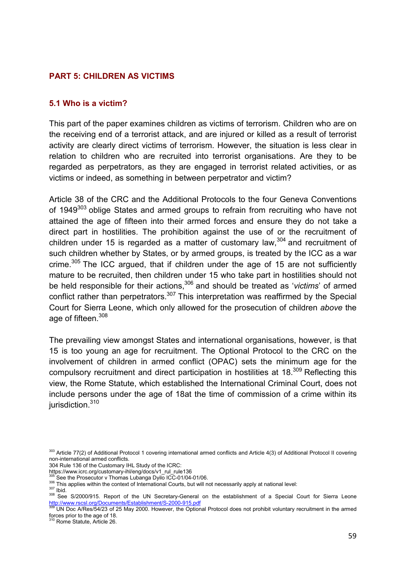### **PART 5: CHILDREN AS VICTIMS**

#### **5.1 Who is a victim?**

This part of the paper examines children as victims of terrorism. Children who are on the receiving end of a terrorist attack, and are injured or killed as a result of terrorist activity are clearly direct victims of terrorism. However, the situation is less clear in relation to children who are recruited into terrorist organisations. Are they to be regarded as perpetrators, as they are engaged in terrorist related activities, or as victims or indeed, as something in between perpetrator and victim?

Article 38 of the CRC and the Additional Protocols to the four Geneva Conventions of 1949<sup>303</sup> oblige States and armed groups to refrain from recruiting who have not attained the age of fifteen into their armed forces and ensure they do not take a direct part in hostilities. The prohibition against the use of or the recruitment of children under 15 is regarded as a matter of customary law,<sup>304</sup> and recruitment of such children whether by States, or by armed groups, is treated by the ICC as a war crime.<sup>305</sup> The ICC argued, that if children under the age of 15 are not sufficiently mature to be recruited, then children under 15 who take part in hostilities should not be held responsible for their actions, 306 and should be treated as '*victims*' of armed conflict rather than perpetrators.<sup>307</sup> This interpretation was reaffirmed by the Special Court for Sierra Leone, which only allowed for the prosecution of children *above* the age of fifteen.<sup>308</sup>

The prevailing view amongst States and international organisations, however, is that 15 is too young an age for recruitment. The Optional Protocol to the CRC on the involvement of children in armed conflict (OPAC) sets the minimum age for the compulsory recruitment and direct participation in hostilities at 18.<sup>309</sup> Reflecting this view, the Rome Statute, which established the International Criminal Court, does not include persons under the age of 18at the time of commission of a crime within its jurisdiction.<sup>310</sup>

<sup>303</sup> Article 77(2) of Additional Protocol 1 covering international armed conflicts and Article 4(3) of Additional Protocol II covering non-international armed conflicts.

<sup>304</sup> Rule 136 of the Customary IHL Study of the ICRC:<br>https://www.icrc.org/customary-ihl/eng/docs/v1\_rul\_rule136

<sup>305</sup> See the Prosecutor v Thomas Lubanga Dyilo ICC-01/04-01/06.<br>306 This applies within the context of International Courts, but will not necessarily apply at national level:<br>307 Ibid.<br>308 See S/2000/915. Report of the UN S

UN Doc A/Res/54/23 of 25 May 2000. However, the Optional Protocol does not prohibit voluntary recruitment in the armed forces prior to the age of 18. 310 Rome Statute, Article 26.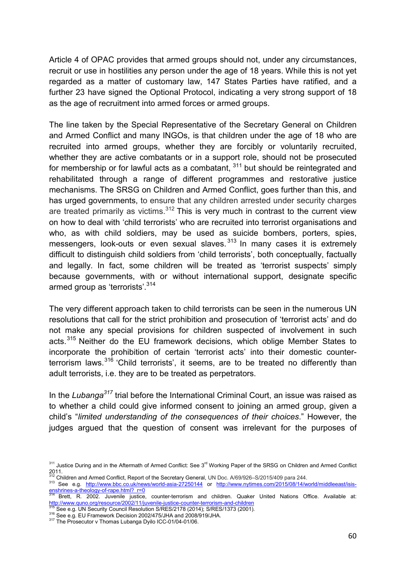Article 4 of OPAC provides that armed groups should not, under any circumstances, recruit or use in hostilities any person under the age of 18 years. While this is not yet regarded as a matter of customary law, 147 States Parties have ratified, and a further 23 have signed the Optional Protocol, indicating a very strong support of 18 as the age of recruitment into armed forces or armed groups.

The line taken by the Special Representative of the Secretary General on Children and Armed Conflict and many INGOs, is that children under the age of 18 who are recruited into armed groups, whether they are forcibly or voluntarily recruited, whether they are active combatants or in a support role, should not be prosecuted for membership or for lawful acts as a combatant,  $311$  but should be reintegrated and rehabilitated through a range of different programmes and restorative justice mechanisms. The SRSG on Children and Armed Conflict, goes further than this, and has urged governments, to ensure that any children arrested under security charges are treated primarily as victims. $312$  This is very much in contrast to the current view on how to deal with 'child terrorists' who are recruited into terrorist organisations and who, as with child soldiers, may be used as suicide bombers, porters, spies, messengers, look-outs or even sexual slaves.<sup>313</sup> In many cases it is extremely difficult to distinguish child soldiers from 'child terrorists', both conceptually, factually and legally. In fact, some children will be treated as 'terrorist suspects' simply because governments, with or without international support, designate specific armed group as 'terrorists'.<sup>314</sup>

The very different approach taken to child terrorists can be seen in the numerous UN resolutions that call for the strict prohibition and prosecution of 'terrorist acts' and do not make any special provisions for children suspected of involvement in such acts.<sup>315</sup> Neither do the EU framework decisions, which oblige Member States to incorporate the prohibition of certain 'terrorist acts' into their domestic counterterrorism laws.<sup>316</sup> 'Child terrorists', it seems, are to be treated no differently than adult terrorists, i.e. they are to be treated as perpetrators.

In the *Lubanga*<sup>317</sup> trial before the International Criminal Court, an issue was raised as to whether a child could give informed consent to joining an armed group, given a child's "*limited understanding of the consequences of their choices*." However, the judges argued that the question of consent was irrelevant for the purposes of

<sup>311</sup> Justice During and in the Aftermath of Armed Conflict: See 3<sup>rd</sup> Working Paper of the SRSG on Children and Armed Conflict 2011.<br><sup>312</sup> Children and Armed Conflict, Report of the Secretary General, UN Doc. A/69/926–S/2015/409 para 244.

<sup>313</sup> See e.g. http://www.bbc.co.uk/news/world-asia-27250144 or http://www.nytimes.com/2015/08/14/world/middleeast/isis-

enshrines-a-theology-of-rape.html?\_r=0<br>314 Brett, R. 2002. Juvenile justice, counter-terrorism and children. Quaker United Nations Office. Available at:<br>http://www.quno.org/resource/2002/11/juvenile-justice-counter-terrori

<sup>315</sup> See e.g. UN Security Council Resolution S/RES/2178 (2014); S/RES/1373 (2001).<br><sup>316</sup> See e.g. EU Framework Decision 2002/475/JHA and 2008/919/JHA.<br><sup>317</sup> The Prosecutor v Thomas Lubanga Dyilo ICC-01/04-01/06.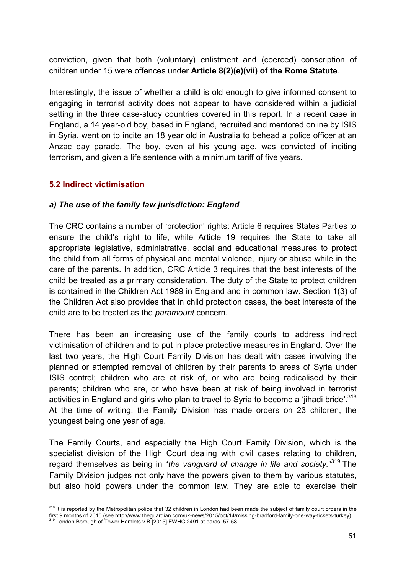conviction, given that both (voluntary) enlistment and (coerced) conscription of children under 15 were offences under **Article 8(2)(e)(vii) of the Rome Statute**.

Interestingly, the issue of whether a child is old enough to give informed consent to engaging in terrorist activity does not appear to have considered within a judicial setting in the three case-study countries covered in this report. In a recent case in England, a 14 year-old boy, based in England, recruited and mentored online by ISIS in Syria, went on to incite an 18 year old in Australia to behead a police officer at an Anzac day parade. The boy, even at his young age, was convicted of inciting terrorism, and given a life sentence with a minimum tariff of five years.

### **5.2 Indirect victimisation**

### *a) The use of the family law jurisdiction: England*

The CRC contains a number of 'protection' rights: Article 6 requires States Parties to ensure the child's right to life, while Article 19 requires the State to take all appropriate legislative, administrative, social and educational measures to protect the child from all forms of physical and mental violence, injury or abuse while in the care of the parents. In addition, CRC Article 3 requires that the best interests of the child be treated as a primary consideration. The duty of the State to protect children is contained in the Children Act 1989 in England and in common law. Section 1(3) of the Children Act also provides that in child protection cases, the best interests of the child are to be treated as the *paramount* concern.

There has been an increasing use of the family courts to address indirect victimisation of children and to put in place protective measures in England. Over the last two years, the High Court Family Division has dealt with cases involving the planned or attempted removal of children by their parents to areas of Syria under ISIS control; children who are at risk of, or who are being radicalised by their parents; children who are, or who have been at risk of being involved in terrorist activities in England and girls who plan to travel to Syria to become a 'jihadi bride'.<sup>318</sup> At the time of writing, the Family Division has made orders on 23 children, the youngest being one year of age.

The Family Courts, and especially the High Court Family Division, which is the specialist division of the High Court dealing with civil cases relating to children, regard themselves as being in "*the vanguard of change in life and society.*" 319 The Family Division judges not only have the powers given to them by various statutes, but also hold powers under the common law. They are able to exercise their

<sup>&</sup>lt;sup>318</sup> It is reported by the Metropolitan police that 32 children in London had been made the subject of family court orders in the first 9 months of 2015 (see http://www.theguardian.com/uk-news/2015/oct/14/missing-bradford-family-one-way-tickets-turkey) <sup>319</sup> London Borough of Tower Hamlets v B [2015] EWHC 2491 at paras. 57-58.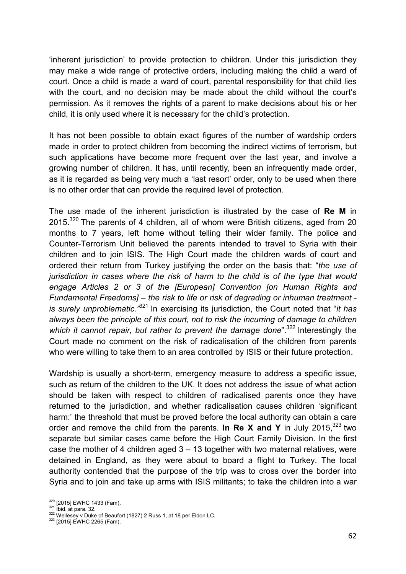'inherent jurisdiction' to provide protection to children. Under this jurisdiction they may make a wide range of protective orders, including making the child a ward of court. Once a child is made a ward of court, parental responsibility for that child lies with the court, and no decision may be made about the child without the court's permission. As it removes the rights of a parent to make decisions about his or her child, it is only used where it is necessary for the child's protection.

It has not been possible to obtain exact figures of the number of wardship orders made in order to protect children from becoming the indirect victims of terrorism, but such applications have become more frequent over the last year, and involve a growing number of children. It has, until recently, been an infrequently made order, as it is regarded as being very much a 'last resort' order, only to be used when there is no other order that can provide the required level of protection.

The use made of the inherent jurisdiction is illustrated by the case of **Re M** in 2015.<sup>320</sup> The parents of 4 children, all of whom were British citizens, aged from 20 months to 7 years, left home without telling their wider family. The police and Counter-Terrorism Unit believed the parents intended to travel to Syria with their children and to join ISIS. The High Court made the children wards of court and ordered their return from Turkey justifying the order on the basis that: "*the use of jurisdiction in cases where the risk of harm to the child is of the type that would engage Articles 2 or 3 of the [European] Convention [on Human Rights and Fundamental Freedoms] – the risk to life or risk of degrading or inhuman treatment is surely unproblematic."*321 In exercising its jurisdiction, the Court noted that "*it has always been the principle of this court, not to risk the incurring of damage to children*  which it cannot repair, but rather to prevent the damage done<sup>"</sup>.<sup>322</sup> Interestingly the Court made no comment on the risk of radicalisation of the children from parents who were willing to take them to an area controlled by ISIS or their future protection.

Wardship is usually a short-term, emergency measure to address a specific issue, such as return of the children to the UK. It does not address the issue of what action should be taken with respect to children of radicalised parents once they have returned to the jurisdiction, and whether radicalisation causes children 'significant harm:' the threshold that must be proved before the local authority can obtain a care order and remove the child from the parents. **In Re X and Y** in July 2015,<sup>323</sup> two separate but similar cases came before the High Court Family Division. In the first case the mother of 4 children aged  $3 - 13$  together with two maternal relatives, were detained in England, as they were about to board a flight to Turkey. The local authority contended that the purpose of the trip was to cross over the border into Syria and to join and take up arms with ISIS militants; to take the children into a war

<sup>&</sup>lt;sup>320</sup> [2015] EWHC 1433 (Fam).<br><sup>321</sup> Ibid. at para. 32.<br><sup>322</sup> Wellesey v Duke of Beaufort (1827) 2 Russ 1, at 18 per Eldon LC.<br><sup>323</sup> [2015] EWHC 2265 (Fam).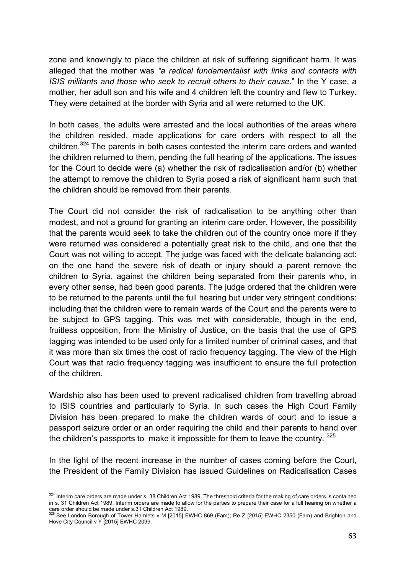zone and knowingly to place the children at risk of suffering significant harm. It was alleged that the mother was *"a radical fundamentalist with links and contacts with ISIS militants and those who seek to recruit others to their cause*." In the Y case, a mother, her adult son and his wife and 4 children left the country and flew to Turkey. They were detained at the border with Syria and all were returned to the UK.

In both cases, the adults were arrested and the local authorities of the areas where the children resided, made applications for care orders with respect to all the children.324 The parents in both cases contested the interim care orders and wanted the children returned to them, pending the full hearing of the applications. The issues for the Court to decide were (a) whether the risk of radicalisation and/or (b) whether the attempt to remove the children to Syria posed a risk of significant harm such that the children should be removed from their parents.

The Court did not consider the risk of radicalisation to be anything other than modest, and not a ground for granting an interim care order. However, the possibility that the parents would seek to take the children out of the country once more if they were returned was considered a potentially great risk to the child, and one that the Court was not willing to accept. The judge was faced with the delicate balancing act: on the one hand the severe risk of death or injury should a parent remove the children to Syria, against the children being separated from their parents who, in every other sense, had been good parents. The judge ordered that the children were to be returned to the parents until the full hearing but under very stringent conditions: including that the children were to remain wards of the Court and the parents were to be subject to GPS tagging. This was met with considerable, though in the end, fruitless opposition, from the Ministry of Justice, on the basis that the use of GPS tagging was intended to be used only for a limited number of criminal cases, and that it was more than six times the cost of radio frequency tagging. The view of the High Court was that radio frequency tagging was insufficient to ensure the full protection of the children.

Wardship also has been used to prevent radicalised children from travelling abroad to ISIS countries and particularly to Syria. In such cases the High Court Family Division has been prepared to make the children wards of court and to issue a passport seizure order or an order requiring the child and their parents to hand over the children's passports to make it impossible for them to leave the country. 325

In the light of the recent increase in the number of cases coming before the Court, the President of the Family Division has issued Guidelines on Radicalisation Cases

 $324$  Interim care orders are made under s. 38 Children Act 1989. The threshold criteria for the making of care orders is contained in s. 31 Children Act 1989. Interim orders are made to allow for the parties to prepare their case for a full hearing on whether a

care order should be made under s.31 Children Act 1989.<br><sup>325</sup> See London Borough of Tower Hamlets v M [2015] EWHC 869 (Fam); Re Z [2015] EWHC 2350 (Fam) and Brighton and Hove City Council v Y [2015] EWHC 2099.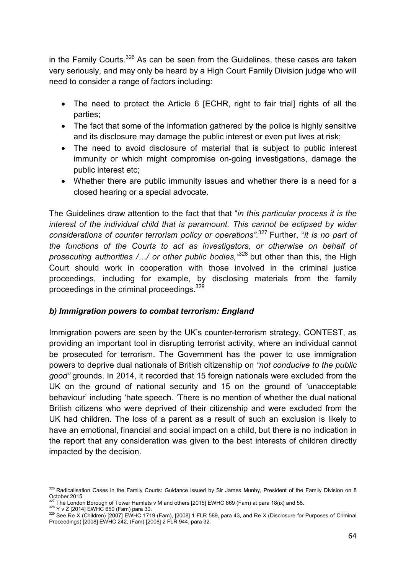in the Family Courts.<sup>326</sup> As can be seen from the Guidelines, these cases are taken very seriously, and may only be heard by a High Court Family Division judge who will need to consider a range of factors including:

- The need to protect the Article 6 [ECHR, right to fair trial] rights of all the parties;
- The fact that some of the information gathered by the police is highly sensitive and its disclosure may damage the public interest or even put lives at risk;
- The need to avoid disclosure of material that is subject to public interest immunity or which might compromise on-going investigations, damage the public interest etc;
- Whether there are public immunity issues and whether there is a need for a closed hearing or a special advocate.

The Guidelines draw attention to the fact that that "*in this particular process it is the interest of the individual child that is paramount. This cannot be eclipsed by wider considerations of counter terrorism policy or operations".*327 Further, "*it is no part of the functions of the Courts to act as investigators, or otherwise on behalf of prosecuting authorities /…/ or other public bodies,"*328 but other than this, the High Court should work in cooperation with those involved in the criminal justice proceedings, including for example, by disclosing materials from the family proceedings in the criminal proceedings.<sup>329</sup>

# *b) Immigration powers to combat terrorism: England*

Immigration powers are seen by the UK's counter-terrorism strategy, CONTEST, as providing an important tool in disrupting terrorist activity, where an individual cannot be prosecuted for terrorism. The Government has the power to use immigration powers to deprive dual nationals of British citizenship on *"not conducive to the public good"* grounds. In 2014, it recorded that 15 foreign nationals were excluded from the UK on the ground of national security and 15 on the ground of 'unacceptable behaviour' including 'hate speech. 'There is no mention of whether the dual national British citizens who were deprived of their citizenship and were excluded from the UK had children. The loss of a parent as a result of such an exclusion is likely to have an emotional, financial and social impact on a child, but there is no indication in the report that any consideration was given to the best interests of children directly impacted by the decision.

<sup>326</sup> Radicalisation Cases in the Family Courts: Guidance issued by Sir James Munby, President of the Family Division on 8 October 2015.<br><sup>327</sup> The London Borough of Tower Hamlets v M and others [2015] EWHC 869 (Fam) at para 18(ix) and 58.

 $\frac{328}{122}$  Y v Z [2014] EWHC 650 (Fam) para 30.<br> $\frac{328}{122}$  See Re X (Children) [2007] EWHC 1719 (Fam), [2008] 1 FLR 589, para 43, and Re X (Disclosure for Purposes of Criminal Proceedings) [2008] EWHC 242, (Fam) [2008] 2 FLR 944, para 32.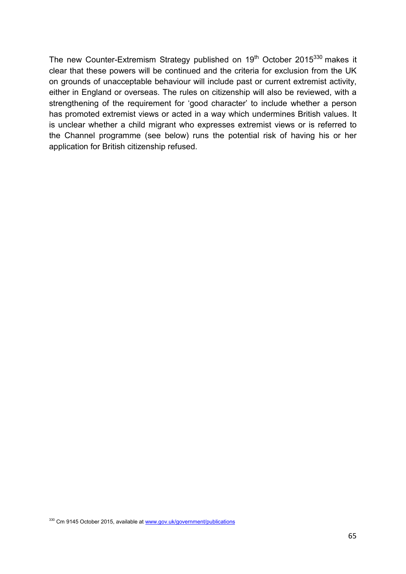The new Counter-Extremism Strategy published on 19<sup>th</sup> October 2015<sup>330</sup> makes it clear that these powers will be continued and the criteria for exclusion from the UK on grounds of unacceptable behaviour will include past or current extremist activity, either in England or overseas. The rules on citizenship will also be reviewed, with a strengthening of the requirement for 'good character' to include whether a person has promoted extremist views or acted in a way which undermines British values. It is unclear whether a child migrant who expresses extremist views or is referred to the Channel programme (see below) runs the potential risk of having his or her application for British citizenship refused.

330 Cm 9145 October 2015, available at www.gov.uk/government/publications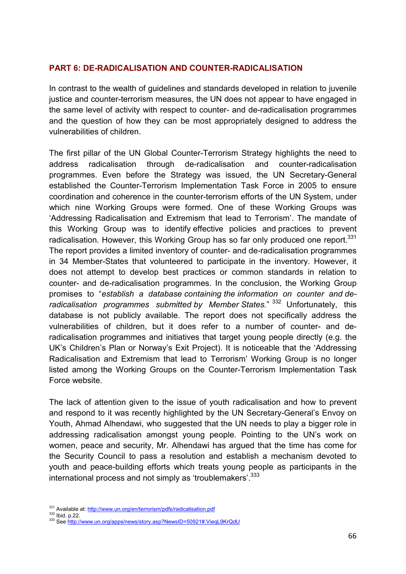### **PART 6: DE-RADICALISATION AND COUNTER-RADICALISATION**

In contrast to the wealth of guidelines and standards developed in relation to juvenile justice and counter-terrorism measures, the UN does not appear to have engaged in the same level of activity with respect to counter- and de-radicalisation programmes and the question of how they can be most appropriately designed to address the vulnerabilities of children.

The first pillar of the UN Global Counter-Terrorism Strategy highlights the need to address radicalisation through de-radicalisation and counter-radicalisation programmes. Even before the Strategy was issued, the UN Secretary-General established the Counter-Terrorism Implementation Task Force in 2005 to ensure coordination and coherence in the counter-terrorism efforts of the UN System, under which nine Working Groups were formed. One of these Working Groups was 'Addressing Radicalisation and Extremism that lead to Terrorism'. The mandate of this Working Group was to identify effective policies and practices to prevent radicalisation. However, this Working Group has so far only produced one report.<sup>331</sup> The report provides a limited inventory of counter- and de-radicalisation programmes in 34 Member-States that volunteered to participate in the inventory. However, it does not attempt to develop best practices or common standards in relation to counter- and de-radicalisation programmes. In the conclusion, the Working Group promises to "*establish a database containing the information on counter and deradicalisation programmes submitted by Member States.*" 332 Unfortunately, this database is not publicly available. The report does not specifically address the vulnerabilities of children, but it does refer to a number of counter- and deradicalisation programmes and initiatives that target young people directly (e.g. the UK's Children's Plan or Norway's Exit Project). It is noticeable that the 'Addressing Radicalisation and Extremism that lead to Terrorism' Working Group is no longer listed among the Working Groups on the Counter-Terrorism Implementation Task Force website.

The lack of attention given to the issue of youth radicalisation and how to prevent and respond to it was recently highlighted by the UN Secretary-General's Envoy on Youth, Ahmad Alhendawi, who suggested that the UN needs to play a bigger role in addressing radicalisation amongst young people. Pointing to the UN's work on women, peace and security, Mr. Alhendawi has argued that the time has come for the Security Council to pass a resolution and establish a mechanism devoted to youth and peace-building efforts which treats young people as participants in the international process and not simply as 'troublemakers'.<sup>333</sup>

<sup>&</sup>lt;sup>331</sup> Available at: <u>http://www.un.org/en/terrorism/pdfs/radicalisation.pdf</u><br><sup>332</sup> Ibid. p.22.<br><sup>333</sup> See <u>http://www.un.org/apps/news/story.asp?NewsID=50921#.VieqL9KrQdU</u>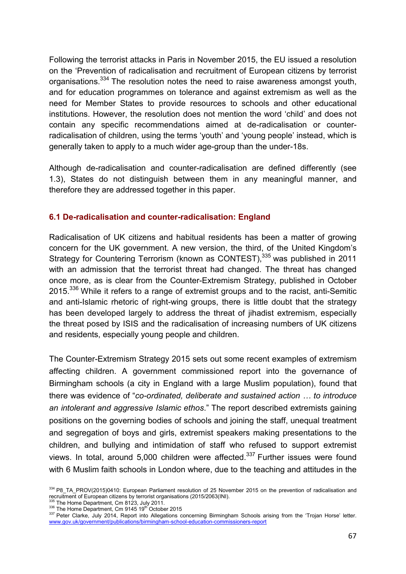Following the terrorist attacks in Paris in November 2015, the EU issued a resolution on the 'Prevention of radicalisation and recruitment of European citizens by terrorist organisations.334 The resolution notes the need to raise awareness amongst youth, and for education programmes on tolerance and against extremism as well as the need for Member States to provide resources to schools and other educational institutions. However, the resolution does not mention the word 'child' and does not contain any specific recommendations aimed at de-radicalisation or counterradicalisation of children, using the terms 'youth' and 'young people' instead, which is generally taken to apply to a much wider age-group than the under-18s.

Although de-radicalisation and counter-radicalisation are defined differently (see 1.3), States do not distinguish between them in any meaningful manner, and therefore they are addressed together in this paper.

# **6.1 De-radicalisation and counter-radicalisation: England**

Radicalisation of UK citizens and habitual residents has been a matter of growing concern for the UK government. A new version, the third, of the United Kingdom's Strategy for Countering Terrorism (known as CONTEST), 335 was published in 2011 with an admission that the terrorist threat had changed. The threat has changed once more, as is clear from the Counter-Extremism Strategy, published in October 2015.<sup>336</sup> While it refers to a range of extremist groups and to the racist, anti-Semitic and anti-Islamic rhetoric of right-wing groups, there is little doubt that the strategy has been developed largely to address the threat of jihadist extremism, especially the threat posed by ISIS and the radicalisation of increasing numbers of UK citizens and residents, especially young people and children.

The Counter-Extremism Strategy 2015 sets out some recent examples of extremism affecting children. A government commissioned report into the governance of Birmingham schools (a city in England with a large Muslim population), found that there was evidence of "*co-ordinated, deliberate and sustained action … to introduce an intolerant and aggressive Islamic ethos*." The report described extremists gaining positions on the governing bodies of schools and joining the staff, unequal treatment and segregation of boys and girls, extremist speakers making presentations to the children, and bullying and intimidation of staff who refused to support extremist views. In total, around  $5,000$  children were affected.<sup>337</sup> Further issues were found with 6 Muslim faith schools in London where, due to the teaching and attitudes in the

<sup>&</sup>lt;sup>334</sup> P8\_TA\_PROV(2015)0410: European Parliament resolution of 25 November 2015 on the prevention of radicalisation and recruitment of European citizens by terrorist organisations (2015/2063(INI).<br><sup>335</sup> The Home Department, Cm 8123, July 2011.<br><sup>336</sup> The Home Department, Cm 9145 19<sup>th</sup> October 2015

<sup>337</sup> Peter Clarke, July 2014, Report into Allegations concerning Birmingham Schools arising from the 'Trojan Horse' letter. www.gov.uk/government/publications/birmingham-school-education-commissioners-report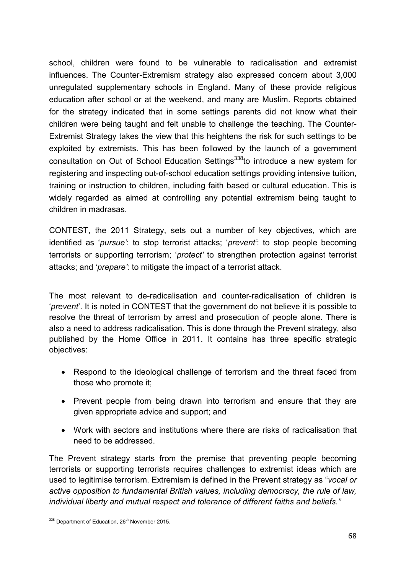school, children were found to be vulnerable to radicalisation and extremist influences. The Counter-Extremism strategy also expressed concern about 3,000 unregulated supplementary schools in England. Many of these provide religious education after school or at the weekend, and many are Muslim. Reports obtained for the strategy indicated that in some settings parents did not know what their children were being taught and felt unable to challenge the teaching. The Counter-Extremist Strategy takes the view that this heightens the risk for such settings to be exploited by extremists. This has been followed by the launch of a government consultation on Out of School Education Settings<sup>338</sup>to introduce a new system for registering and inspecting out-of-school education settings providing intensive tuition, training or instruction to children, including faith based or cultural education. This is widely regarded as aimed at controlling any potential extremism being taught to children in madrasas.

CONTEST, the 2011 Strategy, sets out a number of key objectives, which are identified as '*pursue'*: to stop terrorist attacks; '*prevent'*: to stop people becoming terrorists or supporting terrorism; '*protect'* to strengthen protection against terrorist attacks; and '*prepare'*: to mitigate the impact of a terrorist attack.

The most relevant to de-radicalisation and counter-radicalisation of children is '*prevent*'. It is noted in CONTEST that the government do not believe it is possible to resolve the threat of terrorism by arrest and prosecution of people alone. There is also a need to address radicalisation. This is done through the Prevent strategy, also published by the Home Office in 2011. It contains has three specific strategic objectives:

- Respond to the ideological challenge of terrorism and the threat faced from those who promote it;
- Prevent people from being drawn into terrorism and ensure that they are given appropriate advice and support; and
- Work with sectors and institutions where there are risks of radicalisation that need to be addressed.

The Prevent strategy starts from the premise that preventing people becoming terrorists or supporting terrorists requires challenges to extremist ideas which are used to legitimise terrorism. Extremism is defined in the Prevent strategy as "*vocal or active opposition to fundamental British values, including democracy, the rule of law, individual liberty and mutual respect and tolerance of different faiths and beliefs."*

<sup>338</sup> Department of Education, 26<sup>th</sup> November 2015.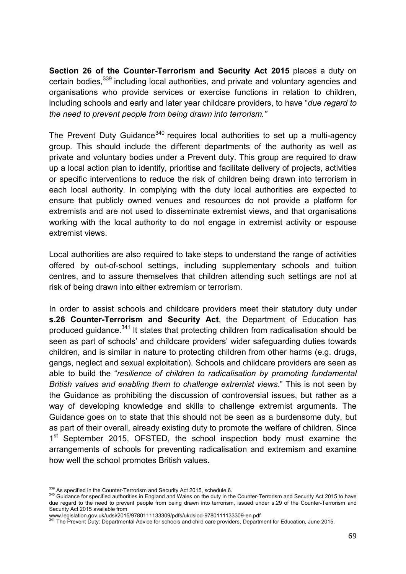**Section 26 of the Counter-Terrorism and Security Act 2015** places a duty on certain bodies,<sup>339</sup> including local authorities, and private and voluntary agencies and organisations who provide services or exercise functions in relation to children, including schools and early and later year childcare providers, to have "*due regard to the need to prevent people from being drawn into terrorism."*

The Prevent Duty Guidance<sup>340</sup> requires local authorities to set up a multi-agency group. This should include the different departments of the authority as well as private and voluntary bodies under a Prevent duty. This group are required to draw up a local action plan to identify, prioritise and facilitate delivery of projects, activities or specific interventions to reduce the risk of children being drawn into terrorism in each local authority. In complying with the duty local authorities are expected to ensure that publicly owned venues and resources do not provide a platform for extremists and are not used to disseminate extremist views, and that organisations working with the local authority to do not engage in extremist activity or espouse extremist views.

Local authorities are also required to take steps to understand the range of activities offered by out-of-school settings, including supplementary schools and tuition centres, and to assure themselves that children attending such settings are not at risk of being drawn into either extremism or terrorism.

In order to assist schools and childcare providers meet their statutory duty under **s.26 Counter-Terrorism and Security Act**, the Department of Education has produced quidance.<sup>341</sup> It states that protecting children from radicalisation should be seen as part of schools' and childcare providers' wider safeguarding duties towards children, and is similar in nature to protecting children from other harms (e.g. drugs, gangs, neglect and sexual exploitation). Schools and childcare providers are seen as able to build the "*resilience of children to radicalisation by promoting fundamental British values and enabling them to challenge extremist views*." This is not seen by the Guidance as prohibiting the discussion of controversial issues, but rather as a way of developing knowledge and skills to challenge extremist arguments. The Guidance goes on to state that this should not be seen as a burdensome duty, but as part of their overall, already existing duty to promote the welfare of children. Since 1<sup>st</sup> September 2015, OFSTED, the school inspection body must examine the arrangements of schools for preventing radicalisation and extremism and examine how well the school promotes British values.

<sup>&</sup>lt;sup>339</sup> As specified in the Counter-Terrorism and Security Act 2015, schedule 6.<br><sup>340</sup> Guidance for specified authorities in England and Wales on the duty in the Counter-Terrorism and Security Act 2015 to have due regard to the need to prevent people from being drawn into terrorism, issued under s.29 of the Counter-Terrorism and Security Act 2015 available from

www.legislation.gov.uk/udsi/2015/9780111133309/pdfs/ukdsiod-9780111133309-en.pdf<br>341 The Prevent Duty: Departmental Advice for schools and child care providers, Department for Education, June 2015.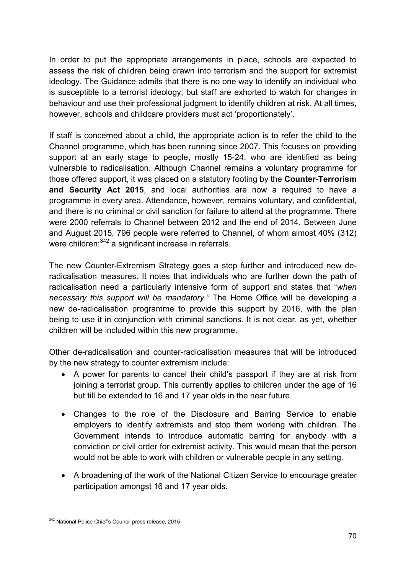In order to put the appropriate arrangements in place, schools are expected to assess the risk of children being drawn into terrorism and the support for extremist ideology. The Guidance admits that there is no one way to identify an individual who is susceptible to a terrorist ideology, but staff are exhorted to watch for changes in behaviour and use their professional judgment to identify children at risk. At all times, however, schools and childcare providers must act 'proportionately'.

If staff is concerned about a child, the appropriate action is to refer the child to the Channel programme, which has been running since 2007. This focuses on providing support at an early stage to people, mostly 15-24, who are identified as being vulnerable to radicalisation. Although Channel remains a voluntary programme for those offered support, it was placed on a statutory footing by the **Counter-Terrorism and Security Act 2015**, and local authorities are now a required to have a programme in every area. Attendance, however, remains voluntary, and confidential, and there is no criminal or civil sanction for failure to attend at the programme. There were 2000 referrals to Channel between 2012 and the end of 2014. Between June and August 2015, 796 people were referred to Channel, of whom almost 40% (312) were children:<sup>342</sup> a significant increase in referrals.

The new Counter-Extremism Strategy goes a step further and introduced new deradicalisation measures. It notes that individuals who are further down the path of radicalisation need a particularly intensive form of support and states that "*when necessary this support will be mandatory."* The Home Office will be developing a new de-radicalisation programme to provide this support by 2016, with the plan being to use it in conjunction with criminal sanctions. It is not clear, as yet, whether children will be included within this new programme.

Other de-radicalisation and counter-radicalisation measures that will be introduced by the new strategy to counter extremism include:

- A power for parents to cancel their child's passport if they are at risk from joining a terrorist group. This currently applies to children under the age of 16 but till be extended to 16 and 17 year olds in the near future.
- Changes to the role of the Disclosure and Barring Service to enable employers to identify extremists and stop them working with children. The Government intends to introduce automatic barring for anybody with a conviction or civil order for extremist activity. This would mean that the person would not be able to work with children or vulnerable people in any setting.
- A broadening of the work of the National Citizen Service to encourage greater participation amongst 16 and 17 year olds.

<sup>342</sup> National Police Chief's Council press release, 2015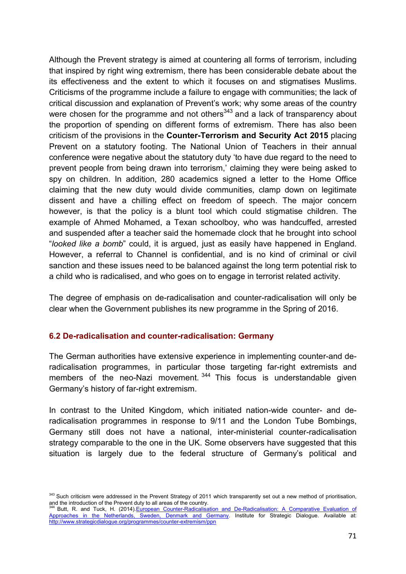Although the Prevent strategy is aimed at countering all forms of terrorism, including that inspired by right wing extremism, there has been considerable debate about the its effectiveness and the extent to which it focuses on and stigmatises Muslims. Criticisms of the programme include a failure to engage with communities; the lack of critical discussion and explanation of Prevent's work; why some areas of the country were chosen for the programme and not others<sup>343</sup> and a lack of transparency about the proportion of spending on different forms of extremism. There has also been criticism of the provisions in the **Counter-Terrorism and Security Act 2015** placing Prevent on a statutory footing. The National Union of Teachers in their annual conference were negative about the statutory duty 'to have due regard to the need to prevent people from being drawn into terrorism,' claiming they were being asked to spy on children. In addition, 280 academics signed a letter to the Home Office claiming that the new duty would divide communities, clamp down on legitimate dissent and have a chilling effect on freedom of speech. The major concern however, is that the policy is a blunt tool which could stigmatise children. The example of Ahmed Mohamed, a Texan schoolboy, who was handcuffed, arrested and suspended after a teacher said the homemade clock that he brought into school "*looked like a bomb*" could, it is argued, just as easily have happened in England. However, a referral to Channel is confidential, and is no kind of criminal or civil sanction and these issues need to be balanced against the long term potential risk to a child who is radicalised, and who goes on to engage in terrorist related activity.

The degree of emphasis on de-radicalisation and counter-radicalisation will only be clear when the Government publishes its new programme in the Spring of 2016.

#### **6.2 De-radicalisation and counter-radicalisation: Germany**

The German authorities have extensive experience in implementing counter-and deradicalisation programmes, in particular those targeting far-right extremists and members of the neo-Nazi movement.<sup>344</sup> This focus is understandable given Germany's history of far-right extremism.

In contrast to the United Kingdom, which initiated nation-wide counter- and deradicalisation programmes in response to 9/11 and the London Tube Bombings, Germany still does not have a national, inter-ministerial counter-radicalisation strategy comparable to the one in the UK. Some observers have suggested that this situation is largely due to the federal structure of Germany's political and

<sup>&</sup>lt;sup>343</sup> Such criticism were addressed in the Prevent Strategy of 2011 which transparently set out a new method of prioritisation, and the introduction of the Prevent duty to all areas of the country.

Butt, R. and Tuck, H. (2014).European Counter-Radicalisation and De-Radicalisation: A Comparative Evaluation of Approaches in the Netherlands, Sweden, Denmark and Germany. Institute for Strategic Dialogue. Available at: http://www.strategicdialogue.org/programmes/counter-extremism/ppn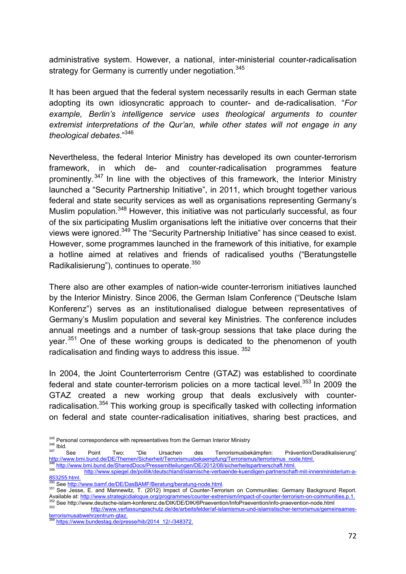administrative system. However, a national, inter-ministerial counter-radicalisation strategy for Germany is currently under negotiation.<sup>345</sup>

It has been argued that the federal system necessarily results in each German state adopting its own idiosyncratic approach to counter- and de-radicalisation. "*For example, Berlin's intelligence service uses theological arguments to counter extremist interpretations of the Qur'an, while other states will not engage in any theological debates*."346

Nevertheless, the federal Interior Ministry has developed its own counter-terrorism framework, in which de- and counter-radicalisation programmes feature prominently.<sup>347</sup> In line with the objectives of this framework, the Interior Ministry launched a "Security Partnership Initiative", in 2011, which brought together various federal and state security services as well as organisations representing Germany's Muslim population.<sup>348</sup> However, this initiative was not particularly successful, as four of the six participating Muslim organisations left the initiative over concerns that their views were ignored.<sup>349</sup> The "Security Partnership Initiative" has since ceased to exist. However, some programmes launched in the framework of this initiative, for example a hotline aimed at relatives and friends of radicalised youths ("Beratungstelle Radikalisierung"), continues to operate.<sup>350</sup>

There also are other examples of nation-wide counter-terrorism initiatives launched by the Interior Ministry. Since 2006, the German Islam Conference ("Deutsche Islam Konferenz") serves as an institutionalised dialogue between representatives of Germany's Muslim population and several key Ministries. The conference includes annual meetings and a number of task-group sessions that take place during the year.<sup>351</sup> One of these working groups is dedicated to the phenomenon of youth radicalisation and finding ways to address this issue.  $352$ 

In 2004, the Joint Counterterrorism Centre (GTAZ) was established to coordinate federal and state counter-terrorism policies on a more tactical level.<sup>353</sup> In 2009 the GTAZ created a new working group that deals exclusively with counterradicalisation.<sup>354</sup> This working group is specifically tasked with collecting information on federal and state counter-radicalisation initiatives, sharing best practices, and

- <sup>345</sup> Personal correspondence with representatives from the German Interior Ministry<br><sup>346</sup> Ibid.<br><sup>347</sup> See Point Two: "Die Ursachen des Terrorismusbekämpfen: Prävention/Deradikalisierung" http://www.bmi.bund.de/DE/Themen/Sicherheit/Terrorismusbekaempfun/Terrorismussionarypein.<br>348 http://www.bmi.bund.de/SharedDocs/Pressemitteilungen/DE/2012/08/sicherheitspartnerschaft.html.<br>349 http://www.spiegel.de/politik
- 853255.html.<br><sup>350</sup> See http://www.bamf.de/DE/DasBAMF/Beratung/beratung-node.html.<br><sup>351</sup> See Jesse, E. and Mannewitz, T. (2012) Impact of Counter-Terrorism on Communities: Germany Background Report.
- 
- 

Available at: http://www.strategicdialogue.org/programmes/counter-extremism/impact-of-counter-terrorism-on-communities.p.1.<br>
See http://www.deutsche-islam-konferenz.de/DIK/DE/DIK/6Praevention/Info-Praevention/info-praevent

https://www.bundestag.de/presse/hib/2014\_12/-/348372.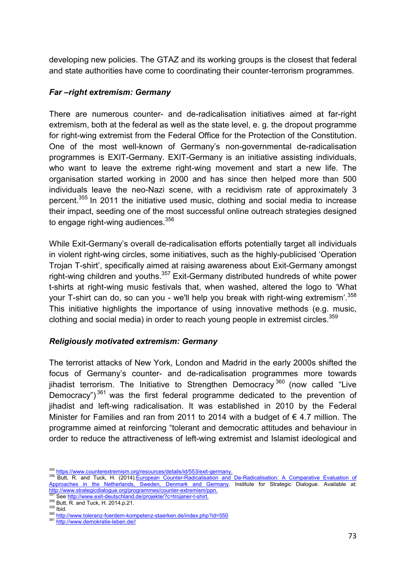developing new policies. The GTAZ and its working groups is the closest that federal and state authorities have come to coordinating their counter-terrorism programmes.

### *Far –right extremism: Germany*

There are numerous counter- and de-radicalisation initiatives aimed at far-right extremism, both at the federal as well as the state level, e. g. the dropout programme for right-wing extremist from the Federal Office for the Protection of the Constitution. One of the most well-known of Germany's non-governmental de-radicalisation programmes is EXIT-Germany. EXIT-Germany is an initiative assisting individuals, who want to leave the extreme right-wing movement and start a new life. The organisation started working in 2000 and has since then helped more than 500 individuals leave the neo-Nazi scene, with a recidivism rate of approximately 3 percent.355 In 2011 the initiative used music, clothing and social media to increase their impact, seeding one of the most successful online outreach strategies designed to engage right-wing audiences.<sup>356</sup>

While Exit-Germany's overall de-radicalisation efforts potentially target all individuals in violent right-wing circles, some initiatives, such as the highly-publicised 'Operation Trojan T-shirt', specifically aimed at raising awareness about Exit-Germany amongst right-wing children and youths.<sup>357</sup> Exit-Germany distributed hundreds of white power t-shirts at right-wing music festivals that, when washed, altered the logo to 'What your T-shirt can do, so can you - we'll help you break with right-wing extremism'.<sup>358</sup> This initiative highlights the importance of using innovative methods (e.g. music, clothing and social media) in order to reach young people in extremist circles.<sup>359</sup>

# *Religiously motivated extremism: Germany*

The terrorist attacks of New York, London and Madrid in the early 2000s shifted the focus of Germany's counter- and de-radicalisation programmes more towards jihadist terrorism. The Initiative to Strengthen Democracy  $360$  (now called "Live Democracy")<sup>361</sup> was the first federal programme dedicated to the prevention of jihadist and left-wing radicalisation. It was established in 2010 by the Federal Minister for Families and ran from 2011 to 2014 with a budget of  $\epsilon$  4.7 million. The programme aimed at reinforcing "tolerant and democratic attitudes and behaviour in order to reduce the attractiveness of left-wing extremist and Islamist ideological and

<sup>&</sup>lt;sup>355</sup> https://www.counterextremism.org/resources/details/id/553/exit-germany.<br><sup>356</sup> Butt, R. and Tuck, H. (2014).European Counter-Radicalisation and De-Radicalisation: A Comparative Evaluation of Approaches in the Netherlands, Sweden, Denmark and Germany. Institute for Strategic Dialogue. Available at: http://www.strategicdialogue.org/programmes/counter-extremism/ppn.<br>
1979 See http://www.strategicdialogue.org/programmes/counter-extremism/ppn.<br>
357 See http://www.exit-deutschland.de/projekte/?c=trojaner-t-shirt.<br>
359 But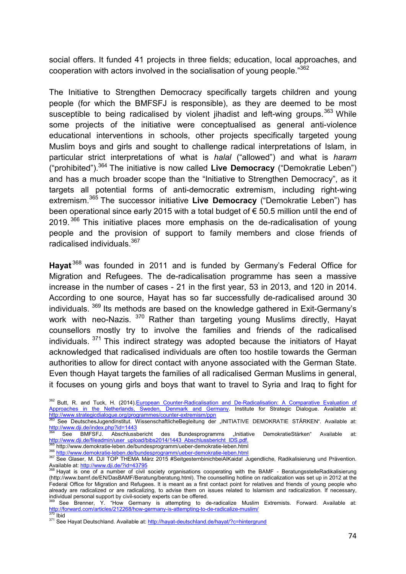social offers. It funded 41 projects in three fields; education, local approaches, and cooperation with actors involved in the socialisation of young people."<sup>362</sup>

The Initiative to Strengthen Democracy specifically targets children and young people (for which the BMFSFJ is responsible), as they are deemed to be most susceptible to being radicalised by violent jihadist and left-wing groups.  $363$  While some projects of the initiative were conceptualised as general anti-violence educational interventions in schools, other projects specifically targeted young Muslim boys and girls and sought to challenge radical interpretations of Islam, in particular strict interpretations of what is *halal* ("allowed") and what is *haram*  ("prohibited").364 The initiative is now called **Live Democracy** ("Demokratie Leben") and has a much broader scope than the "Initiative to Strengthen Democracy", as it targets all potential forms of anti-democratic extremism, including right-wing extremism.<sup>365</sup> The successor initiative **Live Democracy** ("Demokratie Leben") has been operational since early 2015 with a total budget of € 50.5 million until the end of  $2019$ . <sup>366</sup> This initiative places more emphasis on the de-radicalisation of young people and the provision of support to family members and close friends of radicalised individuals.<sup>367</sup>

**Hayat** 368 was founded in 2011 and is funded by Germany's Federal Office for Migration and Refugees. The de-radicalisation programme has seen a massive increase in the number of cases - 21 in the first year, 53 in 2013, and 120 in 2014. According to one source, Hayat has so far successfully de-radicalised around 30 individuals. <sup>369</sup> Its methods are based on the knowledge gathered in Exit-Germany's work with neo-Nazis. <sup>370</sup> Rather than targeting young Muslims directly, Hayat counsellors mostly try to involve the families and friends of the radicalised individuals.  $371$  This indirect strategy was adopted because the initiators of Hayat acknowledged that radicalised individuals are often too hostile towards the German authorities to allow for direct contact with anyone associated with the German State. Even though Hayat targets the families of all radicalised German Muslims in general, it focuses on young girls and boys that want to travel to Syria and Iraq to fight for

<sup>&</sup>lt;sup>362</sup> Butt, R. and Tuck, H. (2014).European Counter-Radicalisation and De-Radicalisation: A Comparative Evaluation of Approaches in the Netherlands, Sweden, Denmark and Germany. Institute for Strategic Dialogue. Available at:<br>http://www.strategicdialogue.org/programmes/counter-extremism/ppn<br>383 Soo Deutsches luopolinstitut, Wisconschoffli

http://www.strategicdialogue.org/programmes/counter-extremism/ppn 363 See DeutschesJugendinstitut. WissenschaftlicheBegleitung der "INITIATIVE DEMOKRATIE STÄRKEN". Available at: http://www.dji.de/index.php?id=1443

<sup>&</sup>lt;sup>364</sup> See BMFSFJ. Abschlussbericht des Bundesprogramms "Initiative DemokratieStärken" Available at:<br>http://www.dji.de/fileadmin/user\_upload/bibs2014/1443\_Abschlussbericht\_IDS.pdf.

<sup>&</sup>lt;sup>365</sup> http://www.demokratie-leben.de/bundesprogramm/ueber-demokratie-leben.html<br><sup>366</sup> http://www.demokratie-leben.de/bundesprogramm/ueber-demokratie-leben.html<br><sup>367</sup> See Glaser, M. DJI TOP THEMA März 2015 #Seitgesternbinic Available at: http://www.dji.de/?id=43795<br>
<sup>368</sup> Hayat is one of a number of civil society organisations cooperating with the BAMF - BeratungsstelleRadikalisierung

<sup>(</sup>http://www.bamf.de/EN/DasBAMF/Beratung/beratung.html). The counselling hotline on radicalization was set up in 2012 at the Federal Office for Migration and Refugees. It is meant as a first contact point for relatives and friends of young people who already are radicalized or are radicalizing, to advise them on issues related to Islamism and radicalization. If necessary, individual personal support by civil-society experts can be offered.

<sup>&</sup>lt;sup>369</sup> See Brenner, Y. "How Germany is attempting to de-radicalize Muslim Extremists. Forward. Available at:<br>http://forward.com/articles/212268/how-germany-is-attempting-to-de-radicalize-muslim/

<sup>&</sup>lt;sup>370</sup> Ibid<br><sup>371</sup> See Hayat Deutschland. Available at: <u>http://hayat-deutschland.de/hayat/?c=hintergrund</u>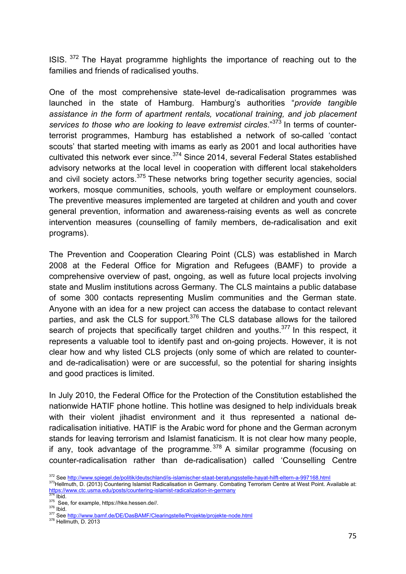ISIS.  $372$  The Hayat programme highlights the importance of reaching out to the families and friends of radicalised youths.

One of the most comprehensive state-level de-radicalisation programmes was launched in the state of Hamburg. Hamburg's authorities "*provide tangible assistance in the form of apartment rentals, vocational training, and job placement services to those who are looking to leave extremist circles*."<sup>373</sup> In terms of counterterrorist programmes, Hamburg has established a network of so-called 'contact scouts' that started meeting with imams as early as 2001 and local authorities have cultivated this network ever since.<sup>374</sup> Since 2014, several Federal States established advisory networks at the local level in cooperation with different local stakeholders and civil society actors.<sup>375</sup> These networks bring together security agencies, social workers, mosque communities, schools, youth welfare or employment counselors. The preventive measures implemented are targeted at children and youth and cover general prevention, information and awareness-raising events as well as concrete intervention measures (counselling of family members, de-radicalisation and exit programs).

The Prevention and Cooperation Clearing Point (CLS) was established in March 2008 at the Federal Office for Migration and Refugees (BAMF) to provide a comprehensive overview of past, ongoing, as well as future local projects involving state and Muslim institutions across Germany. The CLS maintains a public database of some 300 contacts representing Muslim communities and the German state. Anyone with an idea for a new project can access the database to contact relevant parties, and ask the CLS for support. $376$  The CLS database allows for the tailored search of projects that specifically target children and youths.<sup>377</sup> In this respect, it represents a valuable tool to identify past and on-going projects. However, it is not clear how and why listed CLS projects (only some of which are related to counterand de-radicalisation) were or are successful, so the potential for sharing insights and good practices is limited.

In July 2010, the Federal Office for the Protection of the Constitution established the nationwide HATIF phone hotline. This hotline was designed to help individuals break with their violent jihadist environment and it thus represented a national deradicalisation initiative. HATIF is the Arabic word for phone and the German acronym stands for leaving terrorism and Islamist fanaticism. It is not clear how many people, if any, took advantage of the programme.  $378$  A similar programme (focusing on counter-radicalisation rather than de-radicalisation) called 'Counselling Centre

<sup>372</sup> See http://www.spiegel.de/politik/deutschland/is-islamischer-staat-beratungsstelle-hayat-hilft-eltern-a-997168.html<br>373Hellmuth, D. (2013) Countering Islamist Radicalisation in Germany. Combating Terrorism Centre at We

The S.//www.ctc.usma.edu/posts/countering-islamist-radicalization-in-germany<br>
<sup>374</sup> Ibid.<br>
<sup>375</sup> See, for example, https://hke.hessen.de//.<br>
<sup>376</sup> See, for example, https://hke.hessen.de//.<br>
<sup>376</sup> See http://www.bamf.de/DE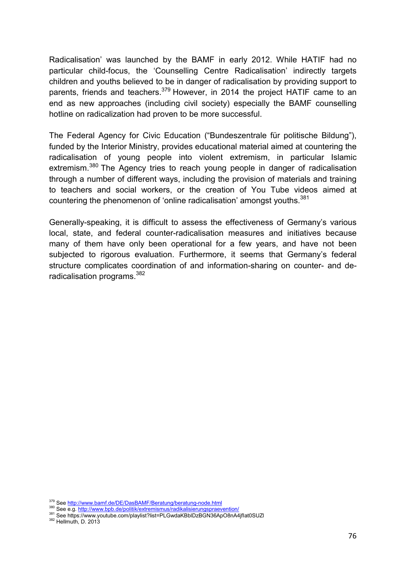Radicalisation' was launched by the BAMF in early 2012. While HATIF had no particular child-focus, the 'Counselling Centre Radicalisation' indirectly targets children and youths believed to be in danger of radicalisation by providing support to parents, friends and teachers.<sup>379</sup> However, in 2014 the project HATIF came to an end as new approaches (including civil society) especially the BAMF counselling hotline on radicalization had proven to be more successful.

The Federal Agency for Civic Education ("Bundeszentrale für politische Bildung"), funded by the Interior Ministry, provides educational material aimed at countering the radicalisation of young people into violent extremism, in particular Islamic extremism.<sup>380</sup> The Agency tries to reach young people in danger of radicalisation through a number of different ways, including the provision of materials and training to teachers and social workers, or the creation of You Tube videos aimed at countering the phenomenon of 'online radicalisation' amongst youths.<sup>381</sup>

Generally-speaking, it is difficult to assess the effectiveness of Germany's various local, state, and federal counter-radicalisation measures and initiatives because many of them have only been operational for a few years, and have not been subjected to rigorous evaluation. Furthermore, it seems that Germany's federal structure complicates coordination of and information-sharing on counter- and deradicalisation programs.<sup>382</sup>

<sup>&</sup>lt;sup>379</sup> See http://www.bamf.de/DE/DasBAMF/Beratung/beratung-node.html<br><sup>380</sup> See e.g. <u>http://www.bpb.de/politik/extremismus/radikalisierungspraevention/</u><br><sup>381</sup> See https://www.youtube.com/playlist?list=PLGwdaKBbIDzBGN36ApO8n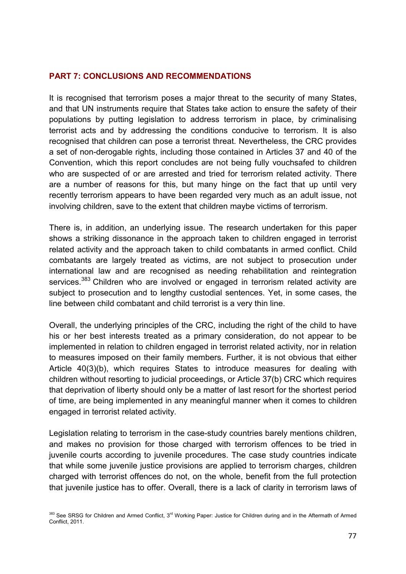### **PART 7: CONCLUSIONS AND RECOMMENDATIONS**

It is recognised that terrorism poses a major threat to the security of many States, and that UN instruments require that States take action to ensure the safety of their populations by putting legislation to address terrorism in place, by criminalising terrorist acts and by addressing the conditions conducive to terrorism. It is also recognised that children can pose a terrorist threat. Nevertheless, the CRC provides a set of non-derogable rights, including those contained in Articles 37 and 40 of the Convention, which this report concludes are not being fully vouchsafed to children who are suspected of or are arrested and tried for terrorism related activity. There are a number of reasons for this, but many hinge on the fact that up until very recently terrorism appears to have been regarded very much as an adult issue, not involving children, save to the extent that children maybe victims of terrorism.

There is, in addition, an underlying issue. The research undertaken for this paper shows a striking dissonance in the approach taken to children engaged in terrorist related activity and the approach taken to child combatants in armed conflict. Child combatants are largely treated as victims, are not subject to prosecution under international law and are recognised as needing rehabilitation and reintegration services.<sup>383</sup> Children who are involved or engaged in terrorism related activity are subject to prosecution and to lengthy custodial sentences. Yet, in some cases, the line between child combatant and child terrorist is a very thin line.

Overall, the underlying principles of the CRC, including the right of the child to have his or her best interests treated as a primary consideration, do not appear to be implemented in relation to children engaged in terrorist related activity, nor in relation to measures imposed on their family members. Further, it is not obvious that either Article 40(3)(b), which requires States to introduce measures for dealing with children without resorting to judicial proceedings, or Article 37(b) CRC which requires that deprivation of liberty should only be a matter of last resort for the shortest period of time, are being implemented in any meaningful manner when it comes to children engaged in terrorist related activity.

Legislation relating to terrorism in the case-study countries barely mentions children, and makes no provision for those charged with terrorism offences to be tried in juvenile courts according to juvenile procedures. The case study countries indicate that while some juvenile justice provisions are applied to terrorism charges, children charged with terrorist offences do not, on the whole, benefit from the full protection that juvenile justice has to offer. Overall, there is a lack of clarity in terrorism laws of

<sup>383</sup> See SRSG for Children and Armed Conflict, 3<sup>rd</sup> Working Paper: Justice for Children during and in the Aftermath of Armed Conflict, 2011.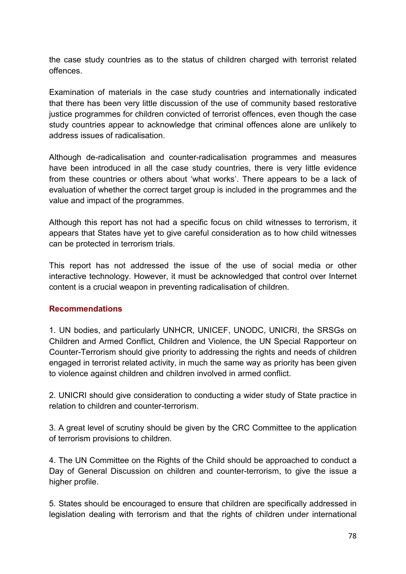the case study countries as to the status of children charged with terrorist related offences.

Examination of materials in the case study countries and internationally indicated that there has been very little discussion of the use of community based restorative justice programmes for children convicted of terrorist offences, even though the case study countries appear to acknowledge that criminal offences alone are unlikely to address issues of radicalisation.

Although de-radicalisation and counter-radicalisation programmes and measures have been introduced in all the case study countries, there is very little evidence from these countries or others about 'what works'. There appears to be a lack of evaluation of whether the correct target group is included in the programmes and the value and impact of the programmes.

Although this report has not had a specific focus on child witnesses to terrorism, it appears that States have yet to give careful consideration as to how child witnesses can be protected in terrorism trials.

This report has not addressed the issue of the use of social media or other interactive technology. However, it must be acknowledged that control over Internet content is a crucial weapon in preventing radicalisation of children.

# **Recommendations**

1. UN bodies, and particularly UNHCR, UNICEF, UNODC, UNICRI, the SRSGs on Children and Armed Conflict, Children and Violence, the UN Special Rapporteur on Counter-Terrorism should give priority to addressing the rights and needs of children engaged in terrorist related activity, in much the same way as priority has been given to violence against children and children involved in armed conflict.

2. UNICRI should give consideration to conducting a wider study of State practice in relation to children and counter-terrorism.

3. A great level of scrutiny should be given by the CRC Committee to the application of terrorism provisions to children.

4. The UN Committee on the Rights of the Child should be approached to conduct a Day of General Discussion on children and counter-terrorism, to give the issue a higher profile.

5. States should be encouraged to ensure that children are specifically addressed in legislation dealing with terrorism and that the rights of children under international